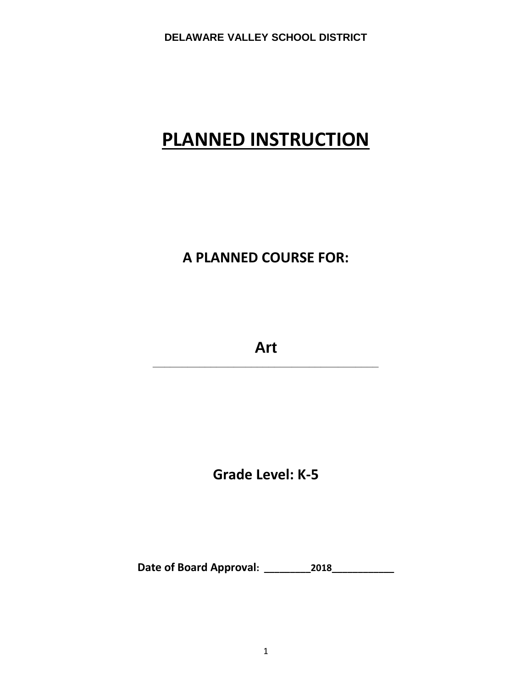# **PLANNED INSTRUCTION**

# **A PLANNED COURSE FOR:**

**Art \_\_\_\_\_\_\_\_\_\_\_\_\_\_\_\_\_\_\_\_\_\_\_\_\_\_\_\_\_\_\_\_\_\_\_\_\_\_\_**

**Grade Level: K-5**

**Date of Board Approval: \_\_\_\_\_\_\_\_\_2018\_\_\_\_\_\_\_\_\_\_\_\_**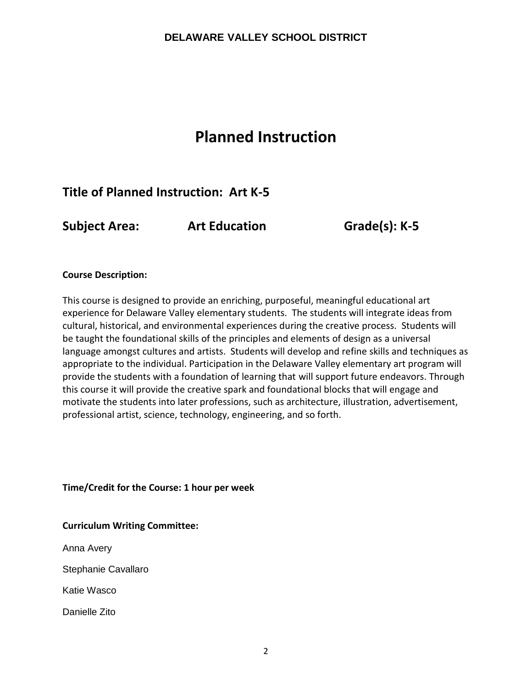# **Planned Instruction**

# **Title of Planned Instruction: Art K-5**

**Subject Area: Art Education Grade(s): K-5**

#### **Course Description:**

This course is designed to provide an enriching, purposeful, meaningful educational art experience for Delaware Valley elementary students. The students will integrate ideas from cultural, historical, and environmental experiences during the creative process. Students will be taught the foundational skills of the principles and elements of design as a universal language amongst cultures and artists. Students will develop and refine skills and techniques as appropriate to the individual. Participation in the Delaware Valley elementary art program will provide the students with a foundation of learning that will support future endeavors. Through this course it will provide the creative spark and foundational blocks that will engage and motivate the students into later professions, such as architecture, illustration, advertisement, professional artist, science, technology, engineering, and so forth.

**Time/Credit for the Course: 1 hour per week**

**Curriculum Writing Committee:**

Anna Avery

Stephanie Cavallaro

Katie Wasco

Danielle Zito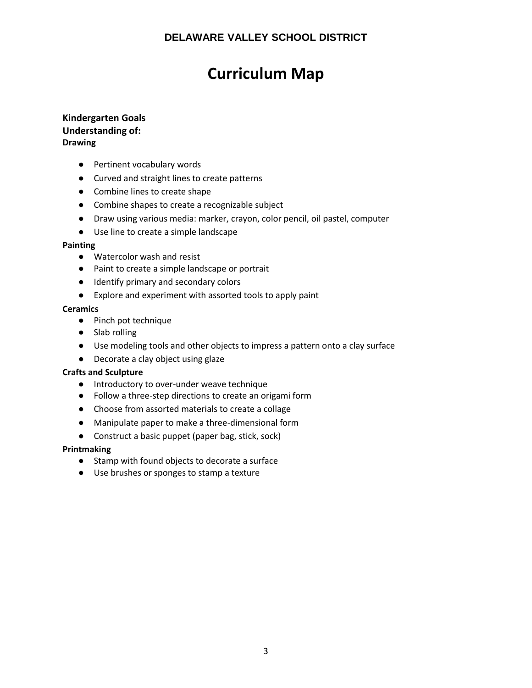# **Curriculum Map**

#### **Kindergarten Goals Understanding of: Drawing**

- Pertinent vocabulary words
- Curved and straight lines to create patterns
- Combine lines to create shape
- Combine shapes to create a recognizable subject
- Draw using various media: marker, crayon, color pencil, oil pastel, computer
- Use line to create a simple landscape

#### **Painting**

- Watercolor wash and resist
- Paint to create a simple landscape or portrait
- Identify primary and secondary colors
- Explore and experiment with assorted tools to apply paint

#### **Ceramics**

- Pinch pot technique
- Slab rolling
- Use modeling tools and other objects to impress a pattern onto a clay surface
- Decorate a clay object using glaze

#### **Crafts and Sculpture**

- Introductory to over-under weave technique
- Follow a three-step directions to create an origami form
- Choose from assorted materials to create a collage
- Manipulate paper to make a three-dimensional form
- Construct a basic puppet (paper bag, stick, sock)

- Stamp with found objects to decorate a surface
- Use brushes or sponges to stamp a texture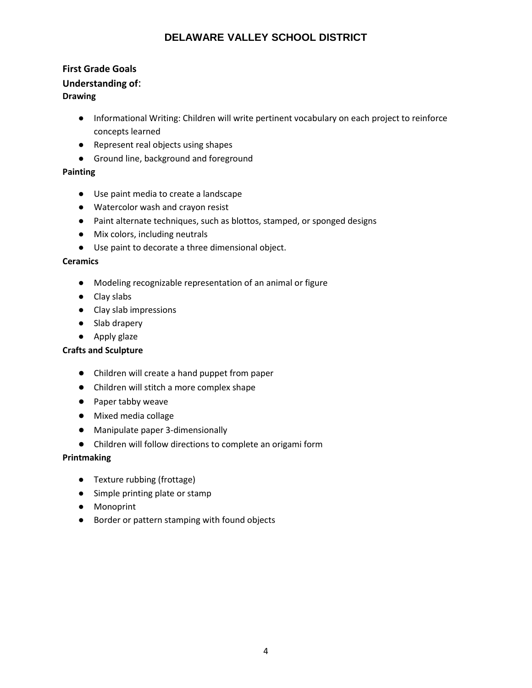# **First Grade Goals Understanding of**: **Drawing**

- Informational Writing: Children will write pertinent vocabulary on each project to reinforce concepts learned
- Represent real objects using shapes
- Ground line, background and foreground

#### **Painting**

- Use paint media to create a landscape
- Watercolor wash and crayon resist
- Paint alternate techniques, such as blottos, stamped, or sponged designs
- Mix colors, including neutrals
- Use paint to decorate a three dimensional object.

#### **Ceramics**

- Modeling recognizable representation of an animal or figure
- Clay slabs
- Clay slab impressions
- Slab drapery
- Apply glaze

#### **Crafts and Sculpture**

- Children will create a hand puppet from paper
- Children will stitch a more complex shape
- Paper tabby weave
- Mixed media collage
- Manipulate paper 3-dimensionally
- Children will follow directions to complete an origami form

- Texture rubbing (frottage)
- Simple printing plate or stamp
- Monoprint
- Border or pattern stamping with found objects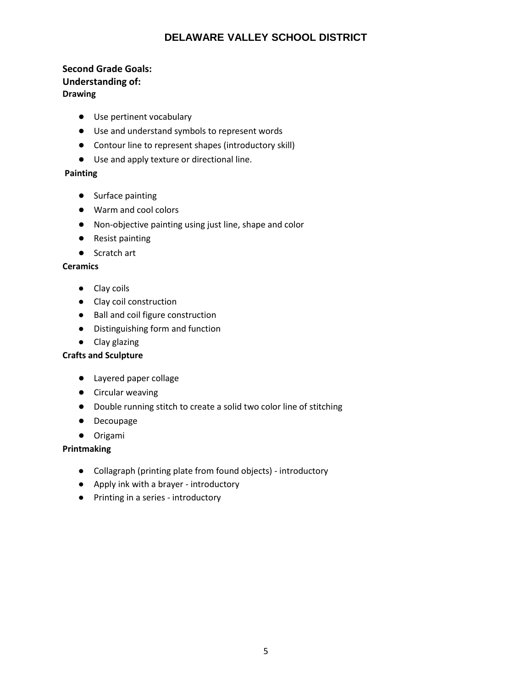#### **Second Grade Goals: Understanding of: Drawing**

- Use pertinent vocabulary
- Use and understand symbols to represent words
- Contour line to represent shapes (introductory skill)
- Use and apply texture or directional line.

#### **Painting**

- Surface painting
- Warm and cool colors
- Non-objective painting using just line, shape and color
- Resist painting
- Scratch art

#### **Ceramics**

- Clay coils
- Clay coil construction
- Ball and coil figure construction
- Distinguishing form and function
- Clay glazing

#### **Crafts and Sculpture**

- Layered paper collage
- Circular weaving
- Double running stitch to create a solid two color line of stitching
- Decoupage
- Origami

- Collagraph (printing plate from found objects) introductory
- Apply ink with a brayer introductory
- Printing in a series introductory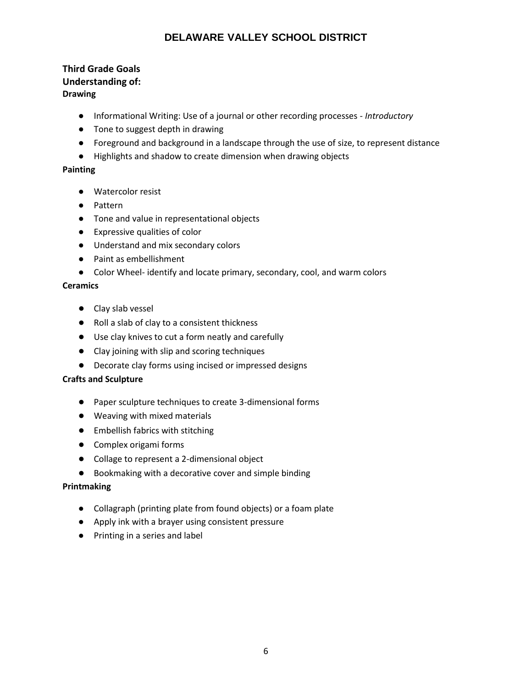#### **Third Grade Goals Understanding of: Drawing**

- Informational Writing: Use of a journal or other recording processes *Introductory*
- Tone to suggest depth in drawing
- Foreground and background in a landscape through the use of size, to represent distance
- Highlights and shadow to create dimension when drawing objects

#### **Painting**

- Watercolor resist
- Pattern
- Tone and value in representational objects
- Expressive qualities of color
- Understand and mix secondary colors
- Paint as embellishment
- Color Wheel- identify and locate primary, secondary, cool, and warm colors

#### **Ceramics**

- Clay slab vessel
- Roll a slab of clay to a consistent thickness
- Use clay knives to cut a form neatly and carefully
- Clay joining with slip and scoring techniques
- Decorate clay forms using incised or impressed designs

#### **Crafts and Sculpture**

- Paper sculpture techniques to create 3-dimensional forms
- Weaving with mixed materials
- Embellish fabrics with stitching
- Complex origami forms
- Collage to represent a 2-dimensional object
- Bookmaking with a decorative cover and simple binding

- Collagraph (printing plate from found objects) or a foam plate
- Apply ink with a brayer using consistent pressure
- Printing in a series and label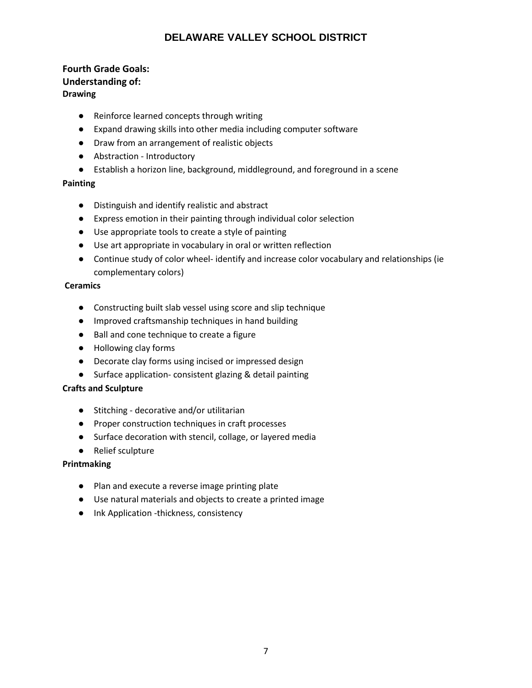#### **Fourth Grade Goals: Understanding of: Drawing**

- Reinforce learned concepts through writing
- Expand drawing skills into other media including computer software
- Draw from an arrangement of realistic objects
- Abstraction Introductory
- Establish a horizon line, background, middleground, and foreground in a scene

#### **Painting**

- Distinguish and identify realistic and abstract
- Express emotion in their painting through individual color selection
- Use appropriate tools to create a style of painting
- Use art appropriate in vocabulary in oral or written reflection
- Continue study of color wheel- identify and increase color vocabulary and relationships (ie complementary colors)

#### **Ceramics**

- Constructing built slab vessel using score and slip technique
- Improved craftsmanship techniques in hand building
- Ball and cone technique to create a figure
- Hollowing clay forms
- Decorate clay forms using incised or impressed design
- Surface application- consistent glazing & detail painting

#### **Crafts and Sculpture**

- Stitching decorative and/or utilitarian
- Proper construction techniques in craft processes
- Surface decoration with stencil, collage, or layered media
- Relief sculpture

- Plan and execute a reverse image printing plate
- Use natural materials and objects to create a printed image
- Ink Application -thickness, consistency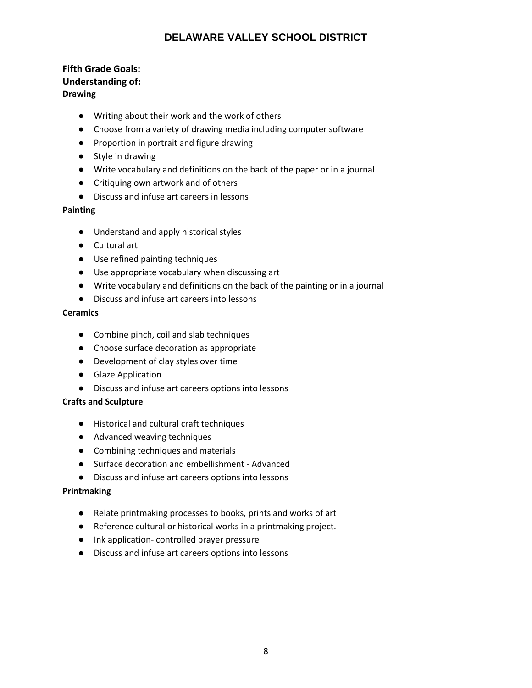#### **Fifth Grade Goals: Understanding of: Drawing**

- Writing about their work and the work of others
- Choose from a variety of drawing media including computer software
- Proportion in portrait and figure drawing
- Style in drawing
- Write vocabulary and definitions on the back of the paper or in a journal
- Critiquing own artwork and of others
- Discuss and infuse art careers in lessons

#### **Painting**

- Understand and apply historical styles
- Cultural art
- Use refined painting techniques
- Use appropriate vocabulary when discussing art
- Write vocabulary and definitions on the back of the painting or in a journal
- Discuss and infuse art careers into lessons

#### **Ceramics**

- Combine pinch, coil and slab techniques
- Choose surface decoration as appropriate
- Development of clay styles over time
- Glaze Application
- Discuss and infuse art careers options into lessons

#### **Crafts and Sculpture**

- Historical and cultural craft techniques
- Advanced weaving techniques
- Combining techniques and materials
- Surface decoration and embellishment Advanced
- Discuss and infuse art careers options into lessons

- Relate printmaking processes to books, prints and works of art
- Reference cultural or historical works in a printmaking project.
- Ink application- controlled brayer pressure
- Discuss and infuse art careers options into lessons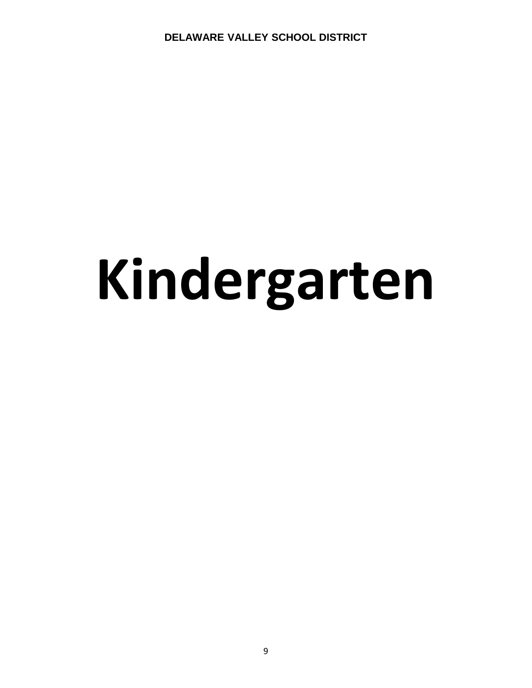# **Kindergarten**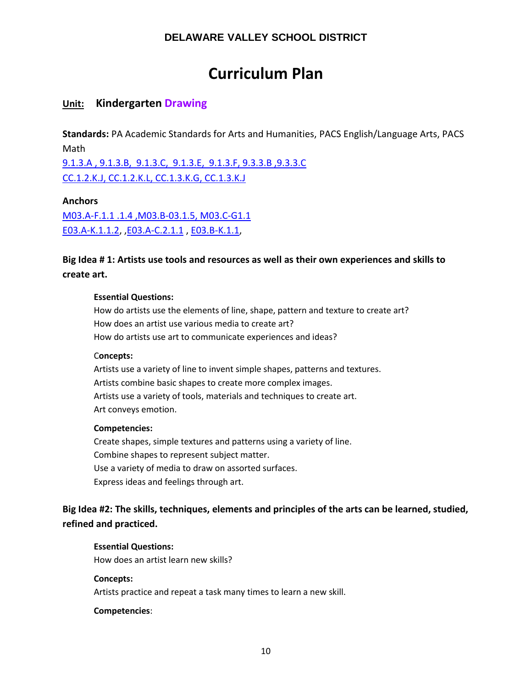# **Curriculum Plan**

# **Unit: Kindergarten Drawing**

**Standards:** PA Academic Standards for Arts and Humanities, PACS English/Language Arts, PACS Math

[9.1.3.A , 9.1.3.B, 9.1.3.C, 9.1.3.E, 9.1.3.F, 9.3.3.B ,9.3.3.C](http://www.pdesas.org/Standard/Detail?linkStandardId=0&standardId=25999)  [CC.1.2.K.J, CC.1.2.K.L, CC.1.3.K.G, CC.1.3.K.J](https://www.pdesas.org/Standard/View)

**Anchors** 

[M03.A-F.1.1 .1.4 ,M03.B-03.1.5, M03.C-G1.1](https://www.pdesas.org/Standard/Detail/?linkStandardId=0&standardId=161141) [E03.A-K.1.1.2,](https://www.pdesas.org/Standard/Detail?linkStandardId=0&standardId=161587) [,E03.A-C.2.1.1](http://www.pdesas.org/Standard/Detail/?linkStandardId=0&standardId=159950) , [E03.B-K.1.1,](https://www.pdesas.org/Standard/Detail?linkStandardId=0&standardId=161593)

# **Big Idea # 1: Artists use tools and resources as well as their own experiences and skills to create art.**

#### **Essential Questions:**

How do artists use the elements of line, shape, pattern and texture to create art? How does an artist use various media to create art? How do artists use art to communicate experiences and ideas?

#### C**oncepts:**

Artists use a variety of line to invent simple shapes, patterns and textures. Artists combine basic shapes to create more complex images. Artists use a variety of tools, materials and techniques to create art. Art conveys emotion.

#### **Competencies:**

Create shapes, simple textures and patterns using a variety of line. Combine shapes to represent subject matter. Use a variety of media to draw on assorted surfaces. Express ideas and feelings through art.

# **Big Idea #2: The skills, techniques, elements and principles of the arts can be learned, studied, refined and practiced.**

#### **Essential Questions:**

How does an artist learn new skills?

#### **Concepts:**

Artists practice and repeat a task many times to learn a new skill.

#### **Competencies**: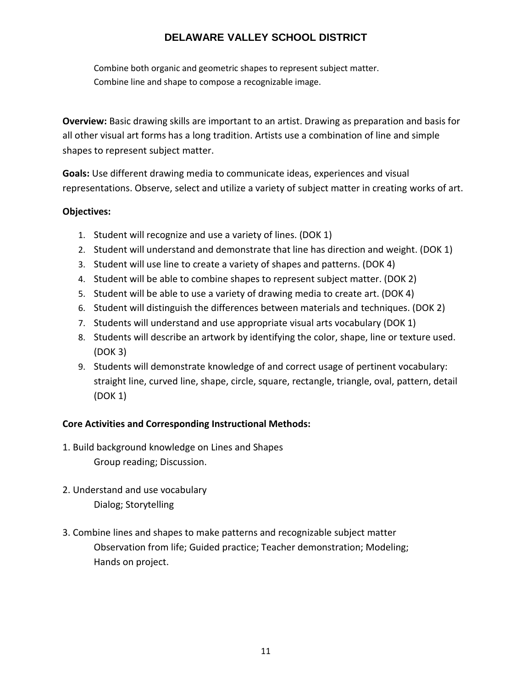Combine both organic and geometric shapes to represent subject matter. Combine line and shape to compose a recognizable image.

**Overview:** Basic drawing skills are important to an artist. Drawing as preparation and basis for all other visual art forms has a long tradition. Artists use a combination of line and simple shapes to represent subject matter.

**Goals:** Use different drawing media to communicate ideas, experiences and visual representations. Observe, select and utilize a variety of subject matter in creating works of art.

## **Objectives:**

- 1. Student will recognize and use a variety of lines. (DOK 1)
- 2. Student will understand and demonstrate that line has direction and weight. (DOK 1)
- 3. Student will use line to create a variety of shapes and patterns. (DOK 4)
- 4. Student will be able to combine shapes to represent subject matter. (DOK 2)
- 5. Student will be able to use a variety of drawing media to create art. (DOK 4)
- 6. Student will distinguish the differences between materials and techniques. (DOK 2)
- 7. Students will understand and use appropriate visual arts vocabulary (DOK 1)
- 8. Students will describe an artwork by identifying the color, shape, line or texture used. (DOK 3)
- 9. Students will demonstrate knowledge of and correct usage of pertinent vocabulary: straight line, curved line, shape, circle, square, rectangle, triangle, oval, pattern, detail (DOK 1)

## **Core Activities and Corresponding Instructional Methods:**

- 1. Build background knowledge on Lines and Shapes Group reading; Discussion.
- 2. Understand and use vocabulary Dialog; Storytelling
- 3. Combine lines and shapes to make patterns and recognizable subject matter Observation from life; Guided practice; Teacher demonstration; Modeling; Hands on project.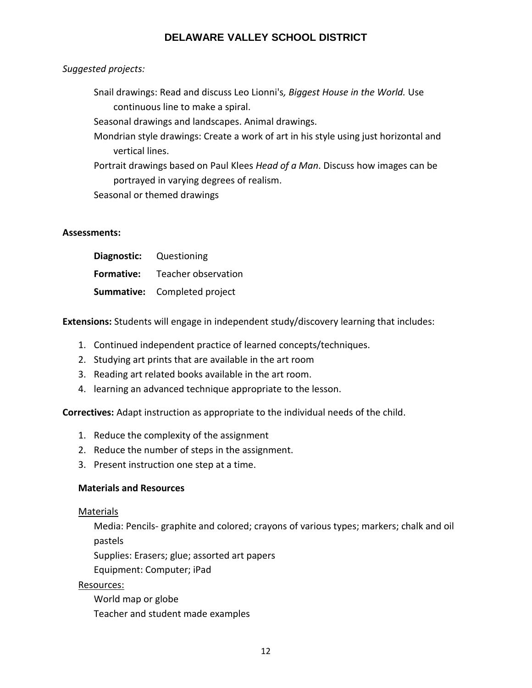## *Suggested projects:*

Snail drawings: Read and discuss Leo Lionni's*, Biggest House in the World.* Use continuous line to make a spiral.

Seasonal drawings and landscapes. Animal drawings.

- Mondrian style drawings: Create a work of art in his style using just horizontal and vertical lines.
- Portrait drawings based on Paul Klees *Head of a Man*. Discuss how images can be portrayed in varying degrees of realism.

Seasonal or themed drawings

#### **Assessments:**

| <b>Diagnostic:</b> Questioning |                                       |
|--------------------------------|---------------------------------------|
|                                | <b>Formative:</b> Teacher observation |
|                                | <b>Summative:</b> Completed project   |

**Extensions:** Students will engage in independent study/discovery learning that includes:

- 1. Continued independent practice of learned concepts/techniques.
- 2. Studying art prints that are available in the art room
- 3. Reading art related books available in the art room.
- 4. learning an advanced technique appropriate to the lesson.

**Correctives:** Adapt instruction as appropriate to the individual needs of the child.

- 1. Reduce the complexity of the assignment
- 2. Reduce the number of steps in the assignment.
- 3. Present instruction one step at a time.

#### **Materials and Resources**

#### Materials

Media: Pencils- graphite and colored; crayons of various types; markers; chalk and oil pastels

Supplies: Erasers; glue; assorted art papers

Equipment: Computer; iPad

## Resources:

World map or globe Teacher and student made examples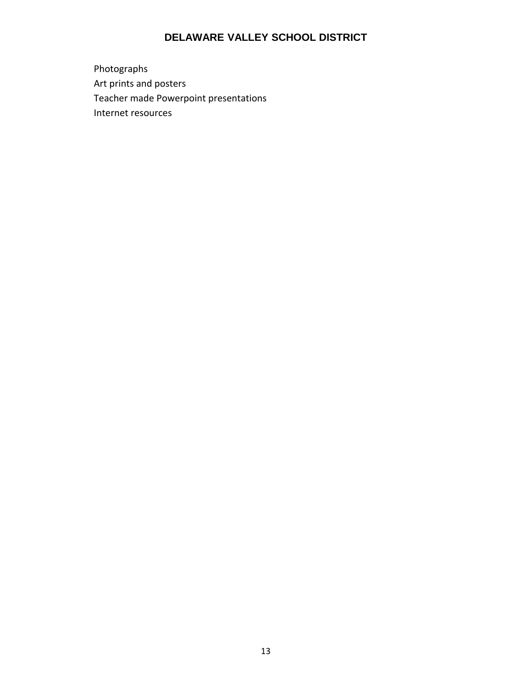Photographs Art prints and posters Teacher made Powerpoint presentations Internet resources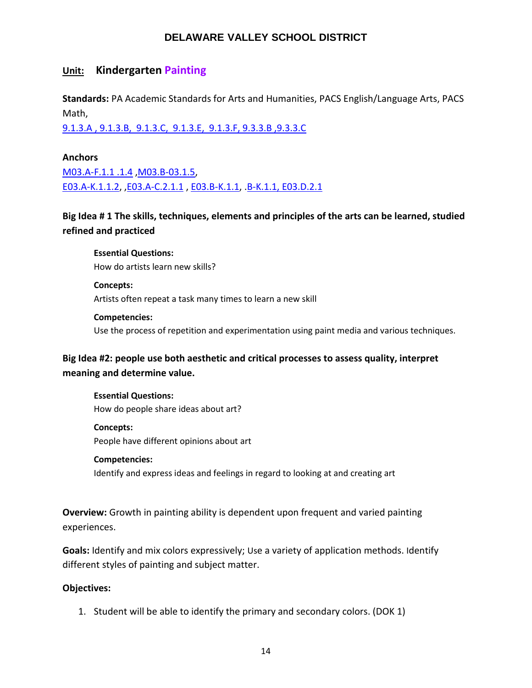## **Unit: Kindergarten Painting**

**Standards:** PA Academic Standards for Arts and Humanities, PACS English/Language Arts, PACS Math,

[9.1.3.A , 9.1.3.B, 9.1.3.C, 9.1.3.E, 9.1.3.F, 9.3.3.B ,9.3.3.C](http://www.pdesas.org/Standard/Detail?linkStandardId=0&standardId=25999)

#### **Anchors**

[M03.A-F.1.1 .1.4](https://www.pdesas.org/Standard/Detail?linkStandardId=0&standardId=160519) [,M03.B-03.1.5,](https://www.pdesas.org/Standard/Detail/?linkStandardId=0&standardId=160654) [E03.A-K.1.1.2,](https://www.pdesas.org/Standard/Detail?linkStandardId=0&standardId=161587) [,E03.A-C.2.1.1](http://www.pdesas.org/Standard/Detail/?linkStandardId=0&standardId=159950) , [E03.B-K.1.1,](https://www.pdesas.org/Standard/Detail?linkStandardId=0&standardId=161593) [.B-K.1.1, E03.D.2.1](http://www.pdesas.org/Standard/Detail?linkStandardId=0&standardId=159761)

**Big Idea # 1 The skills, techniques, elements and principles of the arts can be learned, studied refined and practiced**

**Essential Questions:**  How do artists learn new skills?

**Concepts:**  Artists often repeat a task many times to learn a new skill

**Competencies:**  Use the process of repetition and experimentation using paint media and various techniques.

**Big Idea #2: people use both aesthetic and critical processes to assess quality, interpret meaning and determine value.**

**Essential Questions:**  How do people share ideas about art?

**Concepts:**  People have different opinions about art

#### **Competencies:**

Identify and express ideas and feelings in regard to looking at and creating art

**Overview:** Growth in painting ability is dependent upon frequent and varied painting experiences.

**Goals:** Identify and mix colors expressively; Use a variety of application methods. Identify different styles of painting and subject matter.

#### **Objectives:**

1. Student will be able to identify the primary and secondary colors. (DOK 1)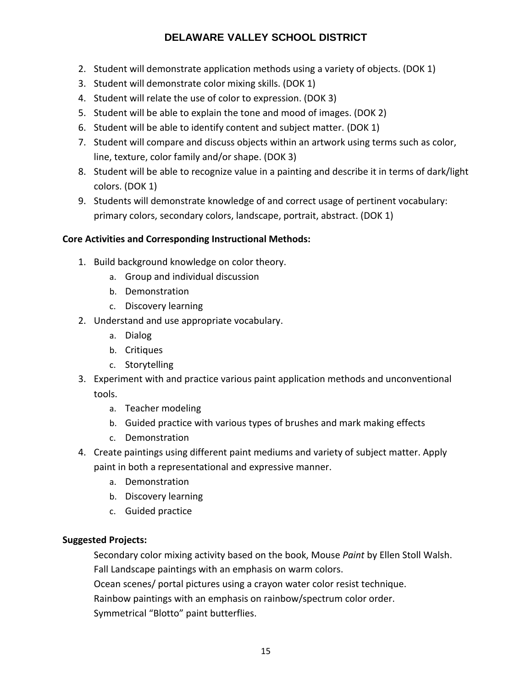- 2. Student will demonstrate application methods using a variety of objects. (DOK 1)
- 3. Student will demonstrate color mixing skills. (DOK 1)
- 4. Student will relate the use of color to expression. (DOK 3)
- 5. Student will be able to explain the tone and mood of images. (DOK 2)
- 6. Student will be able to identify content and subject matter. (DOK 1)
- 7. Student will compare and discuss objects within an artwork using terms such as color, line, texture, color family and/or shape. (DOK 3)
- 8. Student will be able to recognize value in a painting and describe it in terms of dark/light colors. (DOK 1)
- 9. Students will demonstrate knowledge of and correct usage of pertinent vocabulary: primary colors, secondary colors, landscape, portrait, abstract. (DOK 1)

# **Core Activities and Corresponding Instructional Methods:**

- 1. Build background knowledge on color theory.
	- a. Group and individual discussion
	- b. Demonstration
	- c. Discovery learning
- 2. Understand and use appropriate vocabulary.
	- a. Dialog
	- b. Critiques
	- c. Storytelling
- 3. Experiment with and practice various paint application methods and unconventional tools.
	- a. Teacher modeling
	- b. Guided practice with various types of brushes and mark making effects
	- c. Demonstration
- 4. Create paintings using different paint mediums and variety of subject matter. Apply paint in both a representational and expressive manner.
	- a. Demonstration
	- b. Discovery learning
	- c. Guided practice

# **Suggested Projects:**

Secondary color mixing activity based on the book, Mouse *Paint* by Ellen Stoll Walsh. Fall Landscape paintings with an emphasis on warm colors.

Ocean scenes/ portal pictures using a crayon water color resist technique.

Rainbow paintings with an emphasis on rainbow/spectrum color order.

Symmetrical "Blotto" paint butterflies.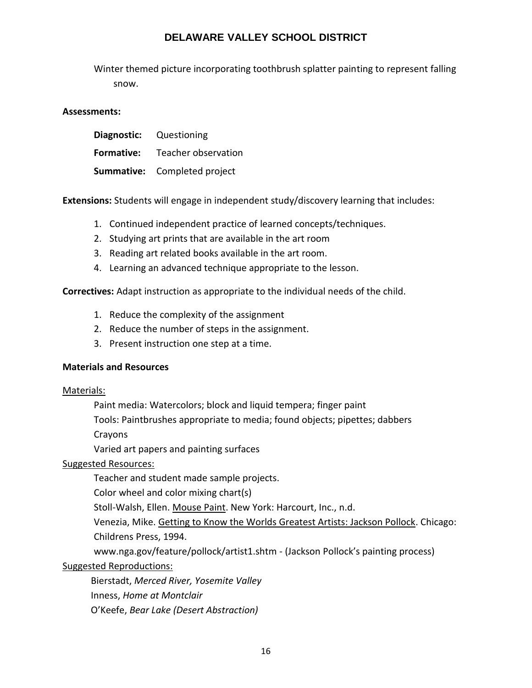Winter themed picture incorporating toothbrush splatter painting to represent falling snow.

#### **Assessments:**

| <b>Diagnostic:</b> Questioning |                                     |
|--------------------------------|-------------------------------------|
| <b>Formative:</b>              | Teacher observation                 |
|                                | <b>Summative:</b> Completed project |

**Extensions:** Students will engage in independent study/discovery learning that includes:

- 1. Continued independent practice of learned concepts/techniques.
- 2. Studying art prints that are available in the art room
- 3. Reading art related books available in the art room.
- 4. Learning an advanced technique appropriate to the lesson.

**Correctives:** Adapt instruction as appropriate to the individual needs of the child.

- 1. Reduce the complexity of the assignment
- 2. Reduce the number of steps in the assignment.
- 3. Present instruction one step at a time.

#### **Materials and Resources**

#### Materials:

Paint media: Watercolors; block and liquid tempera; finger paint

Tools: Paintbrushes appropriate to media; found objects; pipettes; dabbers

Crayons

Varied art papers and painting surfaces

#### Suggested Resources:

Teacher and student made sample projects.

Color wheel and color mixing chart(s)

Stoll-Walsh, Ellen. Mouse Paint. New York: Harcourt, Inc., n.d.

Venezia, Mike. Getting to Know the Worlds Greatest Artists: Jackson Pollock. Chicago: Childrens Press, 1994.

www.nga.gov/feature/pollock/artist1.shtm - (Jackson Pollock's painting process)

#### Suggested Reproductions:

 Bierstadt, *Merced River, Yosemite Valley* Inness, *Home at Montclair* O'Keefe, *Bear Lake (Desert Abstraction)*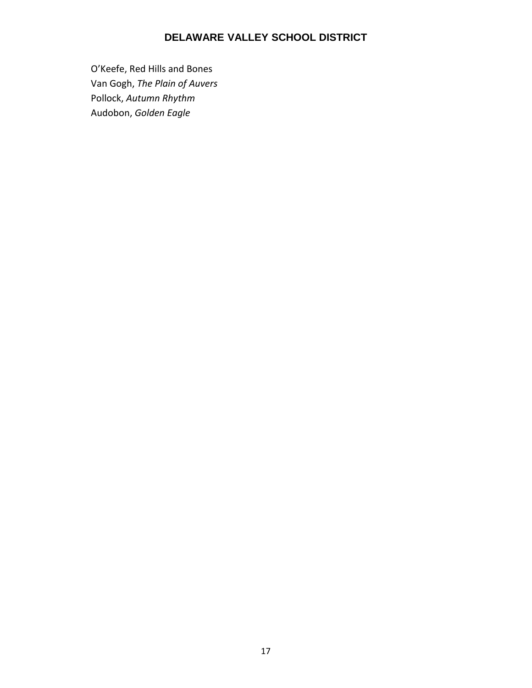O'Keefe, Red Hills and Bones Van Gogh, *The Plain of Auvers* Pollock, *Autumn Rhythm* Audobon, *Golden Eagle*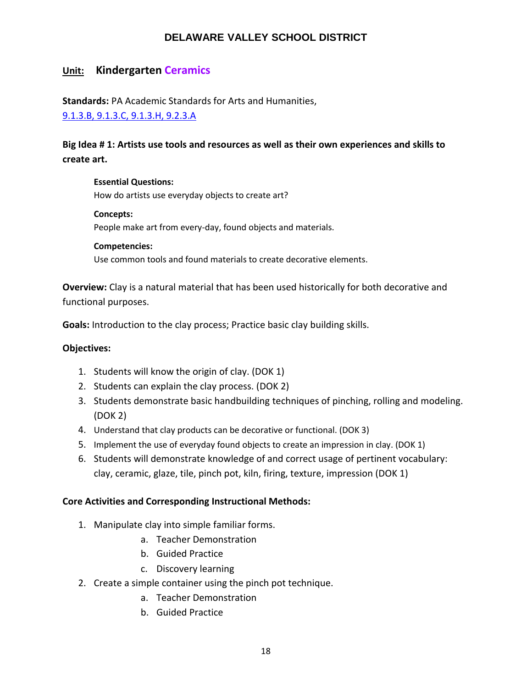# **Unit: Kindergarten Ceramics**

**Standards:** PA Academic Standards for Arts and Humanities, [9.1.3.B, 9.1.3.C, 9.1.3.H, 9.2.3.A](https://www.google.com/search?client=safari&rls=en&ei=HSwwW5-6DeyI5wLCv7aIDg&q=pa+academic+standards+for+arts+and+humanities&oq=academic+standards+for+art&gs_l=psy-ab.1.1.0i22i30k1l10.27595.34946.0.37173.26.26.0.0.0.0.174.2555.20j6.26.0....0...1.1.64.psy-ab..0.26.2551...0j35i39k1j0i131i67k1j0i131k1j0i67k1j0i131i20i264k1j0i20i264k1.0.k43KXC1M2ds)

# **Big Idea # 1: Artists use tools and resources as well as their own experiences and skills to create art.**

#### **Essential Questions:**

How do artists use everyday objects to create art?

#### **Concepts:**

People make art from every-day, found objects and materials.

#### **Competencies:**

Use common tools and found materials to create decorative elements.

**Overview:** Clay is a natural material that has been used historically for both decorative and functional purposes.

**Goals:** Introduction to the clay process; Practice basic clay building skills.

#### **Objectives:**

- 1. Students will know the origin of clay. (DOK 1)
- 2. Students can explain the clay process. (DOK 2)
- 3. Students demonstrate basic handbuilding techniques of pinching, rolling and modeling. (DOK 2)
- 4. Understand that clay products can be decorative or functional. (DOK 3)
- 5. Implement the use of everyday found objects to create an impression in clay. (DOK 1)
- 6. Students will demonstrate knowledge of and correct usage of pertinent vocabulary: clay, ceramic, glaze, tile, pinch pot, kiln, firing, texture, impression (DOK 1)

#### **Core Activities and Corresponding Instructional Methods:**

- 1. Manipulate clay into simple familiar forms.
	- a. Teacher Demonstration
	- b. Guided Practice
	- c. Discovery learning
- 2. Create a simple container using the pinch pot technique.
	- a. Teacher Demonstration
	- b. Guided Practice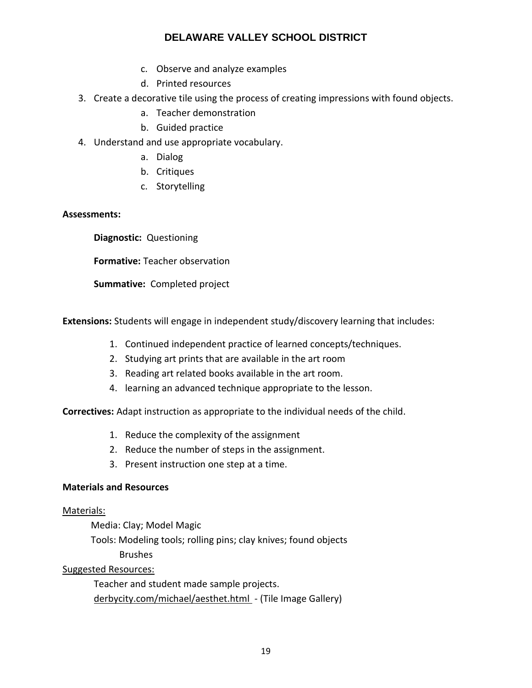- c. Observe and analyze examples
- d. Printed resources
- 3. Create a decorative tile using the process of creating impressions with found objects.
	- a. Teacher demonstration
	- b. Guided practice
- 4. Understand and use appropriate vocabulary.
	- a. Dialog
	- b. Critiques
	- c. Storytelling

#### **Assessments:**

 **Diagnostic:** Questioning

 **Formative:** Teacher observation

 **Summative:** Completed project

**Extensions:** Students will engage in independent study/discovery learning that includes:

- 1. Continued independent practice of learned concepts/techniques.
- 2. Studying art prints that are available in the art room
- 3. Reading art related books available in the art room.
- 4. learning an advanced technique appropriate to the lesson.

**Correctives:** Adapt instruction as appropriate to the individual needs of the child.

- 1. Reduce the complexity of the assignment
- 2. Reduce the number of steps in the assignment.
- 3. Present instruction one step at a time.

#### **Materials and Resources**

#### Materials:

Media: Clay; Model Magic

Tools: Modeling tools; rolling pins; clay knives; found objects

Brushes

Suggested Resources:

Teacher and student made sample projects. derbycity.com/michael/aesthet.html - (Tile Image Gallery)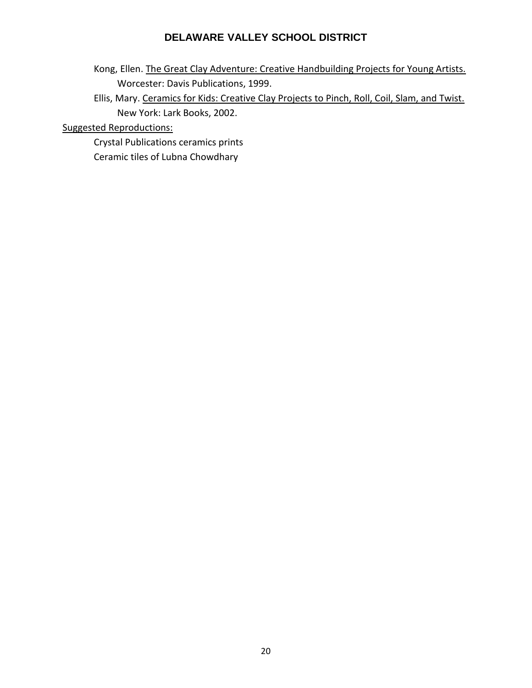- Kong, Ellen. The Great Clay Adventure: Creative Handbuilding Projects for Young Artists. Worcester: Davis Publications, 1999.
- Ellis, Mary. Ceramics for Kids: Creative Clay Projects to Pinch, Roll, Coil, Slam, and Twist. New York: Lark Books, 2002.

Suggested Reproductions:

Crystal Publications ceramics prints Ceramic tiles of Lubna Chowdhary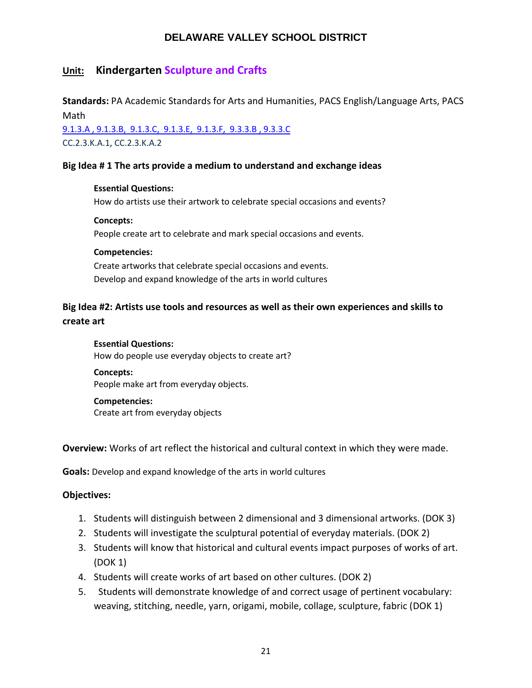# **Unit: Kindergarten Sculpture and Crafts**

**Standards:** PA Academic Standards for Arts and Humanities, PACS English/Language Arts, PACS Math

[9.1.3.A , 9.1.3.B, 9.1.3.C, 9.1.3.E, 9.1.3.F,](https://www.google.com/search?client=safari&rls=en&ei=HSwwW5-6DeyI5wLCv7aIDg&q=pa+academic+standards+for+arts+and+humanities&oq=academic+standards+for+art&gs_l=psy-ab.1.1.0i22i30k1l10.27595.34946.0.37173.26.26.0.0.0.0.174.2555.20j6.26.0....0...1.1.64.psy-ab..0.26.2551...0j35i39k1j0i131i67k1j0i131k1j0i67k1j0i131i20i264k1j0i20i264k1.0.k43KXC1M2ds) 9.3.3.B , 9.3.3.C CC.2.3.K.A.1, CC.2.3.K.A.2

#### **Big Idea # 1 The arts provide a medium to understand and exchange ideas**

#### **Essential Questions:**

How do artists use their artwork to celebrate special occasions and events?

#### **Concepts:**

People create art to celebrate and mark special occasions and events.

#### **Competencies:**

Create artworks that celebrate special occasions and events. Develop and expand knowledge of the arts in world cultures

# **Big Idea #2: Artists use tools and resources as well as their own experiences and skills to create art**

**Essential Questions:**  How do people use everyday objects to create art?

**Concepts:** People make art from everyday objects.

**Competencies:**  Create art from everyday objects

**Overview:** Works of art reflect the historical and cultural context in which they were made.

**Goals:** Develop and expand knowledge of the arts in world cultures

#### **Objectives:**

- 1. Students will distinguish between 2 dimensional and 3 dimensional artworks. (DOK 3)
- 2. Students will investigate the sculptural potential of everyday materials. (DOK 2)
- 3. Students will know that historical and cultural events impact purposes of works of art. (DOK 1)
- 4. Students will create works of art based on other cultures. (DOK 2)
- 5. Students will demonstrate knowledge of and correct usage of pertinent vocabulary: weaving, stitching, needle, yarn, origami, mobile, collage, sculpture, fabric (DOK 1)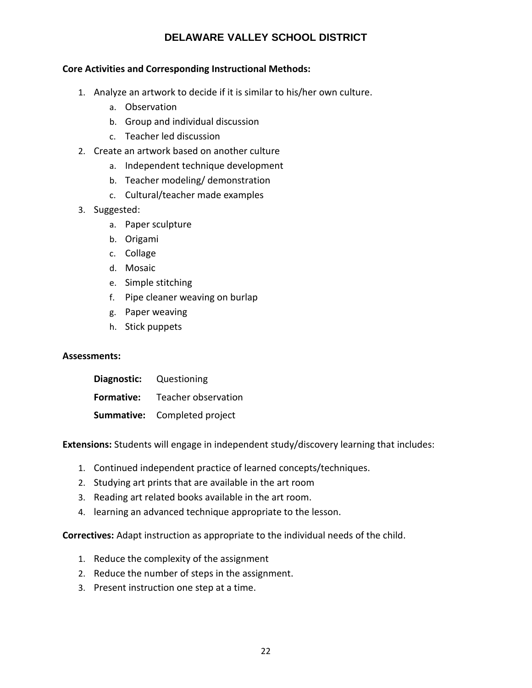#### **Core Activities and Corresponding Instructional Methods:**

- 1. Analyze an artwork to decide if it is similar to his/her own culture.
	- a. Observation
	- b. Group and individual discussion
	- c. Teacher led discussion
- 2. Create an artwork based on another culture
	- a. Independent technique development
	- b. Teacher modeling/ demonstration
	- c. Cultural/teacher made examples
- 3. Suggested:
	- a. Paper sculpture
	- b. Origami
	- c. Collage
	- d. Mosaic
	- e. Simple stitching
	- f. Pipe cleaner weaving on burlap
	- g. Paper weaving
	- h. Stick puppets

#### **Assessments:**

| Diagnostic: Questioning               |
|---------------------------------------|
| <b>Formative:</b> Teacher observation |
| <b>Summative:</b> Completed project   |

**Extensions:** Students will engage in independent study/discovery learning that includes:

- 1. Continued independent practice of learned concepts/techniques.
- 2. Studying art prints that are available in the art room
- 3. Reading art related books available in the art room.
- 4. learning an advanced technique appropriate to the lesson.

**Correctives:** Adapt instruction as appropriate to the individual needs of the child.

- 1. Reduce the complexity of the assignment
- 2. Reduce the number of steps in the assignment.
- 3. Present instruction one step at a time.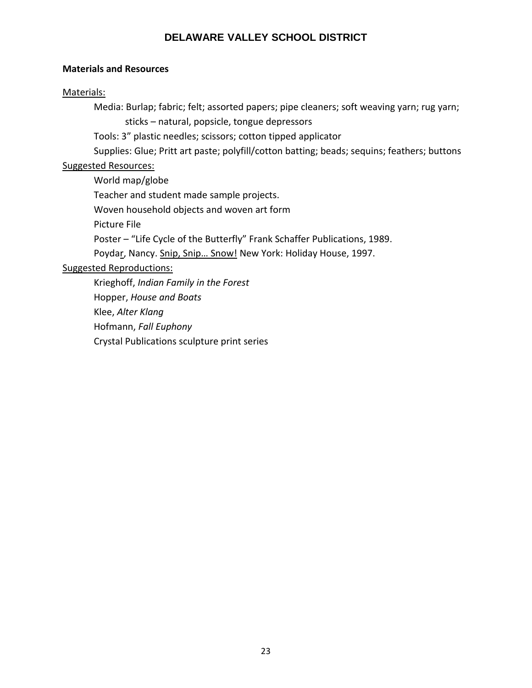#### **Materials and Resources**

#### Materials:

Media: Burlap; fabric; felt; assorted papers; pipe cleaners; soft weaving yarn; rug yarn; sticks – natural, popsicle, tongue depressors

Tools: 3" plastic needles; scissors; cotton tipped applicator

Supplies: Glue; Pritt art paste; polyfill/cotton batting; beads; sequins; feathers; buttons

# Suggested Resources:

World map/globe

Teacher and student made sample projects.

Woven household objects and woven art form

Picture File

Poster – "Life Cycle of the Butterfly" Frank Schaffer Publications, 1989.

Poydar, Nancy. Snip, Snip... Snow! New York: Holiday House, 1997.

# Suggested Reproductions:

Krieghoff, *Indian Family in the Forest* Hopper, *House and Boats* Klee, *Alter Klang* Hofmann, *Fall Euphony* Crystal Publications sculpture print series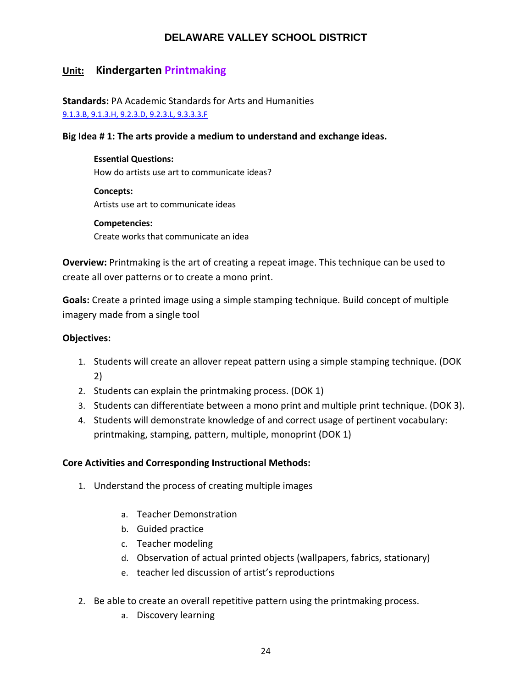# **Unit: Kindergarten Printmaking**

**Standards:** PA Academic Standards for Arts and Humanities [9.1.3.B, 9.1.3.H, 9.2.3.D, 9.2.3.L, 9.3.3.3.F](https://www.google.com/search?client=safari&rls=en&ei=HSwwW5-6DeyI5wLCv7aIDg&q=pa+academic+standards+for+arts+and+humanities&oq=academic+standards+for+art&gs_l=psy-ab.1.1.0i22i30k1l10.27595.34946.0.37173.26.26.0.0.0.0.174.2555.20j6.26.0....0...1.1.64.psy-ab..0.26.2551...0j35i39k1j0i131i67k1j0i131k1j0i67k1j0i131i20i264k1j0i20i264k1.0.k43KXC1M2ds)

#### **Big Idea # 1: The arts provide a medium to understand and exchange ideas.**

**Essential Questions:**  How do artists use art to communicate ideas?

**Concepts:**  Artists use art to communicate ideas

**Competencies:** Create works that communicate an idea

**Overview:** Printmaking is the art of creating a repeat image. This technique can be used to create all over patterns or to create a mono print.

**Goals:** Create a printed image using a simple stamping technique. Build concept of multiple imagery made from a single tool

#### **Objectives:**

- 1. Students will create an allover repeat pattern using a simple stamping technique. (DOK 2)
- 2. Students can explain the printmaking process. (DOK 1)
- 3. Students can differentiate between a mono print and multiple print technique. (DOK 3).
- 4. Students will demonstrate knowledge of and correct usage of pertinent vocabulary: printmaking, stamping, pattern, multiple, monoprint (DOK 1)

#### **Core Activities and Corresponding Instructional Methods:**

- 1. Understand the process of creating multiple images
	- a. Teacher Demonstration
	- b. Guided practice
	- c. Teacher modeling
	- d. Observation of actual printed objects (wallpapers, fabrics, stationary)
	- e. teacher led discussion of artist's reproductions
- 2. Be able to create an overall repetitive pattern using the printmaking process.
	- a. Discovery learning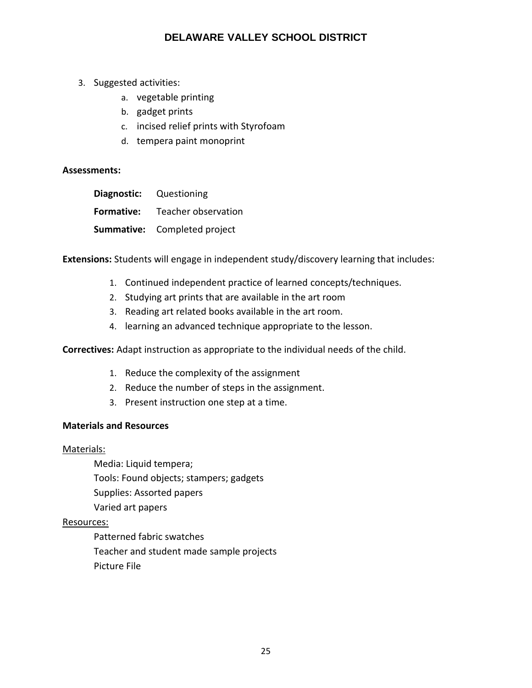- 3. Suggested activities:
	- a. vegetable printing
	- b. gadget prints
	- c. incised relief prints with Styrofoam
	- d. tempera paint monoprint

#### **Assessments:**

|                   | <b>Diagnostic:</b> Questioning      |
|-------------------|-------------------------------------|
| <b>Formative:</b> | Teacher observation                 |
|                   | <b>Summative:</b> Completed project |

**Extensions:** Students will engage in independent study/discovery learning that includes:

- 1. Continued independent practice of learned concepts/techniques.
- 2. Studying art prints that are available in the art room
- 3. Reading art related books available in the art room.
- 4. learning an advanced technique appropriate to the lesson.

**Correctives:** Adapt instruction as appropriate to the individual needs of the child.

- 1. Reduce the complexity of the assignment
- 2. Reduce the number of steps in the assignment.
- 3. Present instruction one step at a time.

#### **Materials and Resources**

#### Materials:

Media: Liquid tempera; Tools: Found objects; stampers; gadgets Supplies: Assorted papers Varied art papers

#### Resources:

Patterned fabric swatches Teacher and student made sample projects Picture File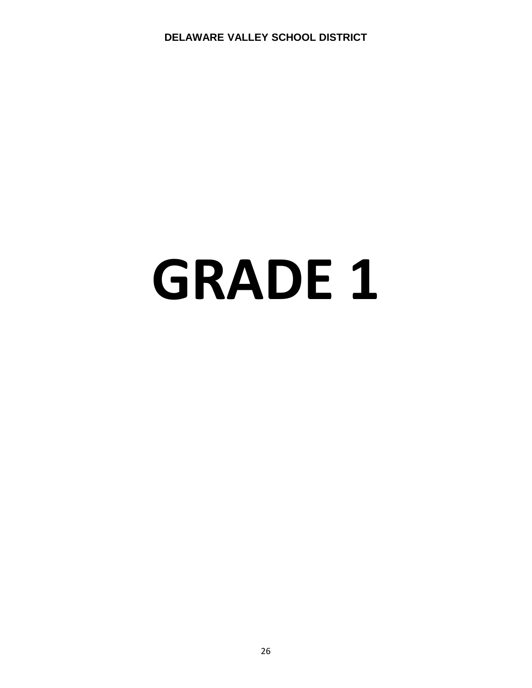# **GRADE 1**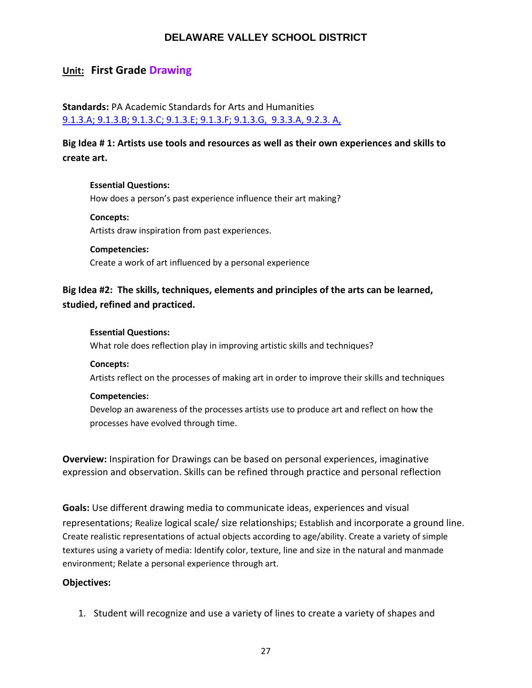## **Unit: First Grade Drawing**

**Standards:** PA Academic Standards for Arts and Humanities [9.1.3.A; 9.1.3.B; 9.1.3.C; 9.1.3.E; 9.1.3.F; 9.1.3.G, 9.3.3.A, 9.2.3. A,](https://www.google.com/search?client=safari&rls=en&ei=HSwwW5-6DeyI5wLCv7aIDg&q=pa+academic+standards+for+arts+and+humanities&oq=academic+standards+for+art&gs_l=psy-ab.1.1.0i22i30k1l10.27595.34946.0.37173.26.26.0.0.0.0.174.2555.20j6.26.0....0...1.1.64.psy-ab..0.26.2551...0j35i39k1j0i131i67k1j0i131k1j0i67k1j0i131i20i264k1j0i20i264k1.0.k43KXC1M2ds)

**Big Idea # 1: Artists use tools and resources as well as their own experiences and skills to create art.**

**Essential Questions:**  How does a person's past experience influence their art making?

**Concepts:**  Artists draw inspiration from past experiences.

**Competencies:**  Create a work of art influenced by a personal experience

**Big Idea #2: The skills, techniques, elements and principles of the arts can be learned, studied, refined and practiced.**

#### **Essential Questions:**

What role does reflection play in improving artistic skills and techniques?

**Concepts:**

Artists reflect on the processes of making art in order to improve their skills and techniques

#### **Competencies:**

Develop an awareness of the processes artists use to produce art and reflect on how the processes have evolved through time.

**Overview:** Inspiration for Drawings can be based on personal experiences, imaginative expression and observation. Skills can be refined through practice and personal reflection

**Goals:** Use different drawing media to communicate ideas, experiences and visual representations; Realize logical scale/ size relationships; Establish and incorporate a ground line. Create realistic representations of actual objects according to age/ability. Create a variety of simple textures using a variety of media: Identify color, texture, line and size in the natural and manmade environment; Relate a personal experience through art.

#### **Objectives:**

1. Student will recognize and use a variety of lines to create a variety of shapes and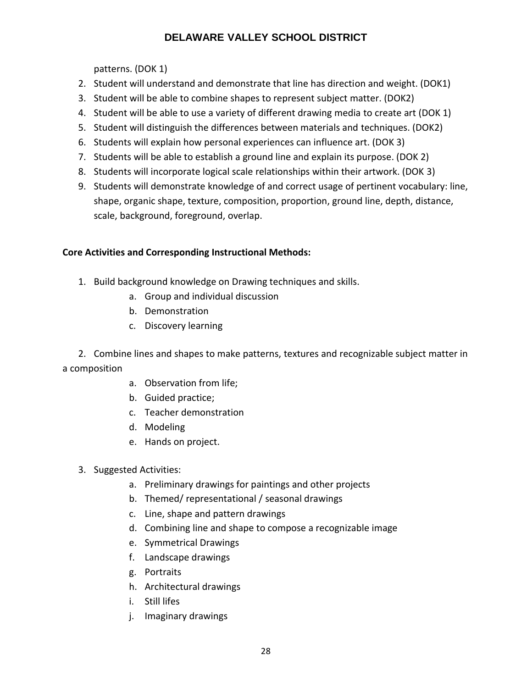patterns. (DOK 1)

- 2. Student will understand and demonstrate that line has direction and weight. (DOK1)
- 3. Student will be able to combine shapes to represent subject matter. (DOK2)
- 4. Student will be able to use a variety of different drawing media to create art (DOK 1)
- 5. Student will distinguish the differences between materials and techniques. (DOK2)
- 6. Students will explain how personal experiences can influence art. (DOK 3)
- 7. Students will be able to establish a ground line and explain its purpose. (DOK 2)
- 8. Students will incorporate logical scale relationships within their artwork. (DOK 3)
- 9. Students will demonstrate knowledge of and correct usage of pertinent vocabulary: line, shape, organic shape, texture, composition, proportion, ground line, depth, distance, scale, background, foreground, overlap.

# **Core Activities and Corresponding Instructional Methods:**

- 1. Build background knowledge on Drawing techniques and skills.
	- a. Group and individual discussion
	- b. Demonstration
	- c. Discovery learning

2. Combine lines and shapes to make patterns, textures and recognizable subject matter in a composition

- a. Observation from life;
- b. Guided practice;
- c. Teacher demonstration
- d. Modeling
- e. Hands on project.
- 3. Suggested Activities:
	- a. Preliminary drawings for paintings and other projects
	- b. Themed/ representational / seasonal drawings
	- c. Line, shape and pattern drawings
	- d. Combining line and shape to compose a recognizable image
	- e. Symmetrical Drawings
	- f. Landscape drawings
	- g. Portraits
	- h. Architectural drawings
	- i. Still lifes
	- j. Imaginary drawings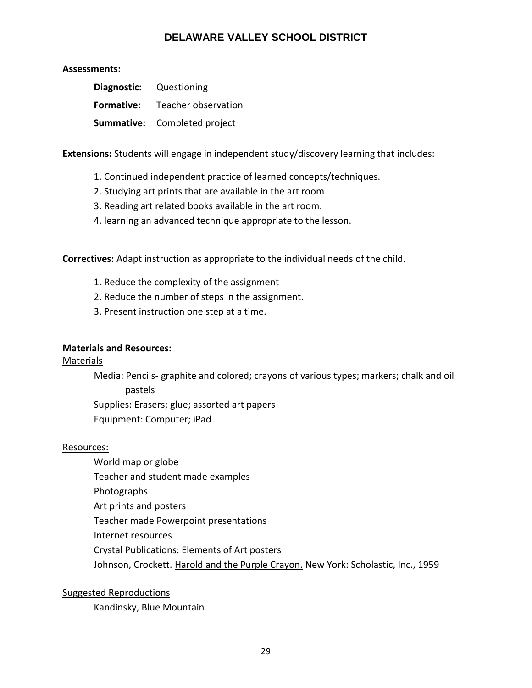#### **Assessments:**

|            | <b>Diagnostic:</b> Questioning      |
|------------|-------------------------------------|
| Formative: | Teacher observation                 |
|            | <b>Summative:</b> Completed project |

**Extensions:** Students will engage in independent study/discovery learning that includes:

- 1. Continued independent practice of learned concepts/techniques.
- 2. Studying art prints that are available in the art room
- 3. Reading art related books available in the art room.
- 4. learning an advanced technique appropriate to the lesson.

**Correctives:** Adapt instruction as appropriate to the individual needs of the child.

- 1. Reduce the complexity of the assignment
- 2. Reduce the number of steps in the assignment.
- 3. Present instruction one step at a time.

#### **Materials and Resources:**

#### Materials

Media: Pencils- graphite and colored; crayons of various types; markers; chalk and oil pastels

Supplies: Erasers; glue; assorted art papers

Equipment: Computer; iPad

#### Resources:

- World map or globe
- Teacher and student made examples
- Photographs
- Art prints and posters
- Teacher made Powerpoint presentations
- Internet resources
- Crystal Publications: Elements of Art posters
- Johnson, Crockett. Harold and the Purple Crayon. New York: Scholastic, Inc., 1959

Suggested Reproductions

Kandinsky, Blue Mountain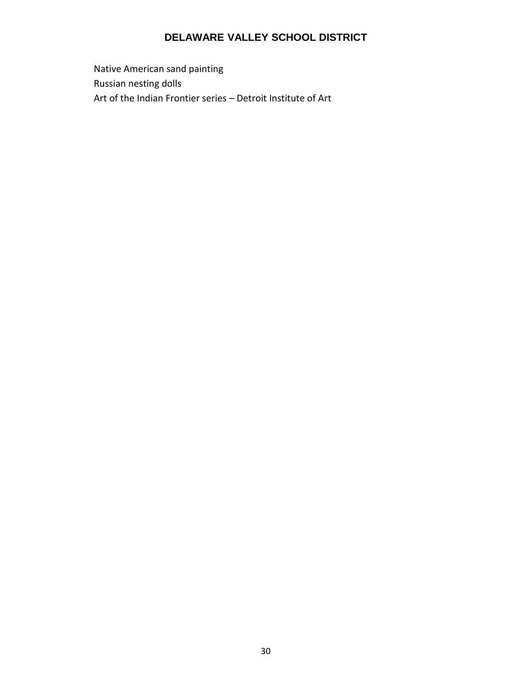Native American sand painting Russian nesting dolls Art of the Indian Frontier series – Detroit Institute of Art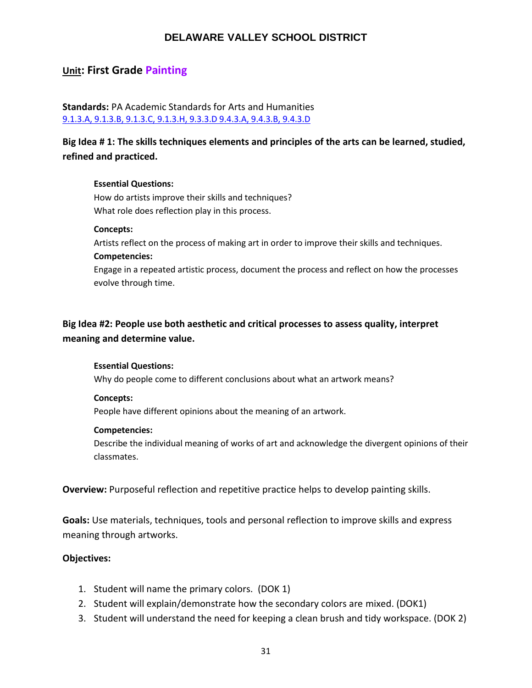# **Unit: First Grade Painting**

**Standards:** PA Academic Standards for Arts and Humanities [9.1.3.A, 9.1.3.B, 9.1.3.C, 9.1.3.H, 9.3.3.D 9.4.3.A, 9.4.3.B, 9.4.3.D](https://www.google.com/search?client=safari&rls=en&ei=HSwwW5-6DeyI5wLCv7aIDg&q=pa+academic+standards+for+arts+and+humanities&oq=academic+standards+for+art&gs_l=psy-ab.1.1.0i22i30k1l10.27595.34946.0.37173.26.26.0.0.0.0.174.2555.20j6.26.0....0...1.1.64.psy-ab..0.26.2551...0j35i39k1j0i131i67k1j0i131k1j0i67k1j0i131i20i264k1j0i20i264k1.0.k43KXC1M2ds)

**Big Idea # 1: The skills techniques elements and principles of the arts can be learned, studied, refined and practiced.**

#### **Essential Questions:**

How do artists improve their skills and techniques? What role does reflection play in this process.

#### **Concepts:**

Artists reflect on the process of making art in order to improve their skills and techniques. **Competencies:**

Engage in a repeated artistic process, document the process and reflect on how the processes evolve through time.

# **Big Idea #2: People use both aesthetic and critical processes to assess quality, interpret meaning and determine value.**

#### **Essential Questions:**

Why do people come to different conclusions about what an artwork means?

#### **Concepts:**

People have different opinions about the meaning of an artwork.

#### **Competencies:**

Describe the individual meaning of works of art and acknowledge the divergent opinions of their classmates.

**Overview:** Purposeful reflection and repetitive practice helps to develop painting skills.

**Goals:** Use materials, techniques, tools and personal reflection to improve skills and express meaning through artworks.

#### **Objectives:**

- 1. Student will name the primary colors. (DOK 1)
- 2. Student will explain/demonstrate how the secondary colors are mixed. (DOK1)
- 3. Student will understand the need for keeping a clean brush and tidy workspace. (DOK 2)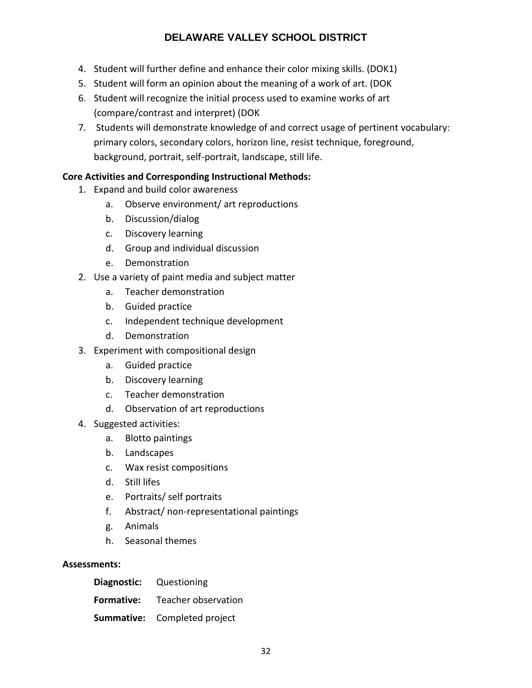- 4. Student will further define and enhance their color mixing skills. (DOK1)
- 5. Student will form an opinion about the meaning of a work of art. (DOK
- 6. Student will recognize the initial process used to examine works of art (compare/contrast and interpret) (DOK
- 7. Students will demonstrate knowledge of and correct usage of pertinent vocabulary: primary colors, secondary colors, horizon line, resist technique, foreground, background, portrait, self-portrait, landscape, still life.

#### **Core Activities and Corresponding Instructional Methods:**

- 1. Expand and build color awareness
	- a. Observe environment/ art reproductions
	- b. Discussion/dialog
	- c. Discovery learning
	- d. Group and individual discussion
	- e. Demonstration
- 2. Use a variety of paint media and subject matter
	- a. Teacher demonstration
	- b. Guided practice
	- c. Independent technique development
	- d. Demonstration
- 3. Experiment with compositional design
	- a. Guided practice
	- b. Discovery learning
	- c. Teacher demonstration
	- d. Observation of art reproductions
- 4. Suggested activities:
	- a. Blotto paintings
	- b. Landscapes
	- c. Wax resist compositions
	- d. Still lifes
	- e. Portraits/ self portraits
	- f. Abstract/ non-representational paintings
	- g. Animals
	- h. Seasonal themes

#### **Assessments:**

| <b>Diagnostic:</b> Questioning |                                       |
|--------------------------------|---------------------------------------|
|                                | <b>Formative:</b> Teacher observation |
|                                | <b>Summative:</b> Completed project   |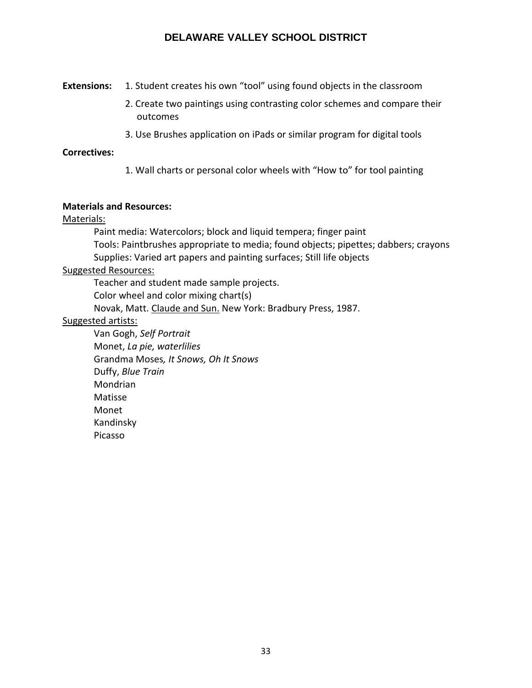**Extensions:** 1. Student creates his own "tool" using found objects in the classroom

- 2. Create two paintings using contrasting color schemes and compare their outcomes
- 3. Use Brushes application on iPads or similar program for digital tools

#### **Correctives:**

1. Wall charts or personal color wheels with "How to" for tool painting

#### **Materials and Resources:**

#### Materials:

Paint media: Watercolors; block and liquid tempera; finger paint Tools: Paintbrushes appropriate to media; found objects; pipettes; dabbers; crayons Supplies: Varied art papers and painting surfaces; Still life objects

#### Suggested Resources:

Teacher and student made sample projects. Color wheel and color mixing chart(s) Novak, Matt. Claude and Sun. New York: Bradbury Press, 1987.

#### Suggested artists:

Van Gogh, *Self Portrait* Monet, *La pie, waterlilies* Grandma Moses*, It Snows, Oh It Snows* Duffy, *Blue Train* Mondrian Matisse Monet Kandinsky Picasso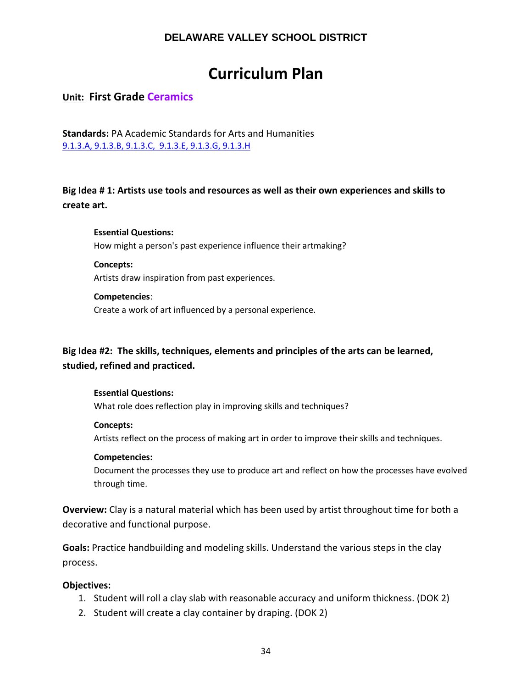# **Curriculum Plan**

**Unit: First Grade Ceramics**

**Standards:** PA Academic Standards for Arts and Humanities [9.1.3.A, 9.1.3.B, 9.1.3.C, 9.1.3.E, 9.1.3.G, 9.1.3.H](https://www.google.com/search?client=safari&rls=en&ei=HSwwW5-6DeyI5wLCv7aIDg&q=pa+academic+standards+for+arts+and+humanities&oq=academic+standards+for+art&gs_l=psy-ab.1.1.0i22i30k1l10.27595.34946.0.37173.26.26.0.0.0.0.174.2555.20j6.26.0....0...1.1.64.psy-ab..0.26.2551...0j35i39k1j0i131i67k1j0i131k1j0i67k1j0i131i20i264k1j0i20i264k1.0.k43KXC1M2ds)

**Big Idea # 1: Artists use tools and resources as well as their own experiences and skills to create art.**

**Essential Questions:**  How might a person's past experience influence their artmaking?

**Concepts:** Artists draw inspiration from past experiences.

#### **Competencies**:

Create a work of art influenced by a personal experience.

# **Big Idea #2: The skills, techniques, elements and principles of the arts can be learned, studied, refined and practiced.**

#### **Essential Questions:**

What role does reflection play in improving skills and techniques?

#### **Concepts:**

Artists reflect on the process of making art in order to improve their skills and techniques.

#### **Competencies:**

Document the processes they use to produce art and reflect on how the processes have evolved through time.

**Overview:** Clay is a natural material which has been used by artist throughout time for both a decorative and functional purpose.

**Goals:** Practice handbuilding and modeling skills. Understand the various steps in the clay process.

#### **Objectives:**

- 1. Student will roll a clay slab with reasonable accuracy and uniform thickness. (DOK 2)
- 2. Student will create a clay container by draping. (DOK 2)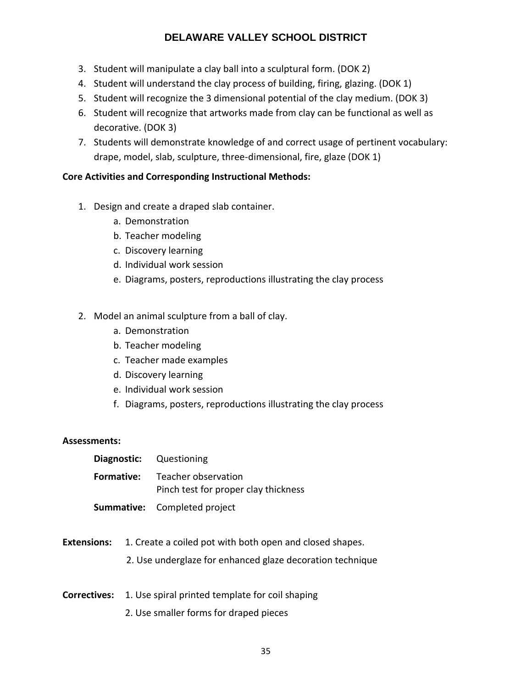- 3. Student will manipulate a clay ball into a sculptural form. (DOK 2)
- 4. Student will understand the clay process of building, firing, glazing. (DOK 1)
- 5. Student will recognize the 3 dimensional potential of the clay medium. (DOK 3)
- 6. Student will recognize that artworks made from clay can be functional as well as decorative. (DOK 3)
- 7. Students will demonstrate knowledge of and correct usage of pertinent vocabulary: drape, model, slab, sculpture, three-dimensional, fire, glaze (DOK 1)

#### **Core Activities and Corresponding Instructional Methods:**

- 1. Design and create a draped slab container.
	- a. Demonstration
	- b. Teacher modeling
	- c. Discovery learning
	- d. Individual work session
	- e. Diagrams, posters, reproductions illustrating the clay process
- 2. Model an animal sculpture from a ball of clay.
	- a. Demonstration
	- b. Teacher modeling
	- c. Teacher made examples
	- d. Discovery learning
	- e. Individual work session
	- f. Diagrams, posters, reproductions illustrating the clay process

#### **Assessments:**

| <b>Diagnostic:</b> Questioning |                                                                               |
|--------------------------------|-------------------------------------------------------------------------------|
|                                | <b>Formative:</b> Teacher observation<br>Pinch test for proper clay thickness |
|                                | <b>Summative:</b> Completed project                                           |

- **Extensions:** 1. Create a coiled pot with both open and closed shapes.
	- 2. Use underglaze for enhanced glaze decoration technique
- **Correctives:** 1. Use spiral printed template for coil shaping
	- 2. Use smaller forms for draped pieces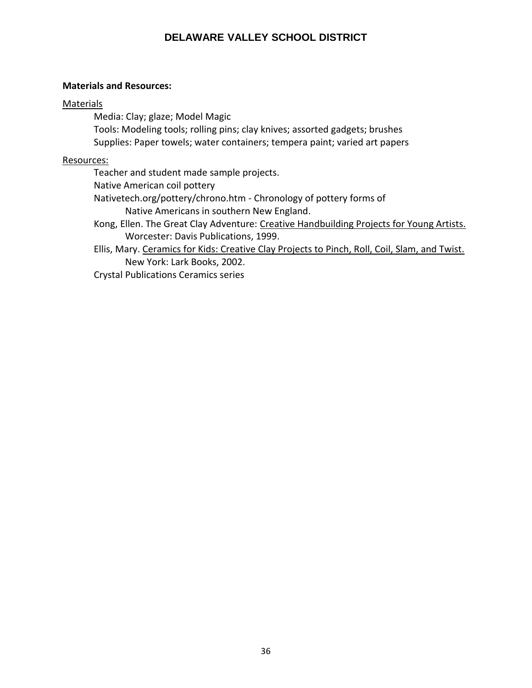#### **Materials and Resources:**

#### Materials

Media: Clay; glaze; Model Magic

Tools: Modeling tools; rolling pins; clay knives; assorted gadgets; brushes Supplies: Paper towels; water containers; tempera paint; varied art papers

#### Resources:

Teacher and student made sample projects.

Native American coil pottery

Nativetech.org/pottery/chrono.htm - Chronology of pottery forms of

Native Americans in southern New England.

Kong, Ellen. The Great Clay Adventure: Creative Handbuilding Projects for Young Artists. Worcester: Davis Publications, 1999.

Ellis, Mary. Ceramics for Kids: Creative Clay Projects to Pinch, Roll, Coil, Slam, and Twist. New York: Lark Books, 2002.

Crystal Publications Ceramics series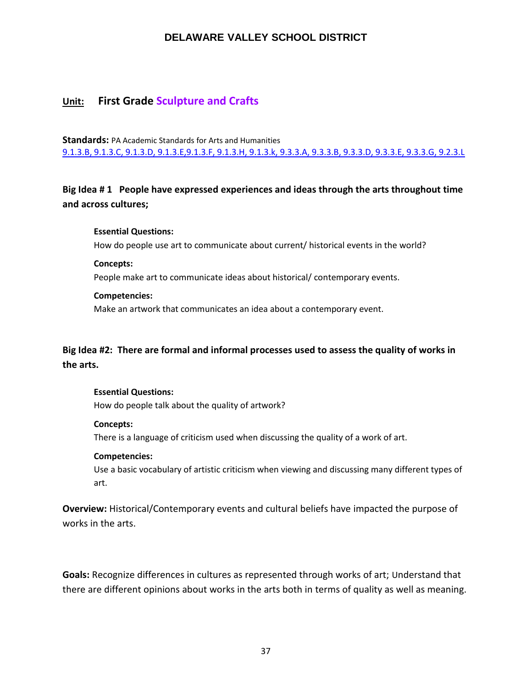## **Unit: First Grade Sculpture and Crafts**

**Standards:** PA Academic Standards for Arts and Humanities [9.1.3.B, 9.1.3.C, 9.1.3.D, 9.1.3.E,9.1.3.F, 9.1.3.H, 9.1.3.k, 9.3.3.A, 9.3.3.B, 9.3.3.D, 9.3.3.E, 9.3.3.G, 9.2.3.L](https://www.google.com/search?client=safari&rls=en&ei=HSwwW5-6DeyI5wLCv7aIDg&q=pa+academic+standards+for+arts+and+humanities&oq=academic+standards+for+art&gs_l=psy-ab.1.1.0i22i30k1l10.27595.34946.0.37173.26.26.0.0.0.0.174.2555.20j6.26.0....0...1.1.64.psy-ab..0.26.2551...0j35i39k1j0i131i67k1j0i131k1j0i67k1j0i131i20i264k1j0i20i264k1.0.k43KXC1M2ds)

# **Big Idea # 1 People have expressed experiences and ideas through the arts throughout time and across cultures;**

#### **Essential Questions:**

How do people use art to communicate about current/ historical events in the world?

#### **Concepts:**

People make art to communicate ideas about historical/ contemporary events.

#### **Competencies:**

Make an artwork that communicates an idea about a contemporary event.

# **Big Idea #2: There are formal and informal processes used to assess the quality of works in the arts.**

#### **Essential Questions:**

How do people talk about the quality of artwork?

#### **Concepts:**

There is a language of criticism used when discussing the quality of a work of art.

#### **Competencies:**

Use a basic vocabulary of artistic criticism when viewing and discussing many different types of art.

**Overview:** Historical/Contemporary events and cultural beliefs have impacted the purpose of works in the arts.

**Goals:** Recognize differences in cultures as represented through works of art; Understand that there are different opinions about works in the arts both in terms of quality as well as meaning.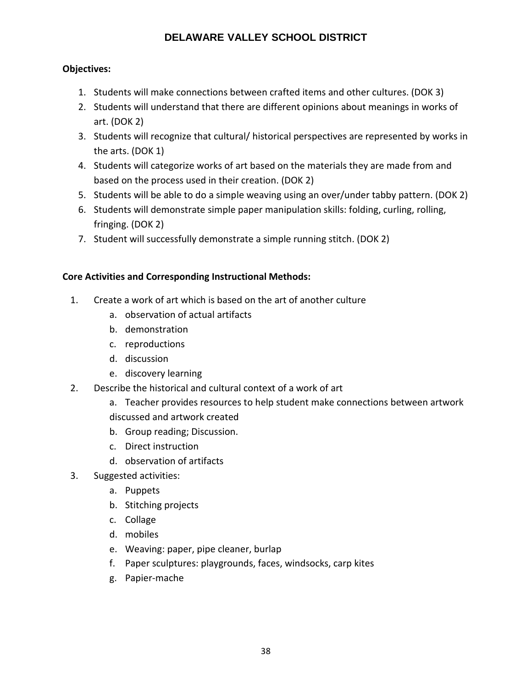## **Objectives:**

- 1. Students will make connections between crafted items and other cultures. (DOK 3)
- 2. Students will understand that there are different opinions about meanings in works of art. (DOK 2)
- 3. Students will recognize that cultural/ historical perspectives are represented by works in the arts. (DOK 1)
- 4. Students will categorize works of art based on the materials they are made from and based on the process used in their creation. (DOK 2)
- 5. Students will be able to do a simple weaving using an over/under tabby pattern. (DOK 2)
- 6. Students will demonstrate simple paper manipulation skills: folding, curling, rolling, fringing. (DOK 2)
- 7. Student will successfully demonstrate a simple running stitch. (DOK 2)

## **Core Activities and Corresponding Instructional Methods:**

- 1. Create a work of art which is based on the art of another culture
	- a. observation of actual artifacts
	- b. demonstration
	- c. reproductions
	- d. discussion
	- e. discovery learning
- 2. Describe the historical and cultural context of a work of art
	- a. Teacher provides resources to help student make connections between artwork discussed and artwork created
	- b. Group reading; Discussion.
	- c. Direct instruction
	- d. observation of artifacts
- 3. Suggested activities:
	- a. Puppets
	- b. Stitching projects
	- c. Collage
	- d. mobiles
	- e. Weaving: paper, pipe cleaner, burlap
	- f. Paper sculptures: playgrounds, faces, windsocks, carp kites
	- g. Papier-mache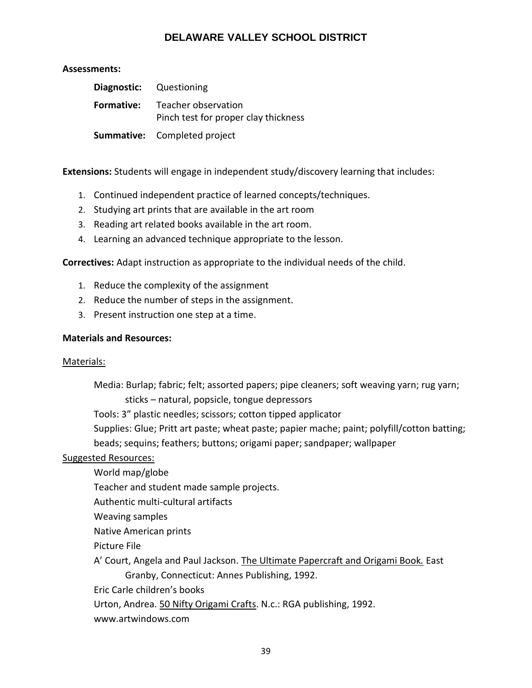## **Assessments:**

| <b>Diagnostic:</b> Questioning                                                |
|-------------------------------------------------------------------------------|
| <b>Formative:</b> Teacher observation<br>Pinch test for proper clay thickness |
| <b>Summative:</b> Completed project                                           |

**Extensions:** Students will engage in independent study/discovery learning that includes:

- 1. Continued independent practice of learned concepts/techniques.
- 2. Studying art prints that are available in the art room
- 3. Reading art related books available in the art room.
- 4. Learning an advanced technique appropriate to the lesson.

**Correctives:** Adapt instruction as appropriate to the individual needs of the child.

- 1. Reduce the complexity of the assignment
- 2. Reduce the number of steps in the assignment.
- 3. Present instruction one step at a time.

## **Materials and Resources:**

## Materials:

Media: Burlap; fabric; felt; assorted papers; pipe cleaners; soft weaving yarn; rug yarn; sticks – natural, popsicle, tongue depressors

Tools: 3" plastic needles; scissors; cotton tipped applicator

Supplies: Glue; Pritt art paste; wheat paste; papier mache; paint; polyfill/cotton batting; beads; sequins; feathers; buttons; origami paper; sandpaper; wallpaper

## Suggested Resources:

- World map/globe
- Teacher and student made sample projects.

Authentic multi-cultural artifacts

Weaving samples

Native American prints

Picture File

A' Court, Angela and Paul Jackson. The Ultimate Papercraft and Origami Book*.* East Granby, Connecticut: Annes Publishing, 1992.

Eric Carle children's books

Urton, Andrea. 50 Nifty Origami Crafts. N.c.: RGA publishing, 1992.

www.artwindows.com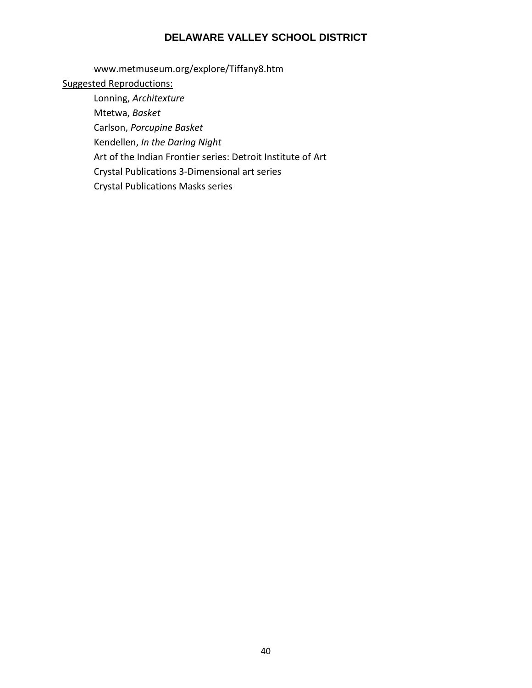www.metmuseum.org/explore/Tiffany8.htm

# Suggested Reproductions:

Lonning, *Architexture* Mtetwa, *Basket* Carlson, *Porcupine Basket* Kendellen, *In the Daring Night* Art of the Indian Frontier series: Detroit Institute of Art Crystal Publications 3-Dimensional art series Crystal Publications Masks series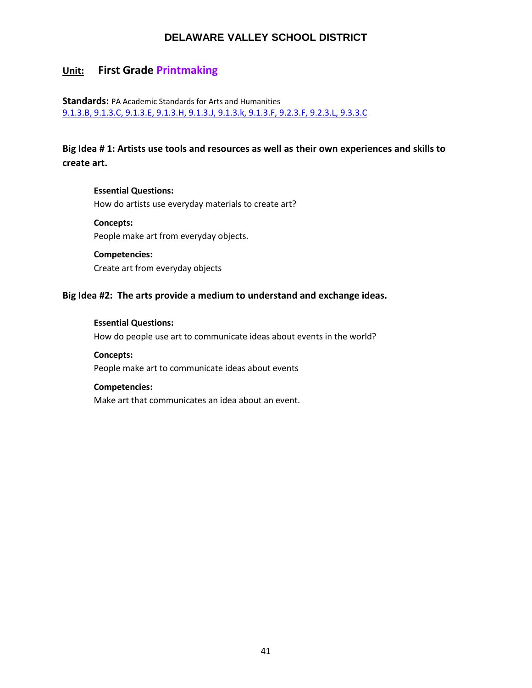# **Unit: First Grade Printmaking**

## **Standards:** PA Academic Standards for Arts and Humanitie[s](https://www.google.com/search?client=safari&rls=en&ei=HSwwW5-6DeyI5wLCv7aIDg&q=pa+academic+standards+for+arts+and+humanities&oq=academic+standards+for+art&gs_l=psy-ab.1.1.0i22i30k1l10.27595.34946.0.37173.26.26.0.0.0.0.174.2555.20j6.26.0....0...1.1.64.psy-ab..0.26.2551...0j35i39k1j0i131i67k1j0i131k1j0i67k1j0i131i20i264k1j0i20i264k1.0.k43KXC1M2ds) [9.1.3.B, 9.1.3.C, 9.1.3.E, 9.1.3.H, 9.1.3.J, 9.1.3.k, 9.1.3.F, 9.2.3.F, 9.2.3.L, 9.3.3.C](https://www.google.com/search?client=safari&rls=en&ei=HSwwW5-6DeyI5wLCv7aIDg&q=pa+academic+standards+for+arts+and+humanities&oq=academic+standards+for+art&gs_l=psy-ab.1.1.0i22i30k1l10.27595.34946.0.37173.26.26.0.0.0.0.174.2555.20j6.26.0....0...1.1.64.psy-ab..0.26.2551...0j35i39k1j0i131i67k1j0i131k1j0i67k1j0i131i20i264k1j0i20i264k1.0.k43KXC1M2ds)

# **Big Idea # 1: Artists use tools and resources as well as their own experiences and skills to create art.**

## **Essential Questions:**  How do artists use everyday materials to create art?

**Concepts:**  People make art from everyday objects.

## **Competencies:**

Create art from everyday objects

## **Big Idea #2: The arts provide a medium to understand and exchange ideas.**

#### **Essential Questions:**

How do people use art to communicate ideas about events in the world?

**Concepts:** People make art to communicate ideas about events

## **Competencies:**

Make art that communicates an idea about an event.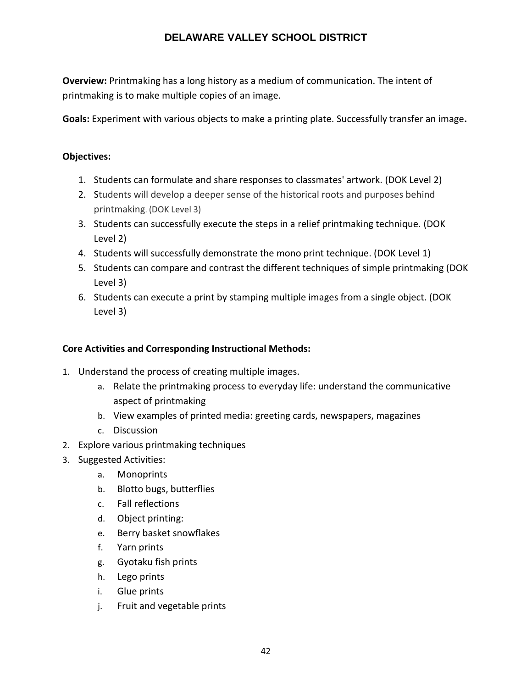**Overview:** Printmaking has a long history as a medium of communication. The intent of printmaking is to make multiple copies of an image.

**Goals:** Experiment with various objects to make a printing plate. Successfully transfer an image**.**

## **Objectives:**

- 1. Students can formulate and share responses to classmates' artwork. (DOK Level 2)
- 2. Students will develop a deeper sense of the historical roots and purposes behind printmaking. (DOK Level 3)
- 3. Students can successfully execute the steps in a relief printmaking technique. (DOK Level 2)
- 4. Students will successfully demonstrate the mono print technique. (DOK Level 1)
- 5. Students can compare and contrast the different techniques of simple printmaking (DOK Level 3)
- 6. Students can execute a print by stamping multiple images from a single object. (DOK Level 3)

## **Core Activities and Corresponding Instructional Methods:**

- 1. Understand the process of creating multiple images.
	- a. Relate the printmaking process to everyday life: understand the communicative aspect of printmaking
	- b. View examples of printed media: greeting cards, newspapers, magazines
	- c. Discussion
- 2. Explore various printmaking techniques
- 3. Suggested Activities:
	- a. Monoprints
	- b. Blotto bugs, butterflies
	- c. Fall reflections
	- d. Object printing:
	- e. Berry basket snowflakes
	- f. Yarn prints
	- g. Gyotaku fish prints
	- h. Lego prints
	- i. Glue prints
	- j. Fruit and vegetable prints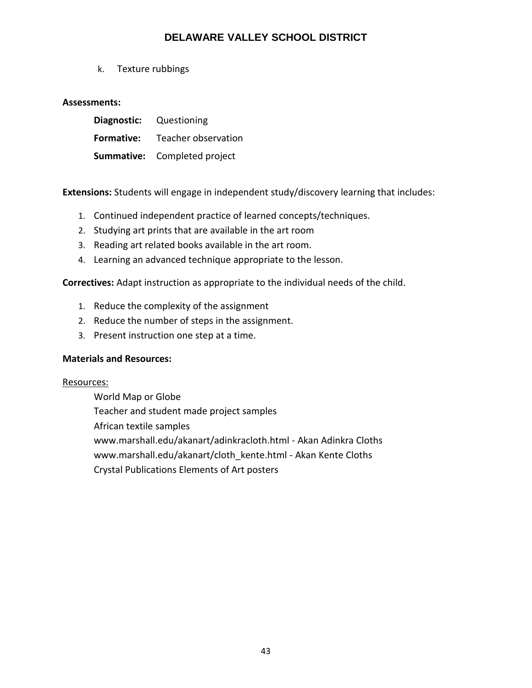k. Texture rubbings

## **Assessments:**

| Diagnostic: Questioning |                                     |
|-------------------------|-------------------------------------|
| <b>Formative:</b>       | Teacher observation                 |
|                         | <b>Summative:</b> Completed project |

**Extensions:** Students will engage in independent study/discovery learning that includes:

- 1. Continued independent practice of learned concepts/techniques.
- 2. Studying art prints that are available in the art room
- 3. Reading art related books available in the art room.
- 4. Learning an advanced technique appropriate to the lesson.

**Correctives:** Adapt instruction as appropriate to the individual needs of the child.

- 1. Reduce the complexity of the assignment
- 2. Reduce the number of steps in the assignment.
- 3. Present instruction one step at a time.

## **Materials and Resources:**

## Resources:

World Map or Globe Teacher and student made project samples African textile samples www.marshall.edu/akanart/adinkracloth.html - Akan Adinkra Cloths www.marshall.edu/akanart/cloth\_kente.html - Akan Kente Cloths Crystal Publications Elements of Art posters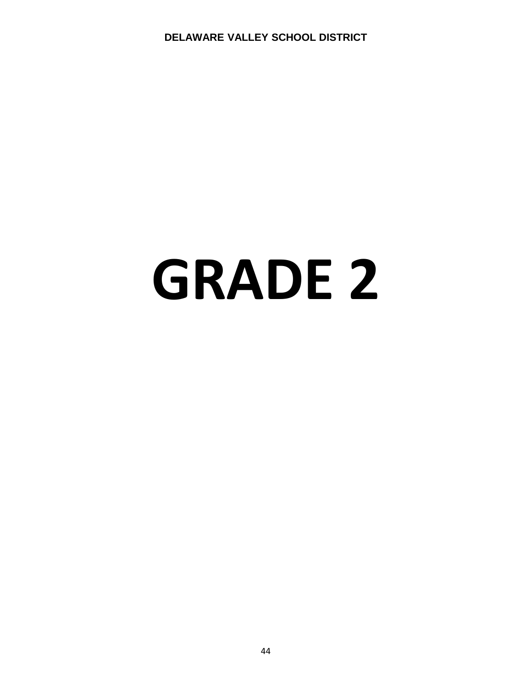# **GRADE 2**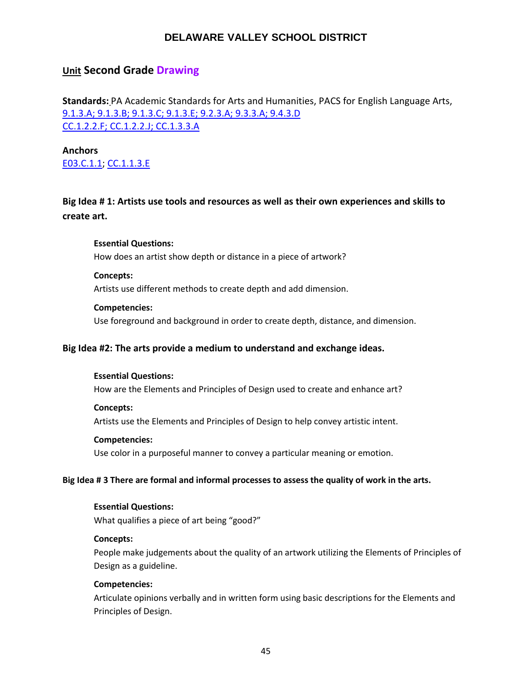# **Unit Second Grade Drawing**

**Standards:** PA Academic Standards for Arts and Humanities, PACS for English Language Arts, [9.1.3.A; 9.1.3.B; 9.1.3.C; 9.1.3.E; 9.2.3.A; 9.3.3.A; 9.4.3.D](https://www.google.com/search?client=safari&rls=en&ei=HSwwW5-6DeyI5wLCv7aIDg&q=pa+academic+standards+for+arts+and+humanities&oq=academic+standards+for+art&gs_l=psy-ab.1.1.0i22i30k1l10.27595.34946.0.37173.26.26.0.0.0.0.174.2555.20j6.26.0....0...1.1.64.psy-ab..0.26.2551...0j35i39k1j0i131i67k1j0i131k1j0i67k1j0i131i20i264k1j0i20i264k1.0.k43KXC1M2ds) [CC.1.2.2.F; CC.1.2.2.J; CC.1.3.3.A](https://www.pdesas.org/Standard/Detail/?linkStandardId=0&standardId=159860)

**Anchors**  [E03.C.1.1;](https://www.pdesas.org/Standard/Detail?linkStandardId=0&standardId=161569) [CC.1.1.3.E](http://www.pdesas.org/Standard/Detail/?linkStandardId=0&standardId=159808)

**Big Idea # 1: Artists use tools and resources as well as their own experiences and skills to create art.**

**Essential Questions:**  How does an artist show depth or distance in a piece of artwork?

**Concepts:** 

Artists use different methods to create depth and add dimension.

#### **Competencies:**

Use foreground and background in order to create depth, distance, and dimension.

#### **Big Idea #2: The arts provide a medium to understand and exchange ideas.**

#### **Essential Questions:**

How are the Elements and Principles of Design used to create and enhance art?

#### **Concepts:**

Artists use the Elements and Principles of Design to help convey artistic intent.

#### **Competencies:**

Use color in a purposeful manner to convey a particular meaning or emotion.

#### **Big Idea # 3 There are formal and informal processes to assess the quality of work in the arts.**

#### **Essential Questions:**

What qualifies a piece of art being "good?"

#### **Concepts:**

People make judgements about the quality of an artwork utilizing the Elements of Principles of Design as a guideline.

#### **Competencies:**

Articulate opinions verbally and in written form using basic descriptions for the Elements and Principles of Design.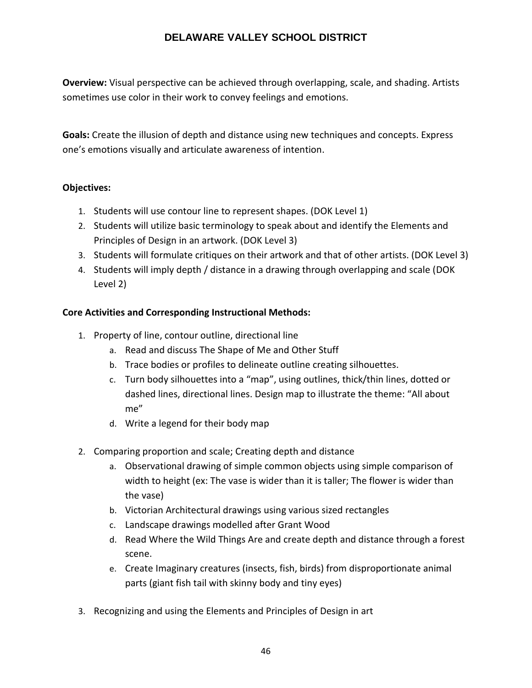**Overview:** Visual perspective can be achieved through overlapping, scale, and shading. Artists sometimes use color in their work to convey feelings and emotions.

**Goals:** Create the illusion of depth and distance using new techniques and concepts. Express one's emotions visually and articulate awareness of intention.

## **Objectives:**

- 1. Students will use contour line to represent shapes. (DOK Level 1)
- 2. Students will utilize basic terminology to speak about and identify the Elements and Principles of Design in an artwork. (DOK Level 3)
- 3. Students will formulate critiques on their artwork and that of other artists. (DOK Level 3)
- 4. Students will imply depth / distance in a drawing through overlapping and scale (DOK Level 2)

## **Core Activities and Corresponding Instructional Methods:**

- 1. Property of line, contour outline, directional line
	- a. Read and discuss The Shape of Me and Other Stuff
	- b. Trace bodies or profiles to delineate outline creating silhouettes.
	- c. Turn body silhouettes into a "map", using outlines, thick/thin lines, dotted or dashed lines, directional lines. Design map to illustrate the theme: "All about me"
	- d. Write a legend for their body map
- 2. Comparing proportion and scale; Creating depth and distance
	- a. Observational drawing of simple common objects using simple comparison of width to height (ex: The vase is wider than it is taller; The flower is wider than the vase)
	- b. Victorian Architectural drawings using various sized rectangles
	- c. Landscape drawings modelled after Grant Wood
	- d. Read Where the Wild Things Are and create depth and distance through a forest scene.
	- e. Create Imaginary creatures (insects, fish, birds) from disproportionate animal parts (giant fish tail with skinny body and tiny eyes)
- 3. Recognizing and using the Elements and Principles of Design in art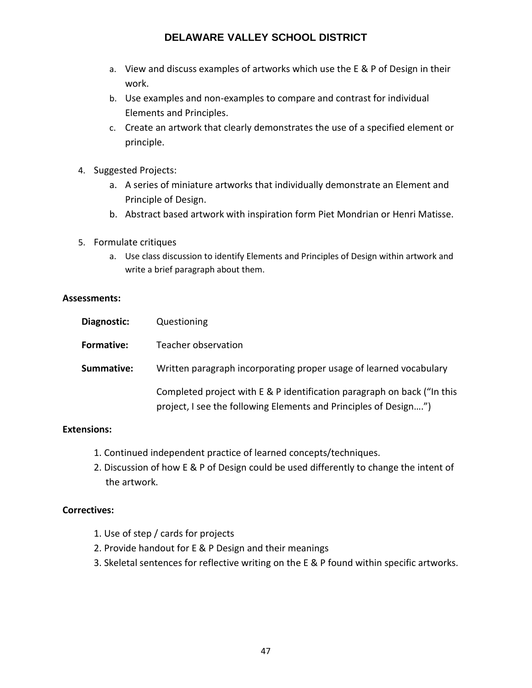- a. View and discuss examples of artworks which use the E & P of Design in their work.
- b. Use examples and non-examples to compare and contrast for individual Elements and Principles.
- c. Create an artwork that clearly demonstrates the use of a specified element or principle.
- 4. Suggested Projects:
	- a. A series of miniature artworks that individually demonstrate an Element and Principle of Design.
	- b. Abstract based artwork with inspiration form Piet Mondrian or Henri Matisse.
- 5. Formulate critiques
	- a. Use class discussion to identify Elements and Principles of Design within artwork and write a brief paragraph about them.

## **Assessments:**

| Diagnostic:       | Questioning                                                                                                                                 |
|-------------------|---------------------------------------------------------------------------------------------------------------------------------------------|
| <b>Formative:</b> | Teacher observation                                                                                                                         |
| Summative:        | Written paragraph incorporating proper usage of learned vocabulary                                                                          |
|                   | Completed project with E & P identification paragraph on back ("In this<br>project, I see the following Elements and Principles of Design") |

## **Extensions:**

- 1. Continued independent practice of learned concepts/techniques.
- 2. Discussion of how E & P of Design could be used differently to change the intent of the artwork.

## **Correctives:**

- 1. Use of step / cards for projects
- 2. Provide handout for E & P Design and their meanings
- 3. Skeletal sentences for reflective writing on the E & P found within specific artworks.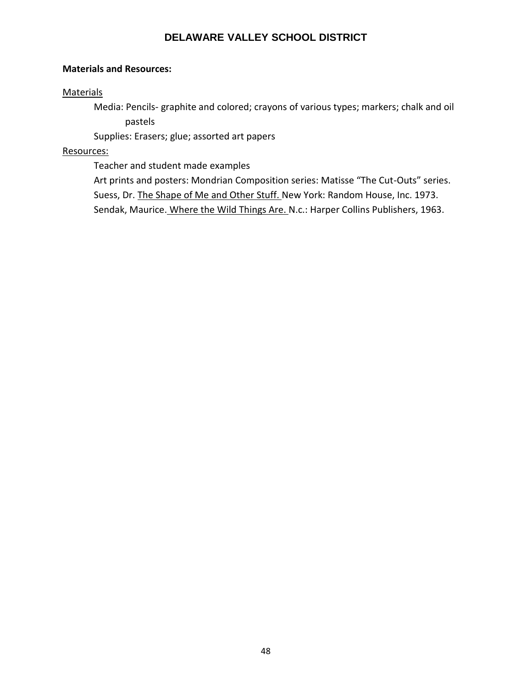#### **Materials and Resources:**

#### **Materials**

Media: Pencils- graphite and colored; crayons of various types; markers; chalk and oil pastels

Supplies: Erasers; glue; assorted art papers

#### Resources:

Teacher and student made examples

Art prints and posters: Mondrian Composition series: Matisse "The Cut-Outs" series. Suess, Dr. The Shape of Me and Other Stuff. New York: Random House, Inc. 1973. Sendak, Maurice. Where the Wild Things Are. N.c.: Harper Collins Publishers, 1963.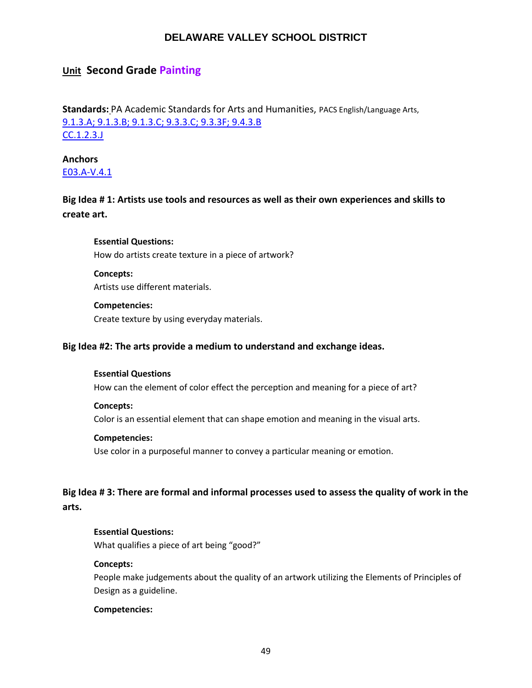## **Unit Second Grade Painting**

**Standards:** PA Academic Standards for Arts and Humanities, PACS English/Language Arts, [9.1.3.A; 9.1.3.B; 9.1.3.C; 9.3.3.C; 9.3.3F; 9.4.3.B](https://www.google.com/search?client=safari&rls=en&ei=HSwwW5-6DeyI5wLCv7aIDg&q=pa+academic+standards+for+arts+and+humanities&oq=academic+standards+for+art&gs_l=psy-ab.1.1.0i22i30k1l10.27595.34946.0.37173.26.26.0.0.0.0.174.2555.20j6.26.0....0...1.1.64.psy-ab..0.26.2551...0j35i39k1j0i131i67k1j0i131k1j0i67k1j0i131i20i264k1j0i20i264k1.0.k43KXC1M2ds) [CC.1.2.3.J](https://www.pdesas.org/Standard/Detail?linkStandardId=0&standardId=160086)

**Anchors**  [E03.A-V.4.1](https://www.pdesas.org/Standard/Detail?linkStandardId=0&standardId=161591)

**Big Idea # 1: Artists use tools and resources as well as their own experiences and skills to create art.**

**Essential Questions:**  How do artists create texture in a piece of artwork?

**Concepts:**  Artists use different materials.

## **Competencies:**

Create texture by using everyday materials.

#### **Big Idea #2: The arts provide a medium to understand and exchange ideas.**

#### **Essential Questions**

How can the element of color effect the perception and meaning for a piece of art?

#### **Concepts:**

Color is an essential element that can shape emotion and meaning in the visual arts.

#### **Competencies:**

Use color in a purposeful manner to convey a particular meaning or emotion.

**Big Idea # 3: There are formal and informal processes used to assess the quality of work in the arts.**

#### **Essential Questions:**

What qualifies a piece of art being "good?"

#### **Concepts:**

People make judgements about the quality of an artwork utilizing the Elements of Principles of Design as a guideline.

#### **Competencies:**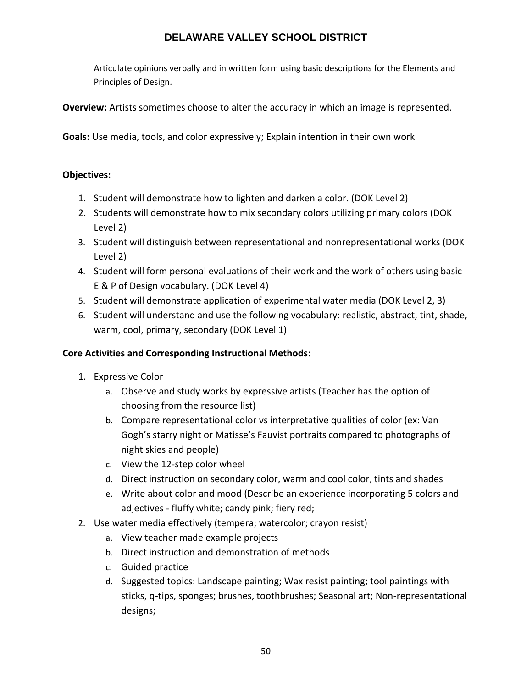Articulate opinions verbally and in written form using basic descriptions for the Elements and Principles of Design.

**Overview:** Artists sometimes choose to alter the accuracy in which an image is represented.

**Goals:** Use media, tools, and color expressively; Explain intention in their own work

## **Objectives:**

- 1. Student will demonstrate how to lighten and darken a color. (DOK Level 2)
- 2. Students will demonstrate how to mix secondary colors utilizing primary colors (DOK Level 2)
- 3. Student will distinguish between representational and nonrepresentational works (DOK Level 2)
- 4. Student will form personal evaluations of their work and the work of others using basic E & P of Design vocabulary. (DOK Level 4)
- 5. Student will demonstrate application of experimental water media (DOK Level 2, 3)
- 6. Student will understand and use the following vocabulary: realistic, abstract, tint, shade, warm, cool, primary, secondary (DOK Level 1)

## **Core Activities and Corresponding Instructional Methods:**

- 1. Expressive Color
	- a. Observe and study works by expressive artists (Teacher has the option of choosing from the resource list)
	- b. Compare representational color vs interpretative qualities of color (ex: Van Gogh's starry night or Matisse's Fauvist portraits compared to photographs of night skies and people)
	- c. View the 12-step color wheel
	- d. Direct instruction on secondary color, warm and cool color, tints and shades
	- e. Write about color and mood (Describe an experience incorporating 5 colors and adjectives - fluffy white; candy pink; fiery red;
- 2. Use water media effectively (tempera; watercolor; crayon resist)
	- a. View teacher made example projects
	- b. Direct instruction and demonstration of methods
	- c. Guided practice
	- d. Suggested topics: Landscape painting; Wax resist painting; tool paintings with sticks, q-tips, sponges; brushes, toothbrushes; Seasonal art; Non-representational designs;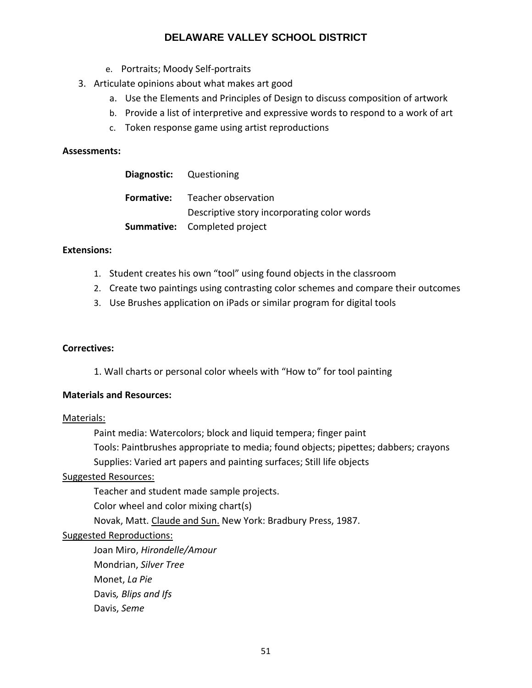- e. Portraits; Moody Self-portraits
- 3. Articulate opinions about what makes art good
	- a. Use the Elements and Principles of Design to discuss composition of artwork
	- b. Provide a list of interpretive and expressive words to respond to a work of art
	- c. Token response game using artist reproductions

#### **Assessments:**

| <b>Diagnostic:</b> Questioning |                                             |
|--------------------------------|---------------------------------------------|
|                                | <b>Formative:</b> Teacher observation       |
|                                | Descriptive story incorporating color words |
|                                | <b>Summative:</b> Completed project         |

#### **Extensions:**

- 1. Student creates his own "tool" using found objects in the classroom
- 2. Create two paintings using contrasting color schemes and compare their outcomes
- 3. Use Brushes application on iPads or similar program for digital tools

#### **Correctives:**

1. Wall charts or personal color wheels with "How to" for tool painting

#### **Materials and Resources:**

#### Materials:

Paint media: Watercolors; block and liquid tempera; finger paint Tools: Paintbrushes appropriate to media; found objects; pipettes; dabbers; crayons Supplies: Varied art papers and painting surfaces; Still life objects

## Suggested Resources:

Teacher and student made sample projects.

Color wheel and color mixing chart(s)

Novak, Matt. Claude and Sun. New York: Bradbury Press, 1987.

## Suggested Reproductions:

Joan Miro, *Hirondelle/Amour* Mondrian, *Silver Tree* Monet, *La Pie* Davis*, Blips and Ifs* Davis, *Seme*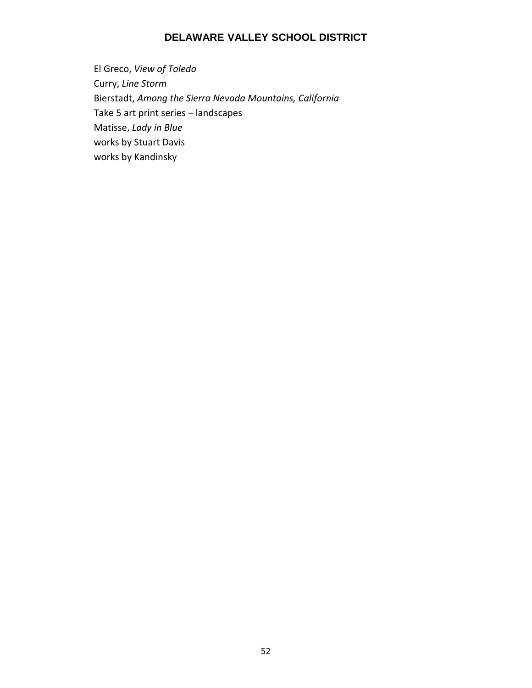El Greco, *View of Toledo* Curry, *Line Storm* Bierstadt, *Among the Sierra Nevada Mountains, California*  Take 5 art print series – landscapes Matisse, *Lady in Blue* works by Stuart Davis works by Kandinsky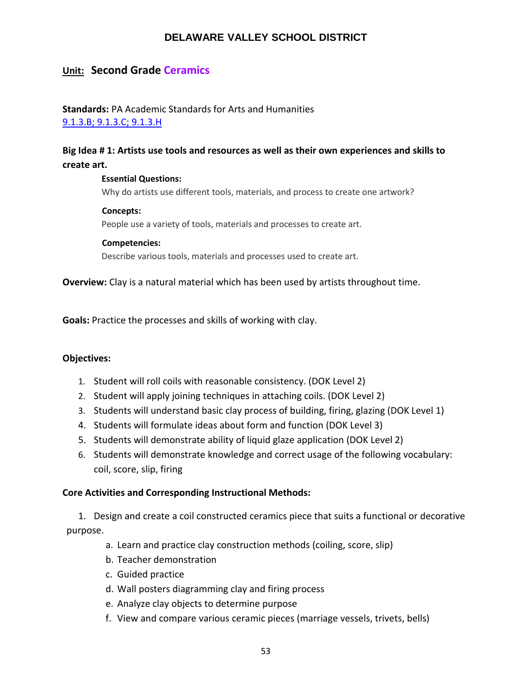# **Unit: Second Grade Ceramics**

## **Standards:** PA Academic Standards for Arts and Humanities [9.1.3.B; 9.1.3.C; 9.1.3.H](https://www.google.com/search?client=safari&rls=en&ei=HSwwW5-6DeyI5wLCv7aIDg&q=pa+academic+standards+for+arts+and+humanities&oq=academic+standards+for+art&gs_l=psy-ab.1.1.0i22i30k1l10.27595.34946.0.37173.26.26.0.0.0.0.174.2555.20j6.26.0....0...1.1.64.psy-ab..0.26.2551...0j35i39k1j0i131i67k1j0i131k1j0i67k1j0i131i20i264k1j0i20i264k1.0.k43KXC1M2ds)

# **Big Idea # 1: Artists use tools and resources as well as their own experiences and skills to create art.**

#### **Essential Questions:**

Why do artists use different tools, materials, and process to create one artwork?

#### **Concepts:**

People use a variety of tools, materials and processes to create art.

#### **Competencies:**

Describe various tools, materials and processes used to create art.

**Overview:** Clay is a natural material which has been used by artists throughout time.

**Goals:** Practice the processes and skills of working with clay.

## **Objectives:**

- 1. Student will roll coils with reasonable consistency. (DOK Level 2)
- 2. Student will apply joining techniques in attaching coils. (DOK Level 2)
- 3. Students will understand basic clay process of building, firing, glazing (DOK Level 1)
- 4. Students will formulate ideas about form and function (DOK Level 3)
- 5. Students will demonstrate ability of liquid glaze application (DOK Level 2)
- 6. Students will demonstrate knowledge and correct usage of the following vocabulary: coil, score, slip, firing

## **Core Activities and Corresponding Instructional Methods:**

1. Design and create a coil constructed ceramics piece that suits a functional or decorative purpose.

- a. Learn and practice clay construction methods (coiling, score, slip)
- b. Teacher demonstration
- c. Guided practice
- d. Wall posters diagramming clay and firing process
- e. Analyze clay objects to determine purpose
- f. View and compare various ceramic pieces (marriage vessels, trivets, bells)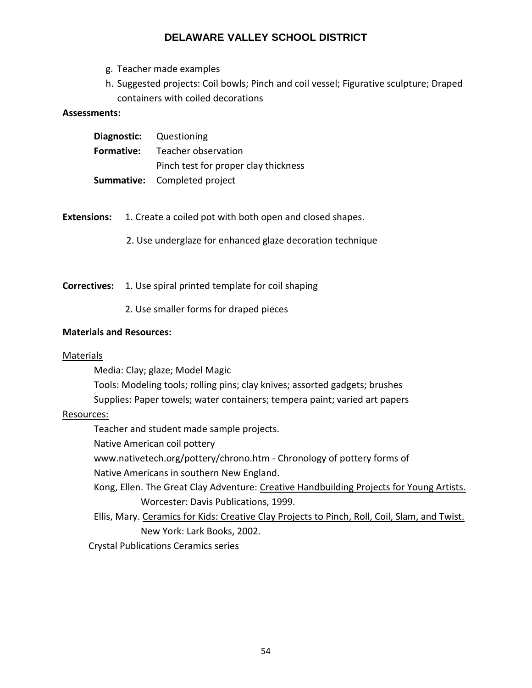- g. Teacher made examples
- h. Suggested projects: Coil bowls; Pinch and coil vessel; Figurative sculpture; Draped containers with coiled decorations

#### **Assessments:**

|                   | <b>Diagnostic:</b> Questioning       |
|-------------------|--------------------------------------|
| <b>Formative:</b> | Teacher observation                  |
|                   | Pinch test for proper clay thickness |
|                   | <b>Summative:</b> Completed project  |

- **Extensions:** 1. Create a coiled pot with both open and closed shapes.
	- 2. Use underglaze for enhanced glaze decoration technique

**Correctives:** 1. Use spiral printed template for coil shaping

2. Use smaller forms for draped pieces

#### **Materials and Resources:**

## Materials

Media: Clay; glaze; Model Magic

Tools: Modeling tools; rolling pins; clay knives; assorted gadgets; brushes

Supplies: Paper towels; water containers; tempera paint; varied art papers

#### Resources:

Teacher and student made sample projects.

Native American coil pottery

www.nativetech.org/pottery/chrono.htm - Chronology of pottery forms of

Native Americans in southern New England.

Kong, Ellen. The Great Clay Adventure: Creative Handbuilding Projects for Young Artists. Worcester: Davis Publications, 1999.

Ellis, Mary. Ceramics for Kids: Creative Clay Projects to Pinch, Roll, Coil, Slam, and Twist. New York: Lark Books, 2002.

Crystal Publications Ceramics series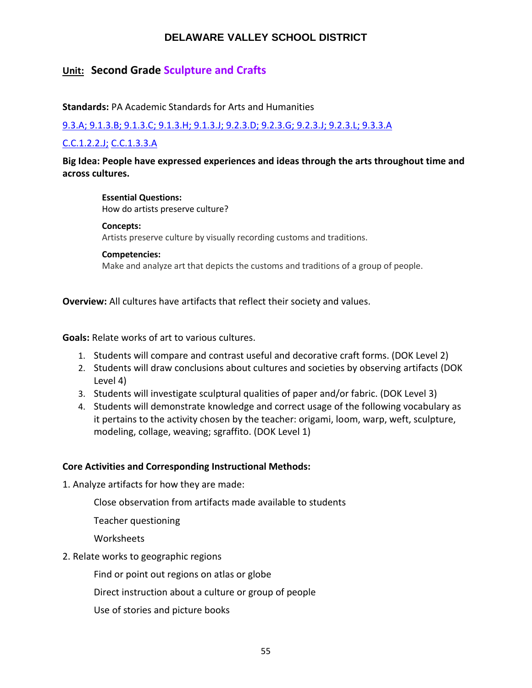# **Unit: Second Grade Sculpture and Crafts**

**Standards:** PA Academic Standards for Arts and Humanities

[9.3.A; 9.1.3.B; 9.1.3.C; 9.1.3.H; 9.1.3.J; 9.2.3.D; 9.2.3.G; 9.2.3.J; 9.2.3.L; 9.3.3.A](https://www.google.com/search?client=safari&rls=en&ei=HSwwW5-6DeyI5wLCv7aIDg&q=pa+academic+standards+for+arts+and+humanities&oq=academic+standards+for+art&gs_l=psy-ab.1.1.0i22i30k1l10.27595.34946.0.37173.26.26.0.0.0.0.174.2555.20j6.26.0....0...1.1.64.psy-ab..0.26.2551...0j35i39k1j0i131i67k1j0i131k1j0i67k1j0i131i20i264k1j0i20i264k1.0.k43KXC1M2ds)

## [C.C.1.2.2.J;](http://www.pdesas.org/Standard/Detail?linkStandardId=0&standardId=159760) [C.C.1.3.3.A](https://www.pdesas.org/Standard/Detail?linkStandardId=0&standardId=159947)

**Big Idea: People have expressed experiences and ideas through the arts throughout time and across cultures.**

**Essential Questions:**  How do artists preserve culture?

#### **Concepts:**

Artists preserve culture by visually recording customs and traditions.

#### **Competencies:**

Make and analyze art that depicts the customs and traditions of a group of people.

**Overview:** All cultures have artifacts that reflect their society and values.

**Goals:** Relate works of art to various cultures.

- 1. Students will compare and contrast useful and decorative craft forms. (DOK Level 2)
- 2. Students will draw conclusions about cultures and societies by observing artifacts (DOK Level 4)
- 3. Students will investigate sculptural qualities of paper and/or fabric. (DOK Level 3)
- 4. Students will demonstrate knowledge and correct usage of the following vocabulary as it pertains to the activity chosen by the teacher: origami, loom, warp, weft, sculpture, modeling, collage, weaving; sgraffito. (DOK Level 1)

## **Core Activities and Corresponding Instructional Methods:**

1. Analyze artifacts for how they are made:

Close observation from artifacts made available to students

Teacher questioning

**Worksheets** 

2. Relate works to geographic regions

Find or point out regions on atlas or globe

Direct instruction about a culture or group of people

Use of stories and picture books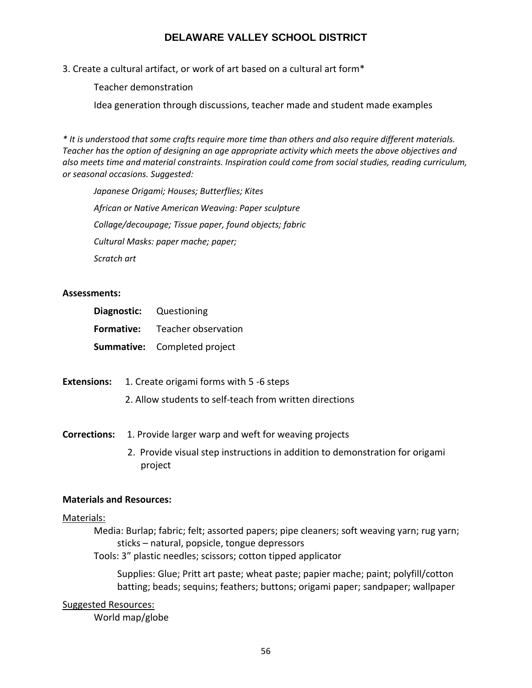3. Create a cultural artifact, or work of art based on a cultural art form\*

Teacher demonstration

Idea generation through discussions, teacher made and student made examples

*\* It is understood that some crafts require more time than others and also require different materials. Teacher has the option of designing an age appropriate activity which meets the above objectives and also meets time and material constraints. Inspiration could come from social studies, reading curriculum, or seasonal occasions. Suggested:*

*Japanese Origami; Houses; Butterflies; Kites African or Native American Weaving: Paper sculpture Collage/decoupage; Tissue paper, found objects; fabric Cultural Masks: paper mache; paper; Scratch art*

## **Assessments:**

|            | <b>Diagnostic:</b> Questioning      |
|------------|-------------------------------------|
| Formative: | Teacher observation                 |
|            | <b>Summative:</b> Completed project |

**Extensions:** 1. Create origami forms with 5 -6 steps

2. Allow students to self-teach from written directions

**Corrections:** 1. Provide larger warp and weft for weaving projects

2. Provide visual step instructions in addition to demonstration for origami project

## **Materials and Resources:**

## Materials:

Media: Burlap; fabric; felt; assorted papers; pipe cleaners; soft weaving yarn; rug yarn; sticks – natural, popsicle, tongue depressors

Tools: 3" plastic needles; scissors; cotton tipped applicator

Supplies: Glue; Pritt art paste; wheat paste; papier mache; paint; polyfill/cotton batting; beads; sequins; feathers; buttons; origami paper; sandpaper; wallpaper

## Suggested Resources:

World map/globe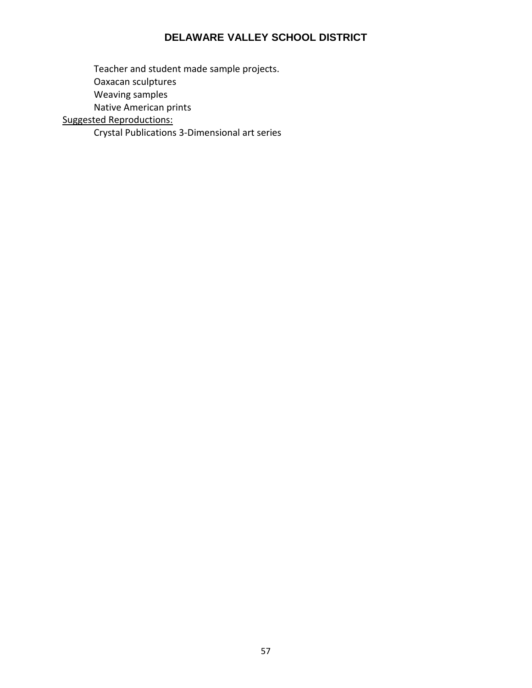Teacher and student made sample projects. Oaxacan sculptures Weaving samples Native American prints Suggested Reproductions:

Crystal Publications 3-Dimensional art series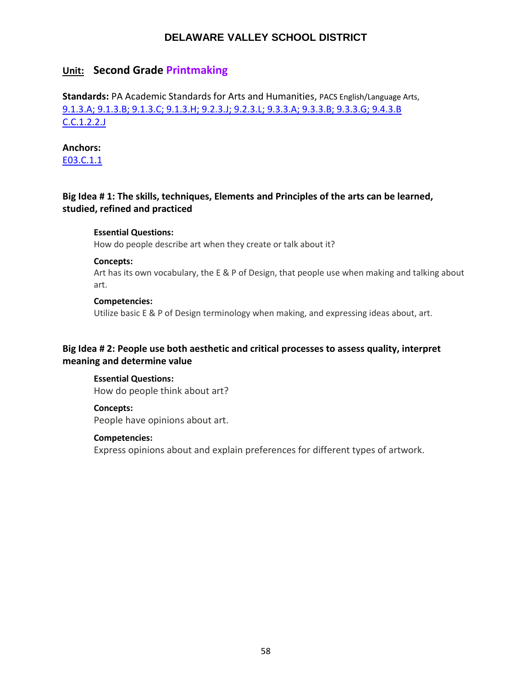# **Unit: Second Grade Printmaking**

**Standards:** PA Academic Standards for Arts and Humanities, PACS English/Language Arts, [9.1.3.A; 9.1.3.B; 9.1.3.C; 9.1.3.H; 9.2.3.J; 9.2.3.L; 9.3.3.A; 9.3.3.B; 9.3.3.G; 9.4.3.B](https://www.google.com/search?client=safari&rls=en&ei=HSwwW5-6DeyI5wLCv7aIDg&q=pa+academic+standards+for+arts+and+humanities&oq=academic+standards+for+art&gs_l=psy-ab.1.1.0i22i30k1l10.27595.34946.0.37173.26.26.0.0.0.0.174.2555.20j6.26.0....0...1.1.64.psy-ab..0.26.2551...0j35i39k1j0i131i67k1j0i131k1j0i67k1j0i131i20i264k1j0i20i264k1.0.k43KXC1M2ds) [C.C.1.2.2.J](http://www.pdesas.org/Standard/Detail?linkStandardId=0&standardId=159760)

## **Anchors:**

[E03.C.1.1](https://www.pdesas.org/Standard/Detail?linkStandardId=0&standardId=161569)

## **Big Idea # 1: The skills, techniques, Elements and Principles of the arts can be learned, studied, refined and practiced**

#### **Essential Questions:**

How do people describe art when they create or talk about it?

#### **Concepts:**

Art has its own vocabulary, the E & P of Design, that people use when making and talking about art.

#### **Competencies:**

Utilize basic E & P of Design terminology when making, and expressing ideas about, art.

## **Big Idea # 2: People use both aesthetic and critical processes to assess quality, interpret meaning and determine value**

**Essential Questions:** How do people think about art?

#### **Concepts:**

People have opinions about art.

#### **Competencies:**

Express opinions about and explain preferences for different types of artwork.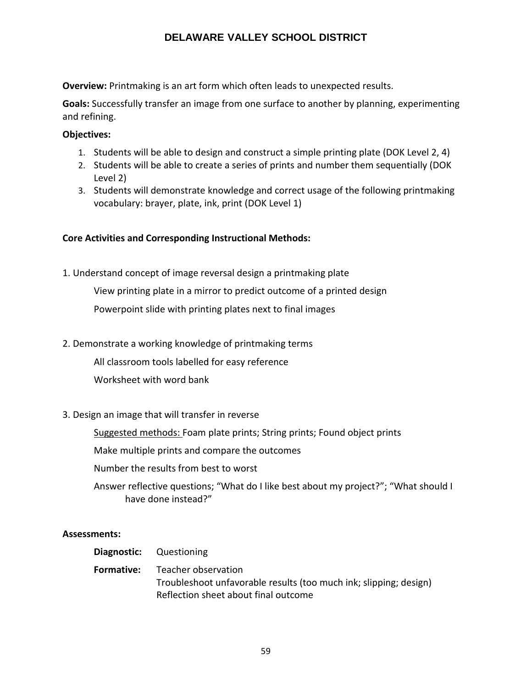**Overview:** Printmaking is an art form which often leads to unexpected results.

**Goals:** Successfully transfer an image from one surface to another by planning, experimenting and refining.

## **Objectives:**

- 1. Students will be able to design and construct a simple printing plate (DOK Level 2, 4)
- 2. Students will be able to create a series of prints and number them sequentially (DOK Level 2)
- 3. Students will demonstrate knowledge and correct usage of the following printmaking vocabulary: brayer, plate, ink, print (DOK Level 1)

## **Core Activities and Corresponding Instructional Methods:**

1. Understand concept of image reversal design a printmaking plate

View printing plate in a mirror to predict outcome of a printed design Powerpoint slide with printing plates next to final images

2. Demonstrate a working knowledge of printmaking terms

All classroom tools labelled for easy reference

Worksheet with word bank

## 3. Design an image that will transfer in reverse

Suggested methods: Foam plate prints; String prints; Found object prints

Make multiple prints and compare the outcomes

Number the results from best to worst

Answer reflective questions; "What do I like best about my project?"; "What should I have done instead?"

## **Assessments:**

**Diagnostic:** Questioning **Formative:** Teacher observation Troubleshoot unfavorable results (too much ink; slipping; design) Reflection sheet about final outcome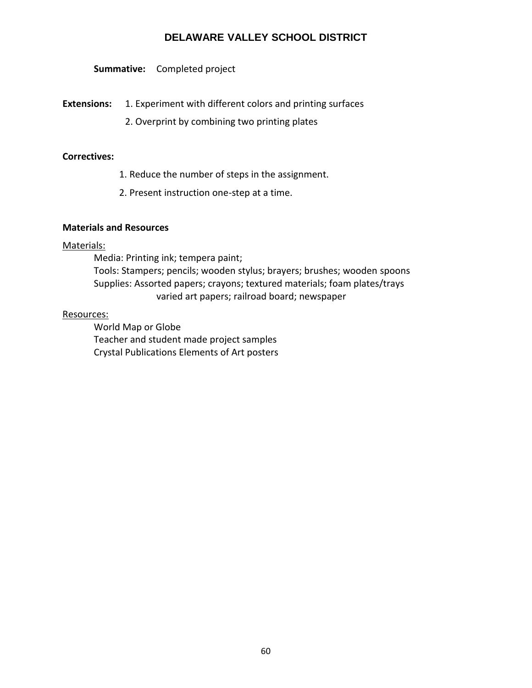**Summative:** Completed project

**Extensions:** 1. Experiment with different colors and printing surfaces

2. Overprint by combining two printing plates

## **Correctives:**

- 1. Reduce the number of steps in the assignment.
- 2. Present instruction one-step at a time.

## **Materials and Resources**

#### Materials:

Media: Printing ink; tempera paint; Tools: Stampers; pencils; wooden stylus; brayers; brushes; wooden spoons Supplies: Assorted papers; crayons; textured materials; foam plates/trays varied art papers; railroad board; newspaper

#### Resources:

World Map or Globe Teacher and student made project samples Crystal Publications Elements of Art posters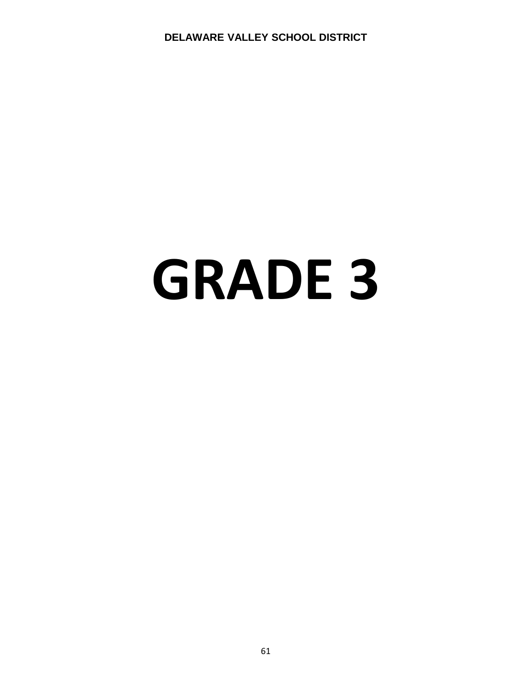# **GRADE 3**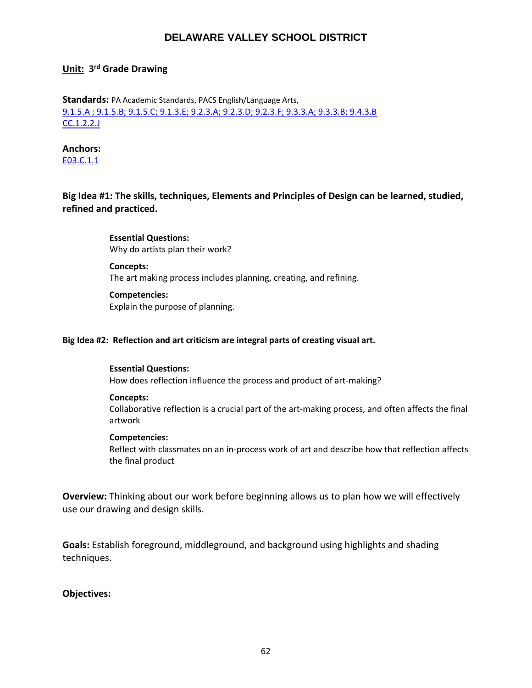## **Unit: 3 rd Grade Drawing**

**Standards:** PA Academic Standards, PACS English/Language Arts, [9.1.5.A ; 9.1.5.B; 9.1.5.C; 9.1.3.E; 9.2.3.A; 9.2.3.D; 9.2.3.F; 9.3.3.A; 9.3.3.B; 9.4.3.B](http://www.stateboard.education.pa.gov/Documents/Regulations%20and%20Statements/State%20Academic%20Standards/pdfarts.pdf) [CC.1.2.2.J](https://www.pdesas.org/Standard/Detail/?linkStandardId=0&standardId=159864)

#### **Anchors:**

[E03.C.1.1](https://www.pdesas.org/Standard/Detail?linkStandardId=0&standardId=161569)

## **Big Idea #1: The skills, techniques, Elements and Principles of Design can be learned, studied, refined and practiced.**

**Essential Questions:**  Why do artists plan their work?

**Concepts:** The art making process includes planning, creating, and refining.

#### **Competencies:**

Explain the purpose of planning.

#### **Big Idea #2: Reflection and art criticism are integral parts of creating visual art.**

#### **Essential Questions:**

How does reflection influence the process and product of art-making?

#### **Concepts:**

Collaborative reflection is a crucial part of the art-making process, and often affects the final artwork

#### **Competencies:**

Reflect with classmates on an in-process work of art and describe how that reflection affects the final product

**Overview:** Thinking about our work before beginning allows us to plan how we will effectively use our drawing and design skills.

**Goals:** Establish foreground, middleground, and background using highlights and shading techniques.

#### **Objectives:**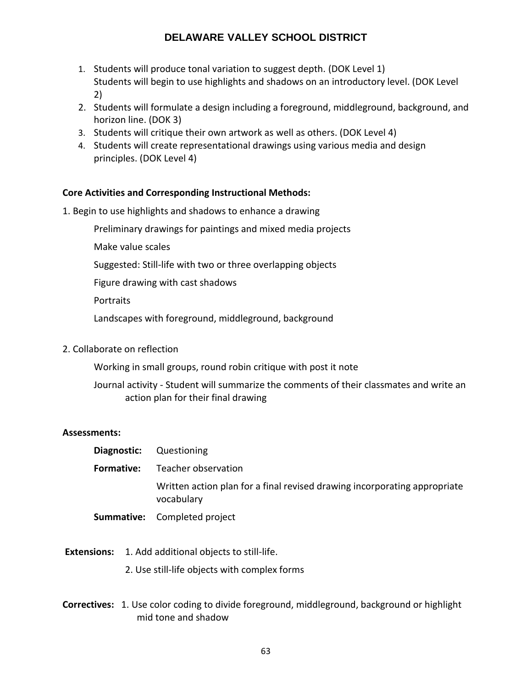- 1. Students will produce tonal variation to suggest depth. (DOK Level 1) Students will begin to use highlights and shadows on an introductory level. (DOK Level 2)
- 2. Students will formulate a design including a foreground, middleground, background, and horizon line. (DOK 3)
- 3. Students will critique their own artwork as well as others. (DOK Level 4)
- 4. Students will create representational drawings using various media and design principles. (DOK Level 4)

## **Core Activities and Corresponding Instructional Methods:**

- 1. Begin to use highlights and shadows to enhance a drawing
	- Preliminary drawings for paintings and mixed media projects
	- Make value scales
	- Suggested: Still-life with two or three overlapping objects
	- Figure drawing with cast shadows
	- **Portraits**
	- Landscapes with foreground, middleground, background
- 2. Collaborate on reflection

Working in small groups, round robin critique with post it note

Journal activity - Student will summarize the comments of their classmates and write an action plan for their final drawing

## **Assessments:**

- **Diagnostic:** Questioning **Formative:** Teacher observation Written action plan for a final revised drawing incorporating appropriate vocabulary
- **Summative:** Completed project
- **Extensions:** 1. Add additional objects to still-life.
	- 2. Use still-life objects with complex forms
- **Correctives:** 1. Use color coding to divide foreground, middleground, background or highlight mid tone and shadow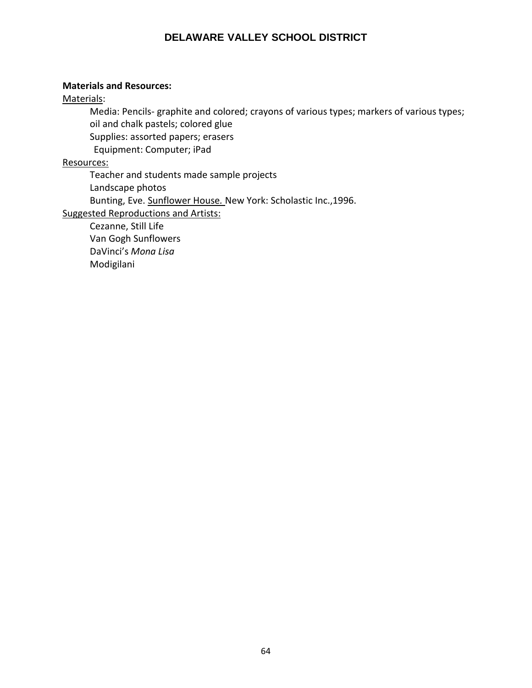## **Materials and Resources:**

Materials:

Media: Pencils- graphite and colored; crayons of various types; markers of various types; oil and chalk pastels; colored glue Supplies: assorted papers; erasers

Equipment: Computer; iPad

Resources:

Teacher and students made sample projects Landscape photos Bunting, Eve. Sunflower House*.* New York: Scholastic Inc.,1996. Suggested Reproductions and Artists: Cezanne, Still Life

Van Gogh Sunflowers DaVinci's *Mona Lisa* Modigilani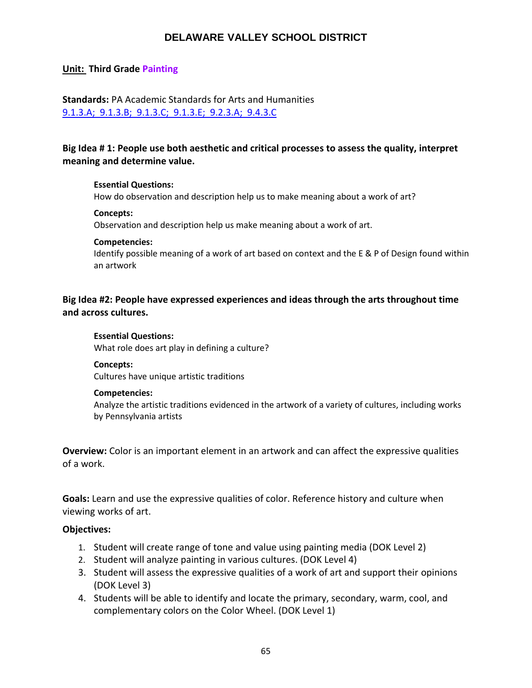## **Unit: Third Grade Painting**

## **Standards:** PA Academic Standards for Arts and Humanities [9.1.3.A; 9.1.3.B; 9.1.3.C; 9.1.3.E; 9.2.3.A; 9.4.3.C](http://www.stateboard.education.pa.gov/Documents/Regulations%20and%20Statements/State%20Academic%20Standards/pdfarts.pdf)

## **Big Idea # 1: People use both aesthetic and critical processes to assess the quality, interpret meaning and determine value.**

#### **Essential Questions:**

How do observation and description help us to make meaning about a work of art?

#### **Concepts:**

Observation and description help us make meaning about a work of art.

#### **Competencies:**

Identify possible meaning of a work of art based on context and the E & P of Design found within an artwork

## **Big Idea #2: People have expressed experiences and ideas through the arts throughout time and across cultures.**

#### **Essential Questions:**

What role does art play in defining a culture?

#### **Concepts:**

Cultures have unique artistic traditions

#### **Competencies:**

Analyze the artistic traditions evidenced in the artwork of a variety of cultures, including works by Pennsylvania artists

**Overview:** Color is an important element in an artwork and can affect the expressive qualities of a work.

**Goals:** Learn and use the expressive qualities of color. Reference history and culture when viewing works of art.

## **Objectives:**

- 1. Student will create range of tone and value using painting media (DOK Level 2)
- 2. Student will analyze painting in various cultures. (DOK Level 4)
- 3. Student will assess the expressive qualities of a work of art and support their opinions (DOK Level 3)
- 4. Students will be able to identify and locate the primary, secondary, warm, cool, and complementary colors on the Color Wheel. (DOK Level 1)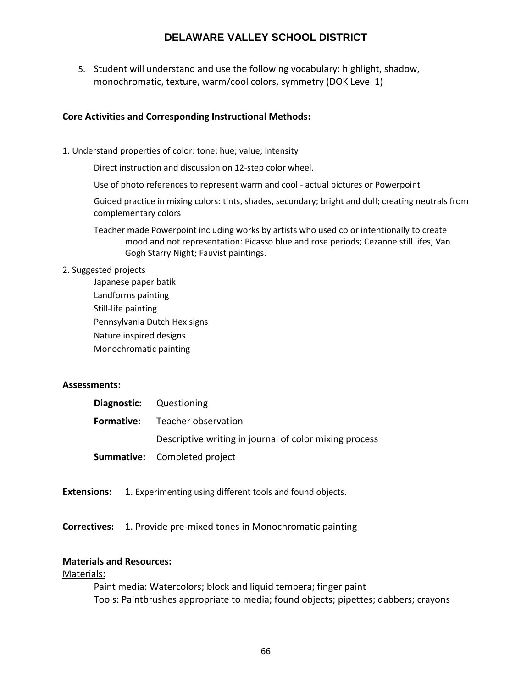5. Student will understand and use the following vocabulary: highlight, shadow, monochromatic, texture, warm/cool colors, symmetry (DOK Level 1)

## **Core Activities and Corresponding Instructional Methods:**

1. Understand properties of color: tone; hue; value; intensity

Direct instruction and discussion on 12-step color wheel.

Use of photo references to represent warm and cool - actual pictures or Powerpoint

Guided practice in mixing colors: tints, shades, secondary; bright and dull; creating neutrals from complementary colors

Teacher made Powerpoint including works by artists who used color intentionally to create mood and not representation: Picasso blue and rose periods; Cezanne still lifes; Van Gogh Starry Night; Fauvist paintings.

#### 2. Suggested projects

Japanese paper batik Landforms painting Still-life painting Pennsylvania Dutch Hex signs Nature inspired designs Monochromatic painting

## **Assessments:**

| <b>Diagnostic:</b> Questioning                         |
|--------------------------------------------------------|
| <b>Formative:</b> Teacher observation                  |
| Descriptive writing in journal of color mixing process |
| <b>Summative:</b> Completed project                    |

**Extensions:** 1. Experimenting using different tools and found objects.

**Correctives:** 1. Provide pre-mixed tones in Monochromatic painting

## **Materials and Resources:**

Materials:

Paint media: Watercolors; block and liquid tempera; finger paint Tools: Paintbrushes appropriate to media; found objects; pipettes; dabbers; crayons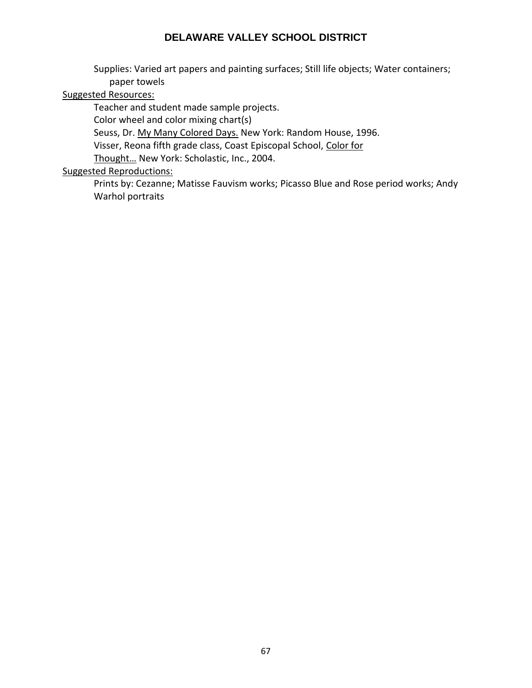Supplies: Varied art papers and painting surfaces; Still life objects; Water containers; paper towels

## Suggested Resources:

Teacher and student made sample projects.

Color wheel and color mixing chart(s)

Seuss, Dr. My Many Colored Days. New York: Random House, 1996.

Visser, Reona fifth grade class, Coast Episcopal School, Color for

Thought… New York: Scholastic, Inc., 2004.

## Suggested Reproductions:

Prints by: Cezanne; Matisse Fauvism works; Picasso Blue and Rose period works; Andy Warhol portraits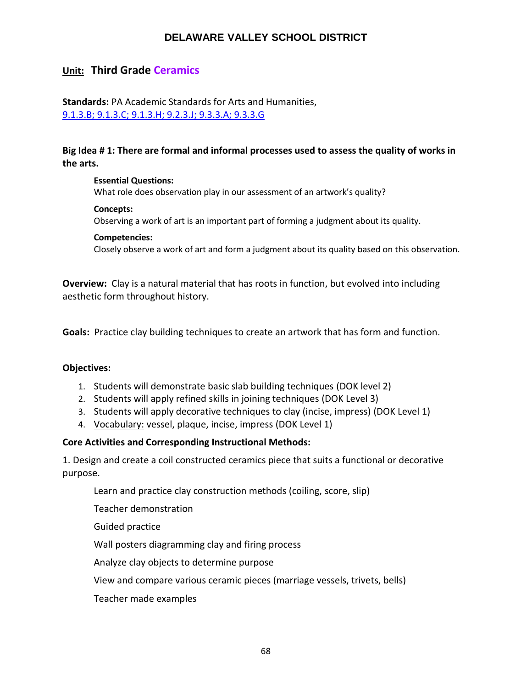# **Unit: Third Grade Ceramics**

**Standards:** PA Academic Standards for Arts and Humanities, [9.1.3.B; 9.1.3.C; 9.1.3.H; 9.2.3.J; 9.3.3.A; 9.3.3.G](http://www.stateboard.education.pa.gov/Documents/Regulations%20and%20Statements/State%20Academic%20Standards/pdfarts.pdf)

## **Big Idea # 1: There are formal and informal processes used to assess the quality of works in the arts.**

#### **Essential Questions:**

What role does observation play in our assessment of an artwork's quality?

#### **Concepts:**

Observing a work of art is an important part of forming a judgment about its quality.

#### **Competencies:**

Closely observe a work of art and form a judgment about its quality based on this observation.

**Overview:** Clay is a natural material that has roots in function, but evolved into including aesthetic form throughout history.

**Goals:** Practice clay building techniques to create an artwork that has form and function.

#### **Objectives:**

- 1. Students will demonstrate basic slab building techniques (DOK level 2)
- 2. Students will apply refined skills in joining techniques (DOK Level 3)
- 3. Students will apply decorative techniques to clay (incise, impress) (DOK Level 1)
- 4. Vocabulary: vessel, plaque, incise, impress (DOK Level 1)

## **Core Activities and Corresponding Instructional Methods:**

1. Design and create a coil constructed ceramics piece that suits a functional or decorative purpose.

Learn and practice clay construction methods (coiling, score, slip)

Teacher demonstration

Guided practice

Wall posters diagramming clay and firing process

Analyze clay objects to determine purpose

View and compare various ceramic pieces (marriage vessels, trivets, bells)

Teacher made examples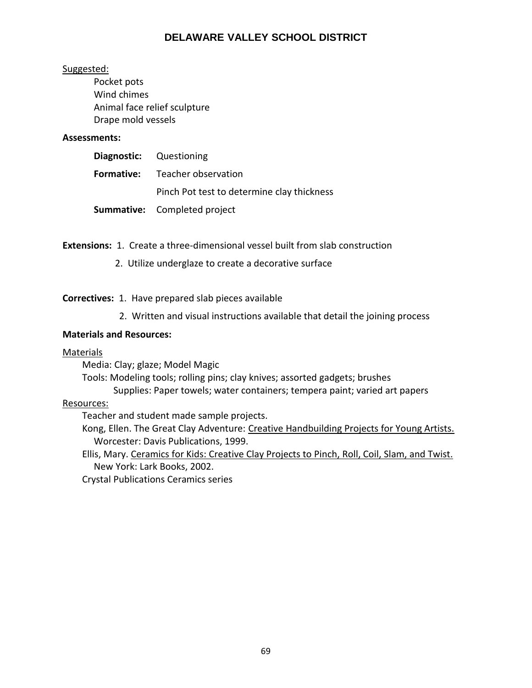## Suggested:

Pocket pots Wind chimes Animal face relief sculpture Drape mold vessels

#### **Assessments:**

| <b>Diagnostic:</b> Questioning |                                            |
|--------------------------------|--------------------------------------------|
|                                | <b>Formative:</b> Teacher observation      |
|                                | Pinch Pot test to determine clay thickness |
|                                | <b>Summative:</b> Completed project        |

**Extensions:** 1. Create a three-dimensional vessel built from slab construction

2. Utilize underglaze to create a decorative surface

**Correctives:** 1. Have prepared slab pieces available

2. Written and visual instructions available that detail the joining process

#### **Materials and Resources:**

## Materials

Media: Clay; glaze; Model Magic

Tools: Modeling tools; rolling pins; clay knives; assorted gadgets; brushes Supplies: Paper towels; water containers; tempera paint; varied art papers

# Resources:

Teacher and student made sample projects.

Kong, Ellen. The Great Clay Adventure: Creative Handbuilding Projects for Young Artists. Worcester: Davis Publications, 1999.

Ellis, Mary. Ceramics for Kids: Creative Clay Projects to Pinch, Roll, Coil, Slam, and Twist. New York: Lark Books, 2002.

Crystal Publications Ceramics series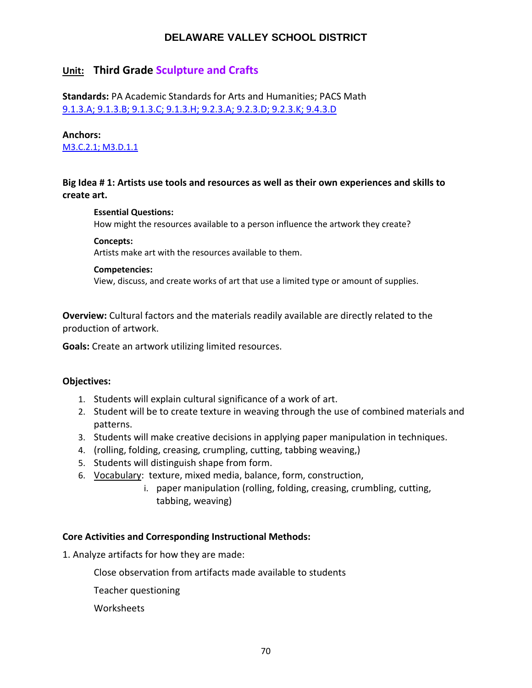# **Unit: Third Grade Sculpture and Crafts**

**Standards:** PA Academic Standards for Arts and Humanities; PACS Math [9.1.3.A; 9.1.3.B; 9.1.3.C; 9.1.3.H; 9.2.3.A; 9.2.3.D; 9.2.3.K; 9.4.3.D](http://www.stateboard.education.pa.gov/Documents/Regulations%20and%20Statements/State%20Academic%20Standards/pdfarts.pdf)

#### **Anchors:**

[M3.C.2.1; M3.D.1.1](http://dev.static.pdesas.org/content/documents/Grade_3_Math_Assessment_Anchors_and_Eligible_Content.pdf) 

## **Big Idea # 1: Artists use tools and resources as well as their own experiences and skills to create art.**

#### **Essential Questions:**

How might the resources available to a person influence the artwork they create?

#### **Concepts:**

Artists make art with the resources available to them.

#### **Competencies:**

View, discuss, and create works of art that use a limited type or amount of supplies.

**Overview:** Cultural factors and the materials readily available are directly related to the production of artwork.

**Goals:** Create an artwork utilizing limited resources.

## **Objectives:**

- 1. Students will explain cultural significance of a work of art.
- 2. Student will be to create texture in weaving through the use of combined materials and patterns.
- 3. Students will make creative decisions in applying paper manipulation in techniques.
- 4. (rolling, folding, creasing, crumpling, cutting, tabbing weaving,)
- 5. Students will distinguish shape from form.
- 6. Vocabulary: texture, mixed media, balance, form, construction,
	- i. paper manipulation (rolling, folding, creasing, crumbling, cutting, tabbing, weaving)

## **Core Activities and Corresponding Instructional Methods:**

1. Analyze artifacts for how they are made:

Close observation from artifacts made available to students

Teacher questioning

**Worksheets**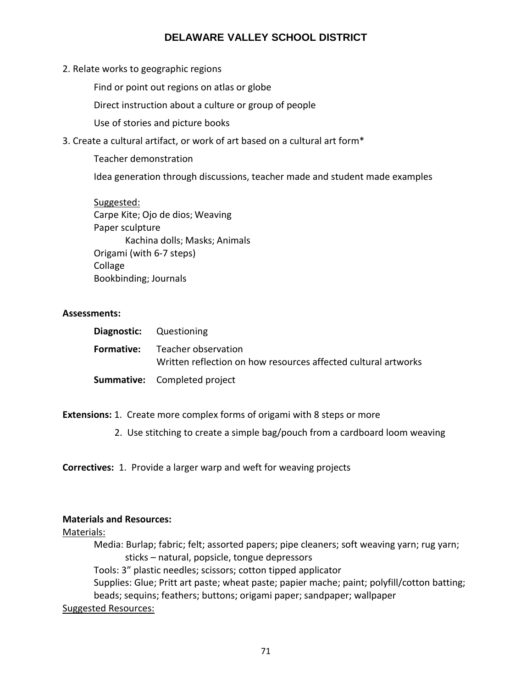2. Relate works to geographic regions

Find or point out regions on atlas or globe

Direct instruction about a culture or group of people

Use of stories and picture books

3. Create a cultural artifact, or work of art based on a cultural art form\*

Teacher demonstration

Idea generation through discussions, teacher made and student made examples

Suggested: Carpe Kite; Ojo de dios; Weaving Paper sculpture Kachina dolls; Masks; Animals Origami (with 6-7 steps) Collage Bookbinding; Journals

#### **Assessments:**

| <b>Diagnostic:</b> Questioning                                                                          |
|---------------------------------------------------------------------------------------------------------|
| <b>Formative:</b> Teacher observation<br>Written reflection on how resources affected cultural artworks |
| <b>Summative:</b> Completed project                                                                     |

**Extensions:** 1. Create more complex forms of origami with 8 steps or more

2. Use stitching to create a simple bag/pouch from a cardboard loom weaving

**Correctives:** 1. Provide a larger warp and weft for weaving projects

#### **Materials and Resources:**

Materials:

Media: Burlap; fabric; felt; assorted papers; pipe cleaners; soft weaving yarn; rug yarn; sticks – natural, popsicle, tongue depressors

Tools: 3" plastic needles; scissors; cotton tipped applicator

Supplies: Glue; Pritt art paste; wheat paste; papier mache; paint; polyfill/cotton batting; beads; sequins; feathers; buttons; origami paper; sandpaper; wallpaper

## Suggested Resources: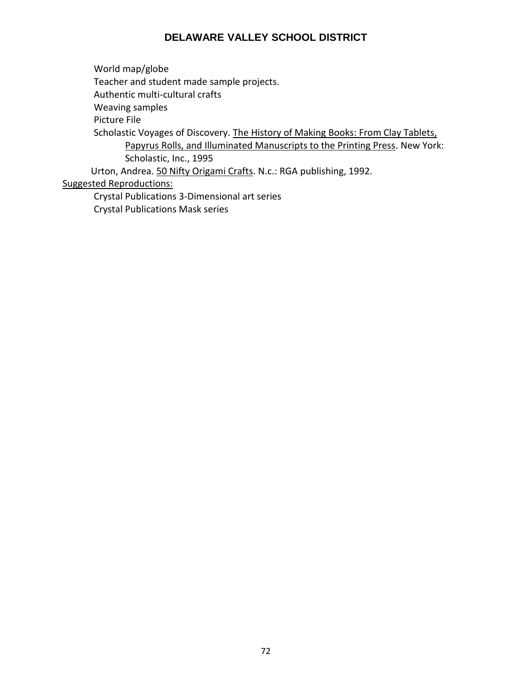World map/globe Teacher and student made sample projects. Authentic multi-cultural crafts Weaving samples Picture File Scholastic Voyages of Discovery. The History of Making Books: From Clay Tablets, Papyrus Rolls, and Illuminated Manuscripts to the Printing Press. New York: Scholastic, Inc., 1995 Urton, Andrea. 50 Nifty Origami Crafts. N.c.: RGA publishing, 1992.

Suggested Reproductions:

Crystal Publications 3-Dimensional art series Crystal Publications Mask series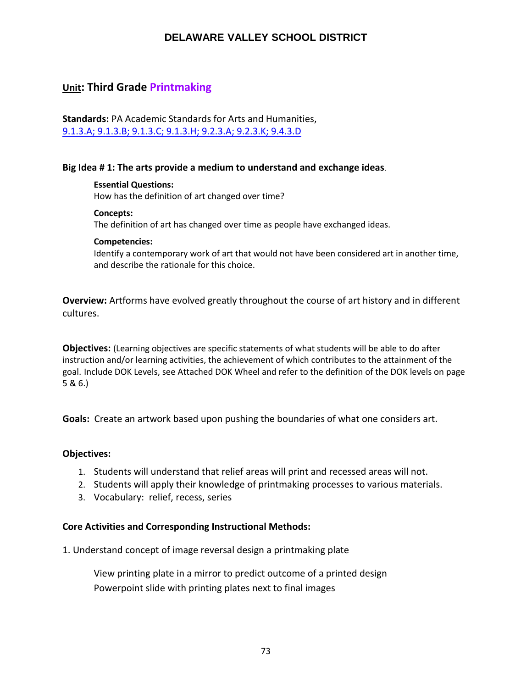# **Unit: Third Grade Printmaking**

**Standards:** PA Academic Standards for Arts and Humanities, [9.1.3.A; 9.1.3.B; 9.1.3.C; 9.1.3.H; 9.2.3.A; 9.2.3.K; 9.4.3.D](http://www.stateboard.education.pa.gov/Documents/Regulations%20and%20Statements/State%20Academic%20Standards/pdfarts.pdf)

## **Big Idea # 1: The arts provide a medium to understand and exchange ideas**.

#### **Essential Questions:**

How has the definition of art changed over time?

#### **Concepts:**

The definition of art has changed over time as people have exchanged ideas.

#### **Competencies:**

Identify a contemporary work of art that would not have been considered art in another time, and describe the rationale for this choice.

**Overview:** Artforms have evolved greatly throughout the course of art history and in different cultures.

**Objectives:** (Learning objectives are specific statements of what students will be able to do after instruction and/or learning activities, the achievement of which contributes to the attainment of the goal. Include DOK Levels, see Attached DOK Wheel and refer to the definition of the DOK levels on page 5 & 6.)

**Goals:** Create an artwork based upon pushing the boundaries of what one considers art.

#### **Objectives:**

- 1. Students will understand that relief areas will print and recessed areas will not.
- 2. Students will apply their knowledge of printmaking processes to various materials.
- 3. Vocabulary: relief, recess, series

## **Core Activities and Corresponding Instructional Methods:**

1. Understand concept of image reversal design a printmaking plate

View printing plate in a mirror to predict outcome of a printed design Powerpoint slide with printing plates next to final images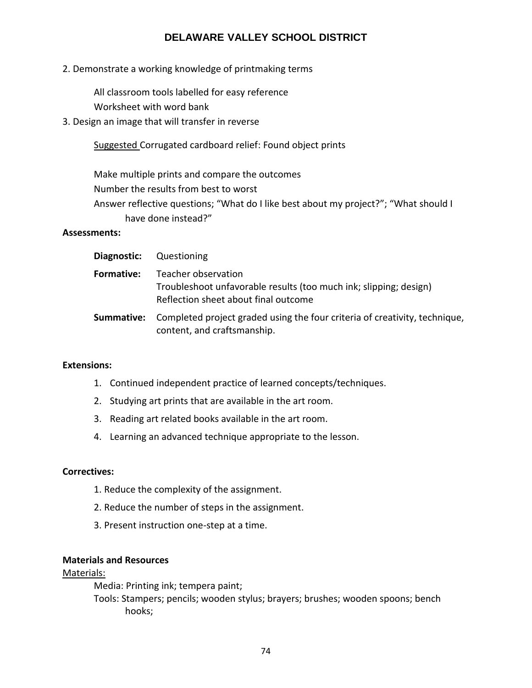2. Demonstrate a working knowledge of printmaking terms

All classroom tools labelled for easy reference

Worksheet with word bank

3. Design an image that will transfer in reverse

Suggested Corrugated cardboard relief: Found object prints

Make multiple prints and compare the outcomes Number the results from best to worst Answer reflective questions; "What do I like best about my project?"; "What should I have done instead?"

## **Assessments:**

| Diagnostic: | Questioning                                                                                                                      |
|-------------|----------------------------------------------------------------------------------------------------------------------------------|
| Formative:  | Teacher observation<br>Troubleshoot unfavorable results (too much ink; slipping; design)<br>Reflection sheet about final outcome |
| Summative:  | Completed project graded using the four criteria of creativity, technique,<br>content, and craftsmanship.                        |

## **Extensions:**

- 1. Continued independent practice of learned concepts/techniques.
- 2. Studying art prints that are available in the art room.
- 3. Reading art related books available in the art room.
- 4. Learning an advanced technique appropriate to the lesson.

## **Correctives:**

- 1. Reduce the complexity of the assignment.
- 2. Reduce the number of steps in the assignment.
- 3. Present instruction one-step at a time.

## **Materials and Resources**

## Materials:

Media: Printing ink; tempera paint;

Tools: Stampers; pencils; wooden stylus; brayers; brushes; wooden spoons; bench hooks;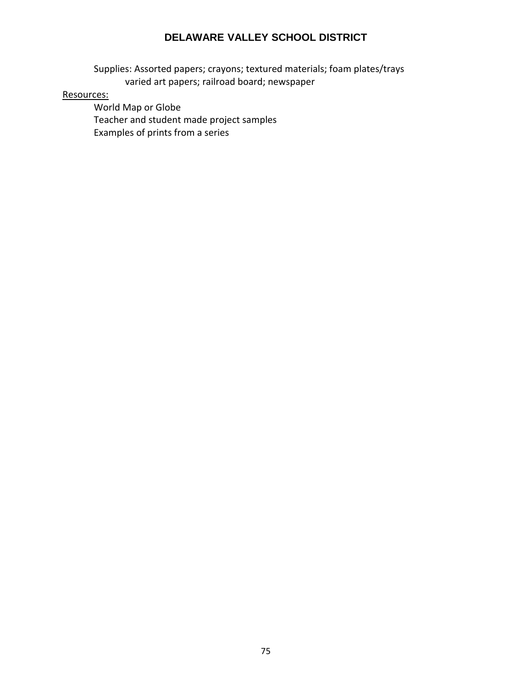Supplies: Assorted papers; crayons; textured materials; foam plates/trays varied art papers; railroad board; newspaper

## Resources:

World Map or Globe Teacher and student made project samples Examples of prints from a series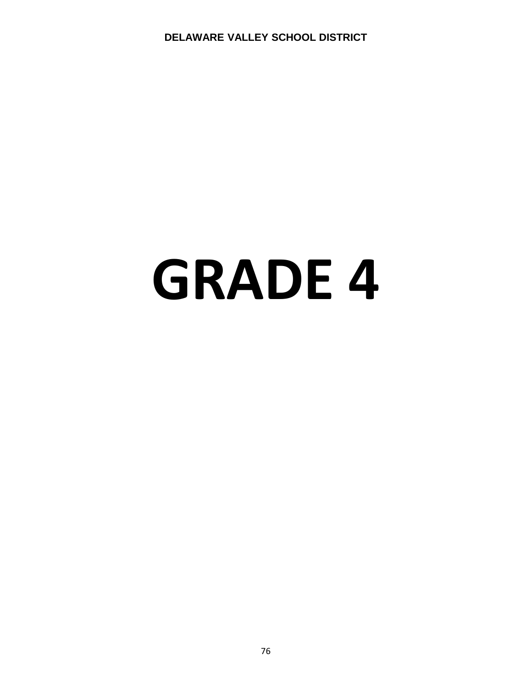# **GRADE 4**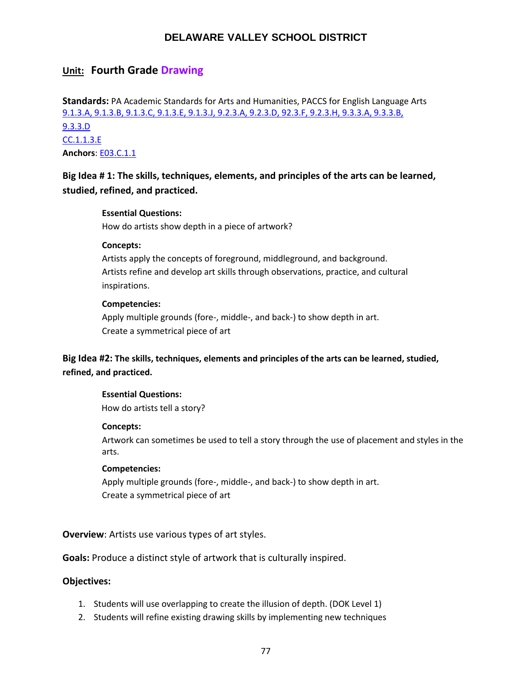# **Unit: Fourth Grade Drawing**

**Standards:** PA Academic Standards for Arts and Humanities, PACCS for English Language Arts [9.1.3.A, 9.1.3.B, 9.1.3.C, 9.1.3.E, 9.1.3.J, 9.2.3.A, 9.2.3.D, 92.3.F, 9.2.3.H, 9.3.3.A, 9.3.3.B,](http://www.stateboard.education.pa.gov/Documents/Regulations%20and%20Statements/State%20Academic%20Standards/pdfarts.pdf) [9.3.3.D](http://www.stateboard.education.pa.gov/Documents/Regulations%20and%20Statements/State%20Academic%20Standards/pdfarts.pdf) [CC.1.1.3.E](http://www.pdesas.org/Standard/Detail/?linkStandardId=0&standardId=159808) **Anchors**: [E03.C.1.1](https://www.pdesas.org/Standard/Detail?linkStandardId=0&standardId=161569)

**Big Idea # 1: The skills, techniques, elements, and principles of the arts can be learned, studied, refined, and practiced.**

## **Essential Questions:**

How do artists show depth in a piece of artwork?

#### **Concepts:**

Artists apply the concepts of foreground, middleground, and background. Artists refine and develop art skills through observations, practice, and cultural inspirations.

#### **Competencies:**

Apply multiple grounds (fore-, middle-, and back-) to show depth in art. Create a symmetrical piece of art

**Big Idea #2: The skills, techniques, elements and principles of the arts can be learned, studied, refined, and practiced.**

#### **Essential Questions:**

How do artists tell a story?

#### **Concepts:**

Artwork can sometimes be used to tell a story through the use of placement and styles in the arts.

#### **Competencies:**

Apply multiple grounds (fore-, middle-, and back-) to show depth in art. Create a symmetrical piece of art

**Overview**: Artists use various types of art styles.

**Goals:** Produce a distinct style of artwork that is culturally inspired.

#### **Objectives:**

- 1. Students will use overlapping to create the illusion of depth. (DOK Level 1)
- 2. Students will refine existing drawing skills by implementing new techniques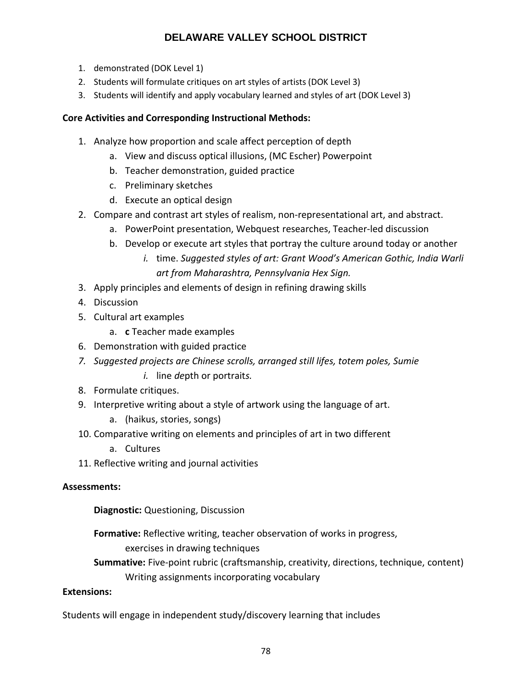- 1. demonstrated (DOK Level 1)
- 2. Students will formulate critiques on art styles of artists (DOK Level 3)
- 3. Students will identify and apply vocabulary learned and styles of art (DOK Level 3)

# **Core Activities and Corresponding Instructional Methods:**

- 1. Analyze how proportion and scale affect perception of depth
	- a. View and discuss optical illusions, (MC Escher) Powerpoint
	- b. Teacher demonstration, guided practice
	- c. Preliminary sketches
	- d. Execute an optical design
- 2. Compare and contrast art styles of realism, non‐representational art, and abstract.
	- a. PowerPoint presentation, Webquest researches, Teacher‐led discussion
	- b. Develop or execute art styles that portray the culture around today or another
		- *i.* time. *Suggested styles of art: Grant Wood's American Gothic, India Warli art from Maharashtra, Pennsylvania Hex Sign.*
- 3. Apply principles and elements of design in refining drawing skills
- 4. Discussion
- 5. Cultural art examples
	- a. **c** Teacher made examples
- 6. Demonstration with guided practice
- *7. Suggested projects are Chinese scrolls, arranged still lifes, totem poles, Sumie i.* line *de*pth or portrait*s.*
- 8. Formulate critiques.
- 9. Interpretive writing about a style of artwork using the language of art.
	- a. (haikus, stories, songs)
- 10. Comparative writing on elements and principles of art in two different
	- a. Cultures
- 11. Reflective writing and journal activities

# **Assessments:**

**Diagnostic:** Questioning, Discussion

**Formative:** Reflective writing, teacher observation of works in progress, exercises in drawing techniques

**Summative:** Five‐point rubric (craftsmanship, creativity, directions, technique, content) Writing assignments incorporating vocabulary

# **Extensions:**

Students will engage in independent study/discovery learning that includes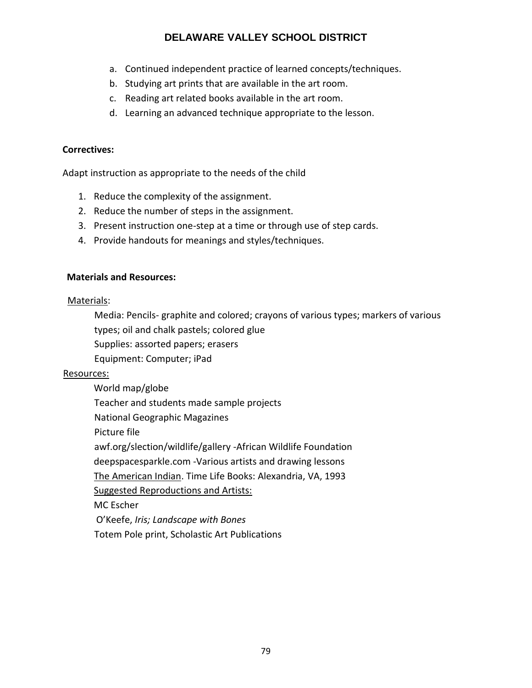- a. Continued independent practice of learned concepts/techniques.
- b. Studying art prints that are available in the art room.
- c. Reading art related books available in the art room.
- d. Learning an advanced technique appropriate to the lesson.

## **Correctives:**

Adapt instruction as appropriate to the needs of the child

- 1. Reduce the complexity of the assignment.
- 2. Reduce the number of steps in the assignment.
- 3. Present instruction one-step at a time or through use of step cards.
- 4. Provide handouts for meanings and styles/techniques.

# **Materials and Resources:**

# Materials:

Media: Pencils- graphite and colored; crayons of various types; markers of various types; oil and chalk pastels; colored glue

- Supplies: assorted papers; erasers
- Equipment: Computer; iPad

# Resources:

World map/globe Teacher and students made sample projects National Geographic Magazines Picture file awf.org/slection/wildlife/gallery -African Wildlife Foundation deepspacesparkle.com -Various artists and drawing lessons The American Indian. Time Life Books: Alexandria, VA, 1993 Suggested Reproductions and Artists: MC Escher O'Keefe, *Iris; Landscape with Bones* Totem Pole print, Scholastic Art Publications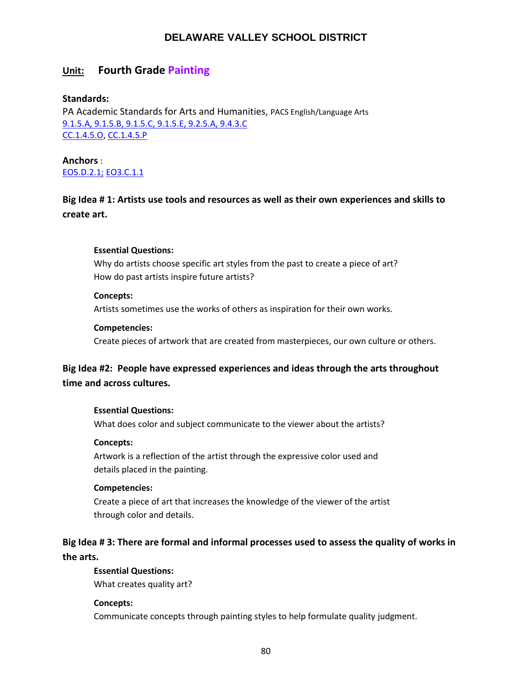# **Unit: Fourth Grade Painting**

## **Standards:**

PA Academic Standards for Arts and Humanities, PACS English/Language Arts [9.1.5.A, 9.1.5.B, 9.1.5.C, 9.1.5.E, 9.2.5.A, 9.4.3.C](http://www.stateboard.education.pa.gov/Documents/Regulations%20and%20Statements/State%20Academic%20Standards/pdfarts.pdf) [CC.1.4.5.O,](https://www.pdesas.org/Standard/Detail/?linkStandardId=0&standardId=160129) [CC.1.4.5.P](http://www.pdesas.org/Standard/Detail/?linkStandardId=0&standardId=160140)

**Anchors** : [EO5.D.2.1;](http://www.pdesas.org/Standard/Detail?linkStandardId=0&standardId=161731) [EO3.C.1.1](https://www.pdesas.org/Standard/Detail?linkStandardId=0&standardId=161569)

# **Big Idea # 1: Artists use tools and resources as well as their own experiences and skills to create art.**

## **Essential Questions:**

Why do artists choose specific art styles from the past to create a piece of art? How do past artists inspire future artists?

## **Concepts:**

Artists sometimes use the works of others as inspiration for their own works.

## **Competencies:**

Create pieces of artwork that are created from masterpieces, our own culture or others.

# **Big Idea #2: People have expressed experiences and ideas through the arts throughout time and across cultures.**

#### **Essential Questions:**

What does color and subject communicate to the viewer about the artists?

## **Concepts:**

Artwork is a reflection of the artist through the expressive color used and details placed in the painting.

#### **Competencies:**

Create a piece of art that increases the knowledge of the viewer of the artist through color and details.

# **Big Idea # 3: There are formal and informal processes used to assess the quality of works in the arts.**

#### **Essential Questions:**

What creates quality art?

## **Concepts:**

Communicate concepts through painting styles to help formulate quality judgment.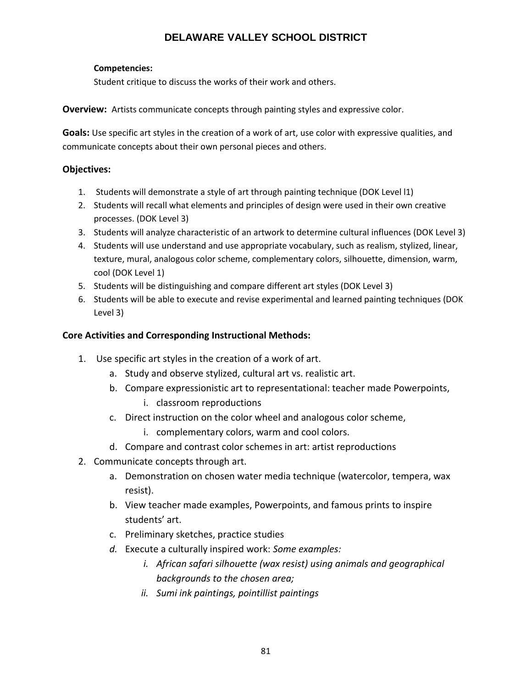## **Competencies:**

Student critique to discuss the works of their work and others.

**Overview:** Artists communicate concepts through painting styles and expressive color.

**Goals:** Use specific art styles in the creation of a work of art, use color with expressive qualities, and communicate concepts about their own personal pieces and others.

## **Objectives:**

- 1. Students will demonstrate a style of art through painting technique (DOK Level l1)
- 2. Students will recall what elements and principles of design were used in their own creative processes. (DOK Level 3)
- 3. Students will analyze characteristic of an artwork to determine cultural influences (DOK Level 3)
- 4. Students will use understand and use appropriate vocabulary, such as realism, stylized, linear, texture, mural, analogous color scheme, complementary colors, silhouette, dimension, warm, cool (DOK Level 1)
- 5. Students will be distinguishing and compare different art styles (DOK Level 3)
- 6. Students will be able to execute and revise experimental and learned painting techniques (DOK Level 3)

## **Core Activities and Corresponding Instructional Methods:**

- 1. Use specific art styles in the creation of a work of art.
	- a. Study and observe stylized, cultural art vs. realistic art.
	- b. Compare expressionistic art to representational: teacher made Powerpoints,
		- i. classroom reproductions
	- c. Direct instruction on the color wheel and analogous color scheme,
		- i. complementary colors, warm and cool colors.
	- d. Compare and contrast color schemes in art: artist reproductions
- 2. Communicate concepts through art.
	- a. Demonstration on chosen water media technique (watercolor, tempera, wax resist).
	- b. View teacher made examples, Powerpoints, and famous prints to inspire students' art.
	- c. Preliminary sketches, practice studies
	- *d.* Execute a culturally inspired work: *Some examples:* 
		- *i. African safari silhouette (wax resist) using animals and geographical backgrounds to the chosen area;*
		- *ii. Sumi ink paintings, pointillist paintings*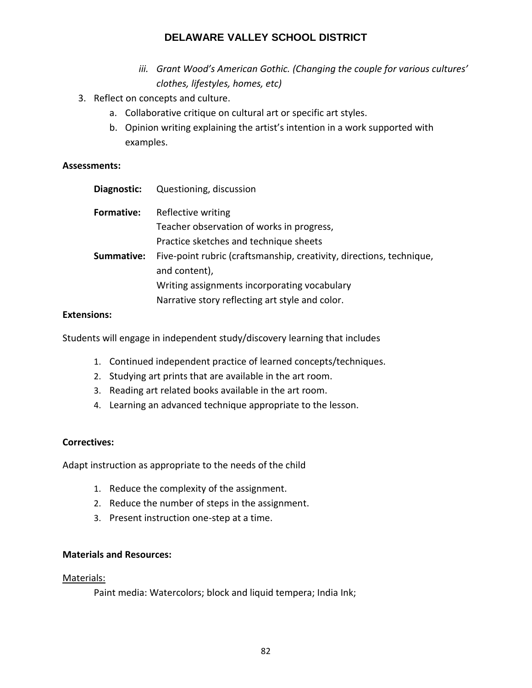- *iii. Grant Wood's American Gothic. (Changing the couple for various cultures' clothes, lifestyles, homes, etc)*
- 3. Reflect on concepts and culture.
	- a. Collaborative critique on cultural art or specific art styles.
	- b. Opinion writing explaining the artist's intention in a work supported with examples.

## **Assessments:**

| Diagnostic:       | Questioning, discussion                                              |
|-------------------|----------------------------------------------------------------------|
| <b>Formative:</b> | Reflective writing                                                   |
|                   | Teacher observation of works in progress,                            |
|                   | Practice sketches and technique sheets                               |
| Summative:        | Five-point rubric (craftsmanship, creativity, directions, technique, |
|                   | and content),                                                        |
|                   | Writing assignments incorporating vocabulary                         |
|                   | Narrative story reflecting art style and color.                      |
|                   |                                                                      |

## **Extensions:**

Students will engage in independent study/discovery learning that includes

- 1. Continued independent practice of learned concepts/techniques.
- 2. Studying art prints that are available in the art room.
- 3. Reading art related books available in the art room.
- 4. Learning an advanced technique appropriate to the lesson.

# **Correctives:**

Adapt instruction as appropriate to the needs of the child

- 1. Reduce the complexity of the assignment.
- 2. Reduce the number of steps in the assignment.
- 3. Present instruction one-step at a time.

## **Materials and Resources:**

## Materials:

Paint media: Watercolors; block and liquid tempera; India Ink;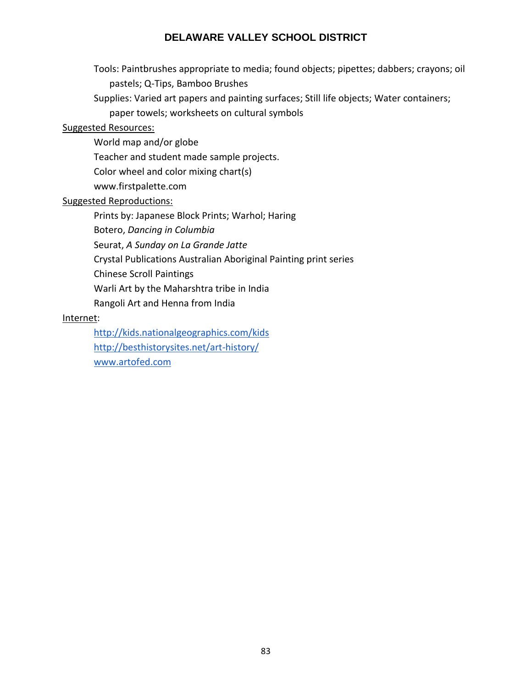Tools: Paintbrushes appropriate to media; found objects; pipettes; dabbers; crayons; oil pastels; Q-Tips, Bamboo Brushes

Supplies: Varied art papers and painting surfaces; Still life objects; Water containers;

paper towels; worksheets on cultural symbols

## Suggested Resources:

World map and/or globe

Teacher and student made sample projects.

Color wheel and color mixing chart(s)

www.firstpalette.com

## Suggested Reproductions:

Prints by: Japanese Block Prints; Warhol; Haring

Botero, *Dancing in Columbia*

Seurat, *A Sunday on La Grande Jatte*

Crystal Publications Australian Aboriginal Painting print series

Chinese Scroll Paintings

Warli Art by the Maharshtra tribe in India

Rangoli Art and Henna from India

## Internet:

<http://kids.nationalgeographics.com/kids> <http://besthistorysites.net/art-history/> [www.artofed.com](http://www.artofed.com/)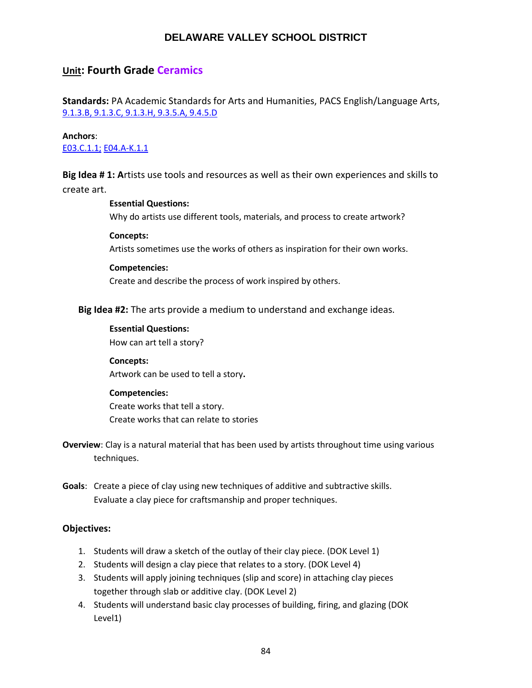# **Unit: Fourth Grade Ceramics**

**Standards:** PA Academic Standards for Arts and Humanities, PACS English/Language Arts, [9.1.3.B, 9.1.3.C, 9.1.3.H, 9.3.5.A, 9.4.5.D](http://www.stateboard.education.pa.gov/Documents/Regulations%20and%20Statements/State%20Academic%20Standards/pdfarts.pdf)

## **Anchors**:

[E03.C.1.1;](https://www.pdesas.org/Standard/Detail?linkStandardId=0&standardId=161569) [E04.A‐K.1.1](https://www.pdesas.org/Standard/Detail?linkStandardId=0&standardId=161664)

**Big Idea # 1: A**rtists use tools and resources as well as their own experiences and skills to create art.

#### **Essential Questions:**

Why do artists use different tools, materials, and process to create artwork?

#### **Concepts:**

Artists sometimes use the works of others as inspiration for their own works.

#### **Competencies:**

Create and describe the process of work inspired by others.

#### **Big Idea #2:** The arts provide a medium to understand and exchange ideas.

#### **Essential Questions:**

How can art tell a story?

# **Concepts:**

Artwork can be used to tell a story**.**

#### **Competencies:**

Create works that tell a story. Create works that can relate to stories

- **Overview**: Clay is a natural material that has been used by artists throughout time using various techniques.
- **Goals**: Create a piece of clay using new techniques of additive and subtractive skills. Evaluate a clay piece for craftsmanship and proper techniques.

#### **Objectives:**

- 1. Students will draw a sketch of the outlay of their clay piece. (DOK Level 1)
- 2. Students will design a clay piece that relates to a story. (DOK Level 4)
- 3. Students will apply joining techniques (slip and score) in attaching clay pieces together through slab or additive clay. (DOK Level 2)
- 4. Students will understand basic clay processes of building, firing, and glazing (DOK Level1)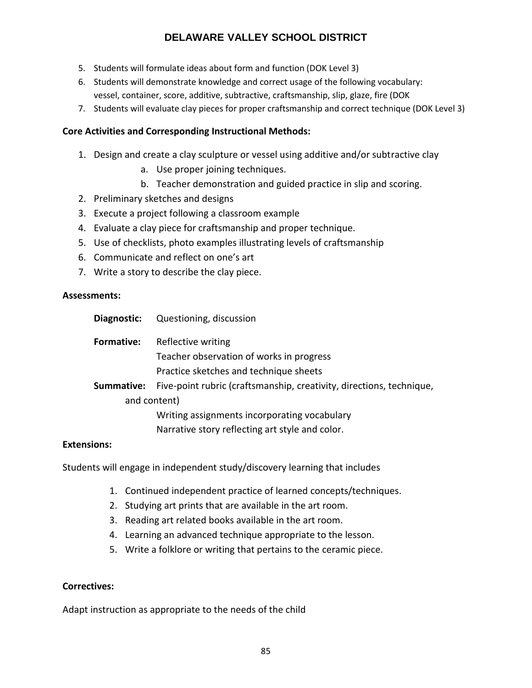- 5. Students will formulate ideas about form and function (DOK Level 3)
- 6. Students will demonstrate knowledge and correct usage of the following vocabulary: vessel, container, score, additive, subtractive, craftsmanship, slip, glaze, fire (DOK
- 7. Students will evaluate clay pieces for proper craftsmanship and correct technique (DOK Level 3)

## **Core Activities and Corresponding Instructional Methods:**

- 1. Design and create a clay sculpture or vessel using additive and/or subtractive clay
	- a. Use proper joining techniques.
	- b. Teacher demonstration and guided practice in slip and scoring.
- 2. Preliminary sketches and designs
- 3. Execute a project following a classroom example
- 4. Evaluate a clay piece for craftsmanship and proper technique.
- 5. Use of checklists, photo examples illustrating levels of craftsmanship
- 6. Communicate and reflect on one's art
- 7. Write a story to describe the clay piece.

## **Assessments:**

| Diagnostic: | Questioning, discussion                                              |
|-------------|----------------------------------------------------------------------|
| Formative:  | Reflective writing                                                   |
|             | Teacher observation of works in progress                             |
|             | Practice sketches and technique sheets                               |
| Summative:  | Five-point rubric (craftsmanship, creativity, directions, technique, |
|             | and content)                                                         |
|             | Writing assignments incorporating vocabulary                         |
|             | Narrative story reflecting art style and color.                      |
|             |                                                                      |

## **Extensions:**

Students will engage in independent study/discovery learning that includes

- 1. Continued independent practice of learned concepts/techniques.
- 2. Studying art prints that are available in the art room.
- 3. Reading art related books available in the art room.
- 4. Learning an advanced technique appropriate to the lesson.
- 5. Write a folklore or writing that pertains to the ceramic piece.

## **Correctives:**

Adapt instruction as appropriate to the needs of the child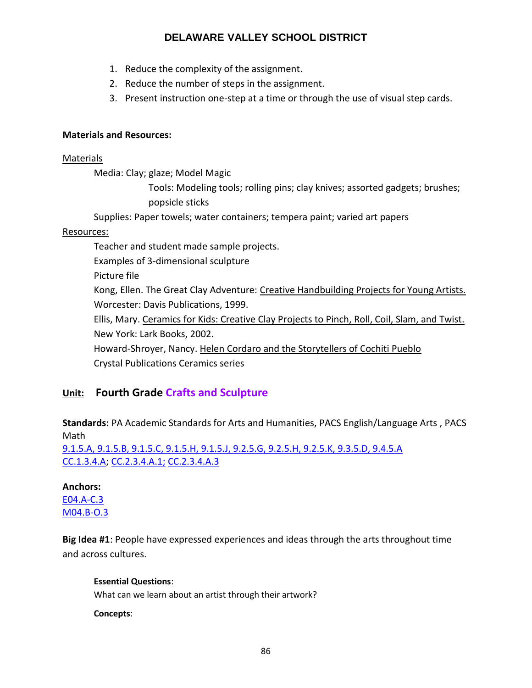- 1. Reduce the complexity of the assignment.
- 2. Reduce the number of steps in the assignment.
- 3. Present instruction one-step at a time or through the use of visual step cards.

## **Materials and Resources:**

## Materials

Media: Clay; glaze; Model Magic

Tools: Modeling tools; rolling pins; clay knives; assorted gadgets; brushes; popsicle sticks

Supplies: Paper towels; water containers; tempera paint; varied art papers

## Resources:

Teacher and student made sample projects.

Examples of 3-dimensional sculpture

Picture file

Kong, Ellen. The Great Clay Adventure: Creative Handbuilding Projects for Young Artists. Worcester: Davis Publications, 1999.

Ellis, Mary. Ceramics for Kids: Creative Clay Projects to Pinch, Roll, Coil, Slam, and Twist. New York: Lark Books, 2002.

Howard-Shroyer, Nancy. Helen Cordaro and the Storytellers of Cochiti Pueblo Crystal Publications Ceramics series

# **Unit: Fourth Grade Crafts and Sculpture**

**Standards:** PA Academic Standards for Arts and Humanities, PACS English/Language Arts , PACS Math

[9.1.5.A, 9.1.5.B, 9.1.5.C, 9.1.5.H, 9.1.5.J, 9.2.5.G, 9.2.5.H, 9.2.5.K, 9.3.5.D, 9.4.5.A](http://www.stateboard.education.pa.gov/Documents/Regulations%20and%20Statements/State%20Academic%20Standards/pdfarts.pdf) [CC.1.3.4.A;](https://www.pdesas.org/Standard/Detail?linkStandardId=0&standardId=159960) [CC.2.3.4.A.1;](https://www.pdesas.org/Standard/Detail/?linkStandardId=0&standardId=161154) [CC.2.3.4.A.3](https://www.pdesas.org/Standard/Detail/?linkStandardId=0&standardId=161156)

# **Anchors:**

[E04.A‐C.3](http://www.pdesas.org/Standard/Detail?linkStandardId=0&standardId=161657) [M04.B‐O.3](https://www.pdesas.org/Standard/Detail/?linkStandardId=0&standardId=160928)

**Big Idea #1**: People have expressed experiences and ideas through the arts throughout time and across cultures.

## **Essential Questions**:

What can we learn about an artist through their artwork?

**Concepts**: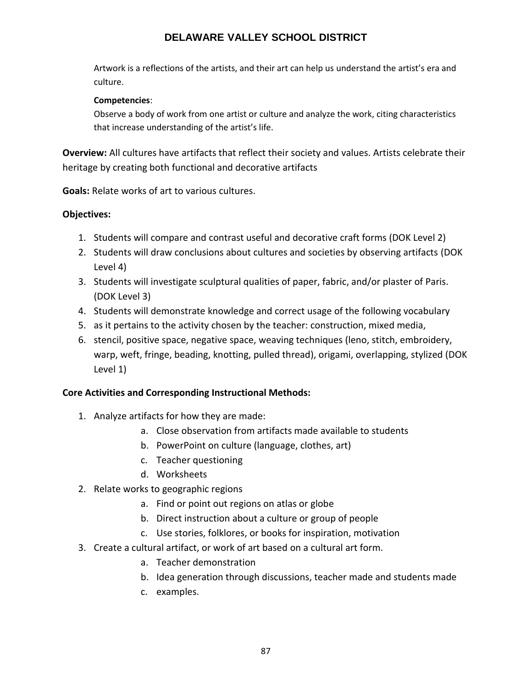Artwork is a reflections of the artists, and their art can help us understand the artist's era and culture.

## **Competencies**:

Observe a body of work from one artist or culture and analyze the work, citing characteristics that increase understanding of the artist's life.

**Overview:** All cultures have artifacts that reflect their society and values. Artists celebrate their heritage by creating both functional and decorative artifacts

**Goals:** Relate works of art to various cultures.

# **Objectives:**

- 1. Students will compare and contrast useful and decorative craft forms (DOK Level 2)
- 2. Students will draw conclusions about cultures and societies by observing artifacts (DOK Level 4)
- 3. Students will investigate sculptural qualities of paper, fabric, and/or plaster of Paris. (DOK Level 3)
- 4. Students will demonstrate knowledge and correct usage of the following vocabulary
- 5. as it pertains to the activity chosen by the teacher: construction, mixed media,
- 6. stencil, positive space, negative space, weaving techniques (leno, stitch, embroidery, warp, weft, fringe, beading, knotting, pulled thread), origami, overlapping, stylized (DOK Level 1)

# **Core Activities and Corresponding Instructional Methods:**

- 1. Analyze artifacts for how they are made:
	- a. Close observation from artifacts made available to students
	- b. PowerPoint on culture (language, clothes, art)
	- c. Teacher questioning
	- d. Worksheets
- 2. Relate works to geographic regions
	- a. Find or point out regions on atlas or globe
	- b. Direct instruction about a culture or group of people
	- c. Use stories, folklores, or books for inspiration, motivation
- 3. Create a cultural artifact, or work of art based on a cultural art form.
	- a. Teacher demonstration
	- b. Idea generation through discussions, teacher made and students made
	- c. examples.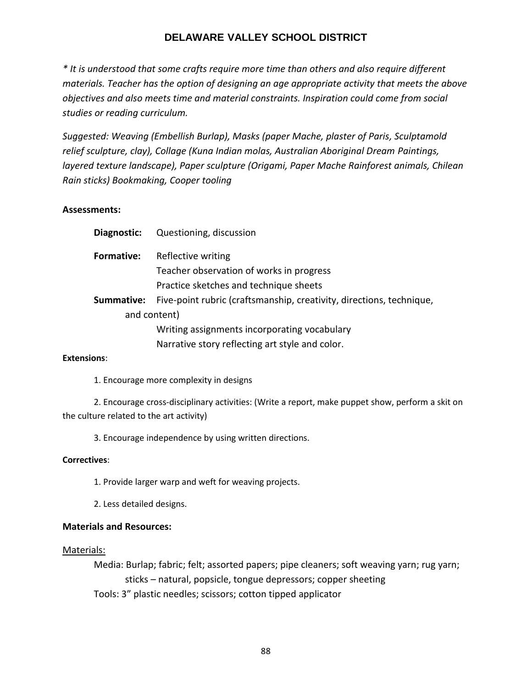*\* It is understood that some crafts require more time than others and also require different materials. Teacher has the option of designing an age appropriate activity that meets the above objectives and also meets time and material constraints. Inspiration could come from social studies or reading curriculum.*

*Suggested: Weaving (Embellish Burlap), Masks (paper Mache, plaster of Paris, Sculptamold relief sculpture, clay), Collage (Kuna Indian molas, Australian Aboriginal Dream Paintings, layered texture landscape), Paper sculpture (Origami, Paper Mache Rainforest animals, Chilean Rain sticks) Bookmaking, Cooper tooling*

## **Assessments:**

| Diagnostic: | Questioning, discussion                                              |
|-------------|----------------------------------------------------------------------|
| Formative:  | Reflective writing                                                   |
|             | Teacher observation of works in progress                             |
|             | Practice sketches and technique sheets                               |
| Summative:  | Five-point rubric (craftsmanship, creativity, directions, technique, |
|             | and content)                                                         |
|             | Writing assignments incorporating vocabulary                         |
|             | Narrative story reflecting art style and color.                      |

## **Extensions**:

1. Encourage more complexity in designs

2. Encourage cross‐disciplinary activities: (Write a report, make puppet show, perform a skit on the culture related to the art activity)

3. Encourage independence by using written directions.

## **Correctives**:

- 1. Provide larger warp and weft for weaving projects.
- 2. Less detailed designs.

## **Materials and Resources:**

#### Materials:

Media: Burlap; fabric; felt; assorted papers; pipe cleaners; soft weaving yarn; rug yarn; sticks – natural, popsicle, tongue depressors; copper sheeting

Tools: 3" plastic needles; scissors; cotton tipped applicator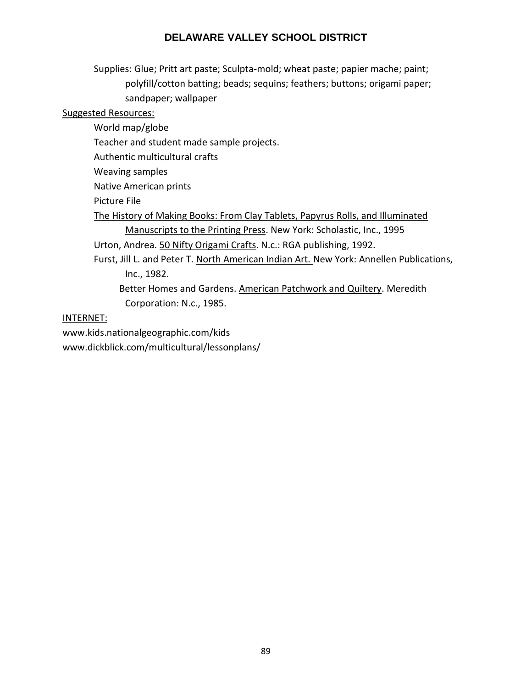Supplies: Glue; Pritt art paste; Sculpta-mold; wheat paste; papier mache; paint; polyfill/cotton batting; beads; sequins; feathers; buttons; origami paper; sandpaper; wallpaper

## Suggested Resources:

World map/globe Teacher and student made sample projects. Authentic multicultural crafts Weaving samples Native American prints Picture File The History of Making Books: From Clay Tablets, Papyrus Rolls, and Illuminated Manuscripts to the Printing Press. New York: Scholastic, Inc., 1995 Urton, Andrea. 50 Nifty Origami Crafts. N.c.: RGA publishing, 1992. Furst, Jill L. and Peter T. North American Indian Art*.* New York: Annellen Publications, Inc., 1982. Better Homes and Gardens. American Patchwork and Quiltery. Meredith

Corporation: N.c., 1985.

## INTERNET:

www.kids.nationalgeographic.com/kids www.dickblick.com/multicultural/lessonplans/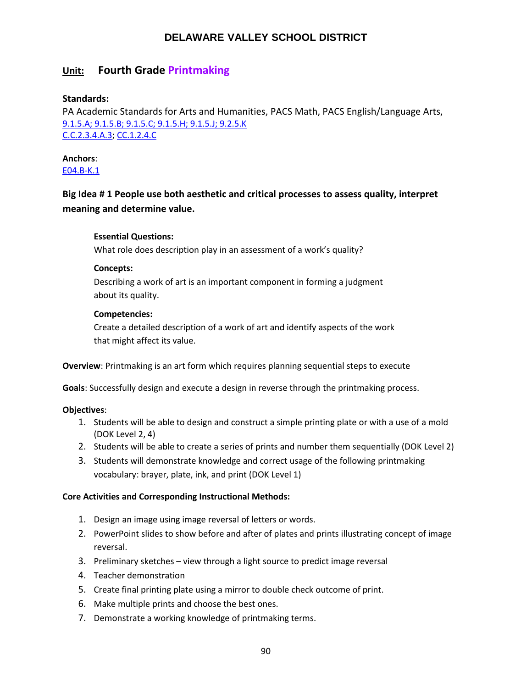# **Unit: Fourth Grade Printmaking**

## **Standards:**

PA Academic Standards for Arts and Humanities, PACS Math, PACS English/Language Arts, [9.1.5.A; 9.1.5.B; 9.1.5.C; 9.1.5.H; 9.1.5.J; 9.2.5.K](http://www.stateboard.education.pa.gov/Documents/Regulations%20and%20Statements/State%20Academic%20Standards/pdfarts.pdf) [C.C.2.3.4.A.3;](https://www.pdesas.org/Standard/Detail/?linkStandardId=0&standardId=161141) [CC.1.2.4.C](https://www.pdesas.org/Standard/Detail?linkStandardId=0&standardId=159881)

# **Anchors**:

[E04.B‐K.1](https://www.pdesas.org/Standard/Detail?linkStandardId=0&standardId=161672)

# **Big Idea # 1 People use both aesthetic and critical processes to assess quality, interpret meaning and determine value.**

## **Essential Questions:**

What role does description play in an assessment of a work's quality?

## **Concepts:**

Describing a work of art is an important component in forming a judgment about its quality.

## **Competencies:**

Create a detailed description of a work of art and identify aspects of the work that might affect its value.

**Overview**: Printmaking is an art form which requires planning sequential steps to execute

**Goals**: Successfully design and execute a design in reverse through the printmaking process.

## **Objectives**:

- 1. Students will be able to design and construct a simple printing plate or with a use of a mold (DOK Level 2, 4)
- 2. Students will be able to create a series of prints and number them sequentially (DOK Level 2)
- 3. Students will demonstrate knowledge and correct usage of the following printmaking vocabulary: brayer, plate, ink, and print (DOK Level 1)

## **Core Activities and Corresponding Instructional Methods:**

- 1. Design an image using image reversal of letters or words.
- 2. PowerPoint slides to show before and after of plates and prints illustrating concept of image reversal.
- 3. Preliminary sketches view through a light source to predict image reversal
- 4. Teacher demonstration
- 5. Create final printing plate using a mirror to double check outcome of print.
- 6. Make multiple prints and choose the best ones.
- 7. Demonstrate a working knowledge of printmaking terms.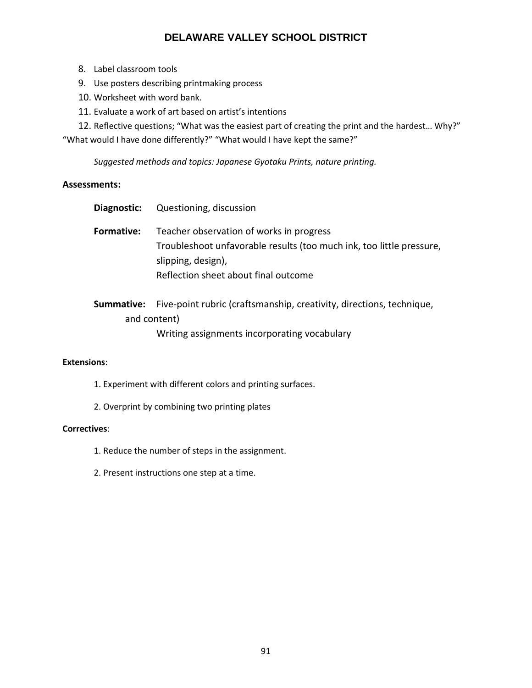- 8. Label classroom tools
- 9. Use posters describing printmaking process
- 10. Worksheet with word bank.
- 11. Evaluate a work of art based on artist's intentions
- 12. Reflective questions; "What was the easiest part of creating the print and the hardest… Why?"

"What would I have done differently?" "What would I have kept the same?"

*Suggested methods and topics: Japanese Gyotaku Prints, nature printing.*

## **Assessments:**

| Diagnostic:       | Questioning, discussion                                                                                                                                                        |
|-------------------|--------------------------------------------------------------------------------------------------------------------------------------------------------------------------------|
| <b>Formative:</b> | Teacher observation of works in progress<br>Troubleshoot unfavorable results (too much ink, too little pressure,<br>slipping, design),<br>Reflection sheet about final outcome |
| Summative:        | Five-point rubric (craftsmanship, creativity, directions, technique,                                                                                                           |
|                   | and content)                                                                                                                                                                   |

Writing assignments incorporating vocabulary

#### **Extensions**:

- 1. Experiment with different colors and printing surfaces.
- 2. Overprint by combining two printing plates

#### **Correctives**:

- 1. Reduce the number of steps in the assignment.
- 2. Present instructions one step at a time.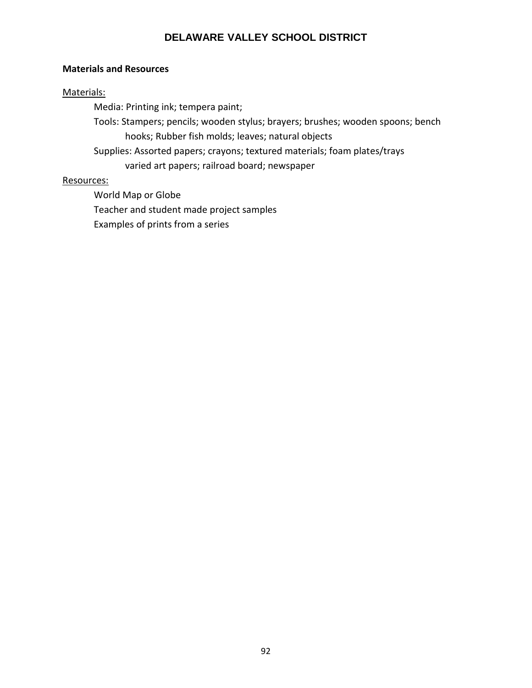## **Materials and Resources**

## Materials:

Media: Printing ink; tempera paint;

Tools: Stampers; pencils; wooden stylus; brayers; brushes; wooden spoons; bench hooks; Rubber fish molds; leaves; natural objects

Supplies: Assorted papers; crayons; textured materials; foam plates/trays varied art papers; railroad board; newspaper

## Resources:

World Map or Globe

Teacher and student made project samples

Examples of prints from a series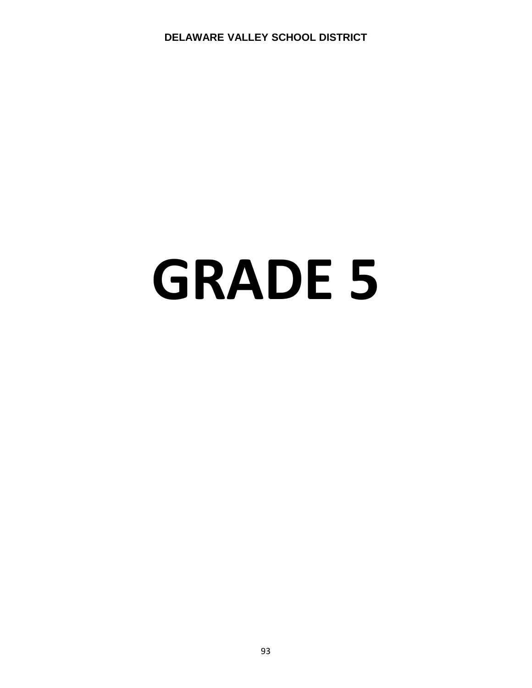# **GRADE 5**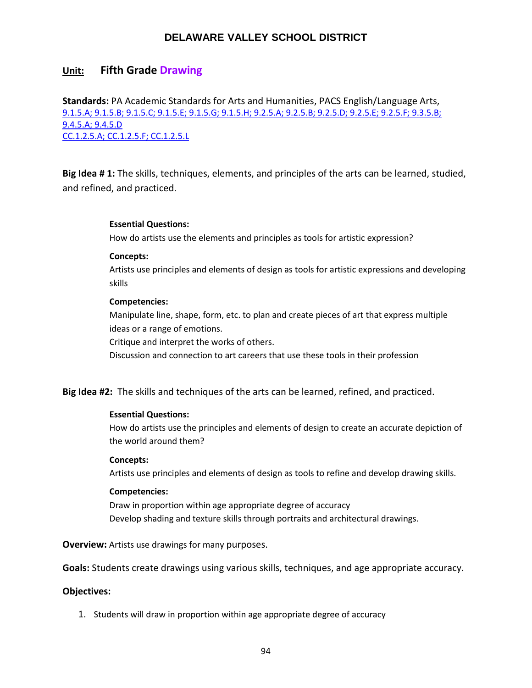## **Unit: Fifth Grade Drawing**

**Standards:** PA Academic Standards for Arts and Humanities, PACS English/Language Arts, [9.1.5.A; 9.1.5.B; 9.1.5.C; 9.1.5.E; 9.1.5.G; 9.1.5.H; 9.2.5.A; 9.2.5.B; 9.2.5.D; 9.2.5.E; 9.2.5.F; 9.3.5.B;](http://www.stateboard.education.pa.gov/Documents/Regulations%20and%20Statements/State%20Academic%20Standards/pdfarts.pdf)  [9.4.5.A; 9.4.5.D](http://www.stateboard.education.pa.gov/Documents/Regulations%20and%20Statements/State%20Academic%20Standards/pdfarts.pdf) [CC.1.2.5.A; CC.1.2.5.F; CC.1.2.5.L](https://www.pdesas.org/Standard/View)

**Big Idea # 1:** The skills, techniques, elements, and principles of the arts can be learned, studied, and refined, and practiced.

#### **Essential Questions:**

How do artists use the elements and principles as tools for artistic expression?

#### **Concepts:**

Artists use principles and elements of design as tools for artistic expressions and developing skills

#### **Competencies:**

Manipulate line, shape, form, etc. to plan and create pieces of art that express multiple ideas or a range of emotions.

Critique and interpret the works of others.

Discussion and connection to art careers that use these tools in their profession

#### **Big Idea #2:** The skills and techniques of the arts can be learned, refined, and practiced.

#### **Essential Questions:**

How do artists use the principles and elements of design to create an accurate depiction of the world around them?

#### **Concepts:**

Artists use principles and elements of design as tools to refine and develop drawing skills.

#### **Competencies:**

Draw in proportion within age appropriate degree of accuracy Develop shading and texture skills through portraits and architectural drawings.

**Overview:** Artists use drawings for many purposes.

**Goals:** Students create drawings using various skills, techniques, and age appropriate accuracy.

#### **Objectives:**

1. Students will draw in proportion within age appropriate degree of accuracy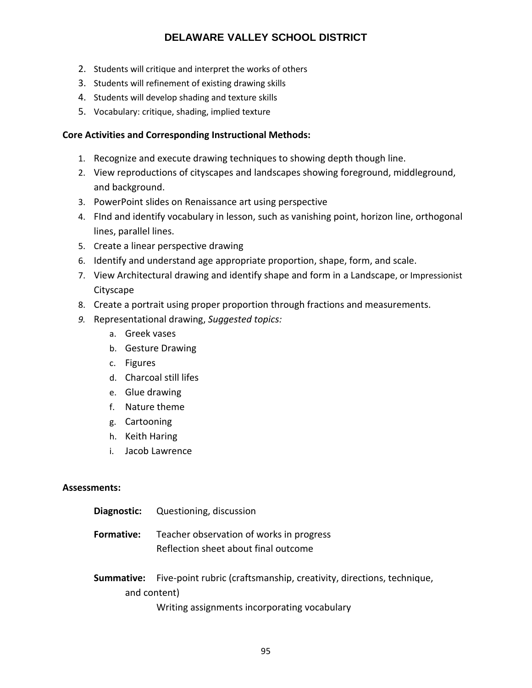- 2. Students will critique and interpret the works of others
- 3. Students will refinement of existing drawing skills
- 4. Students will develop shading and texture skills
- 5. Vocabulary: critique, shading, implied texture

## **Core Activities and Corresponding Instructional Methods:**

- 1. Recognize and execute drawing techniques to showing depth though line.
- 2. View reproductions of cityscapes and landscapes showing foreground, middleground, and background.
- 3. PowerPoint slides on Renaissance art using perspective
- 4. FInd and identify vocabulary in lesson, such as vanishing point, horizon line, orthogonal lines, parallel lines.
- 5. Create a linear perspective drawing
- 6. Identify and understand age appropriate proportion, shape, form, and scale.
- 7. View Architectural drawing and identify shape and form in a Landscape, or Impressionist **Cityscape**
- 8. Create a portrait using proper proportion through fractions and measurements.
- *9.* Representational drawing, *Suggested topics:*
	- a. Greek vases
	- b. Gesture Drawing
	- c. Figures
	- d. Charcoal still lifes
	- e. Glue drawing
	- f. Nature theme
	- g. Cartooning
	- h. Keith Haring
	- i. Jacob Lawrence

## **Assessments:**

| Diagnostic:       | Questioning, discussion                                              |
|-------------------|----------------------------------------------------------------------|
| <b>Formative:</b> | Teacher observation of works in progress                             |
|                   | Reflection sheet about final outcome                                 |
| Summative:        | Five-point rubric (craftsmanship, creativity, directions, technique, |
|                   | and content)                                                         |
|                   | Writing assignments incorporating vocabulary                         |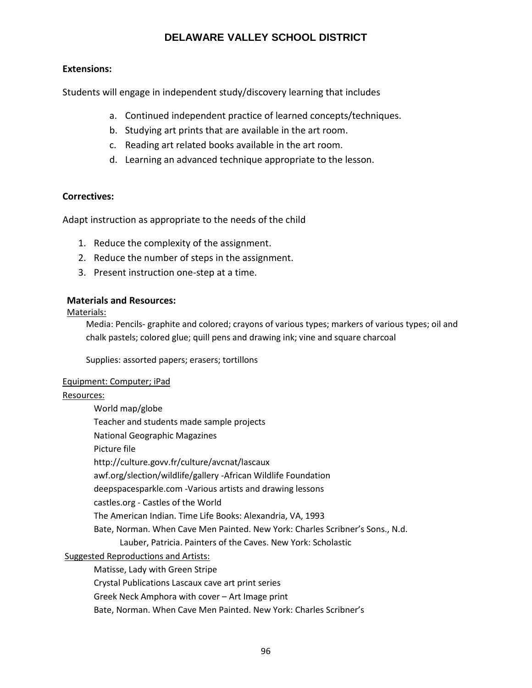## **Extensions:**

Students will engage in independent study/discovery learning that includes

- a. Continued independent practice of learned concepts/techniques.
- b. Studying art prints that are available in the art room.
- c. Reading art related books available in the art room.
- d. Learning an advanced technique appropriate to the lesson.

## **Correctives:**

Adapt instruction as appropriate to the needs of the child

- 1. Reduce the complexity of the assignment.
- 2. Reduce the number of steps in the assignment.
- 3. Present instruction one-step at a time.

## **Materials and Resources:**

## Materials:

Media: Pencils- graphite and colored; crayons of various types; markers of various types; oil and chalk pastels; colored glue; quill pens and drawing ink; vine and square charcoal

Supplies: assorted papers; erasers; tortillons

#### Equipment: Computer; iPad

## Resources:

World map/globe Teacher and students made sample projects National Geographic Magazines Picture file http://culture.govv.fr/culture/avcnat/lascaux awf.org/slection/wildlife/gallery -African Wildlife Foundation deepspacesparkle.com -Various artists and drawing lessons castles.org - Castles of the World The American Indian. Time Life Books: Alexandria, VA, 1993 Bate, Norman. When Cave Men Painted. New York: Charles Scribner's Sons., N.d. Lauber, Patricia. Painters of the Caves. New York: Scholastic Suggested Reproductions and Artists: Matisse, Lady with Green Stripe Crystal Publications Lascaux cave art print series

Greek Neck Amphora with cover – Art Image print

Bate, Norman. When Cave Men Painted. New York: Charles Scribner's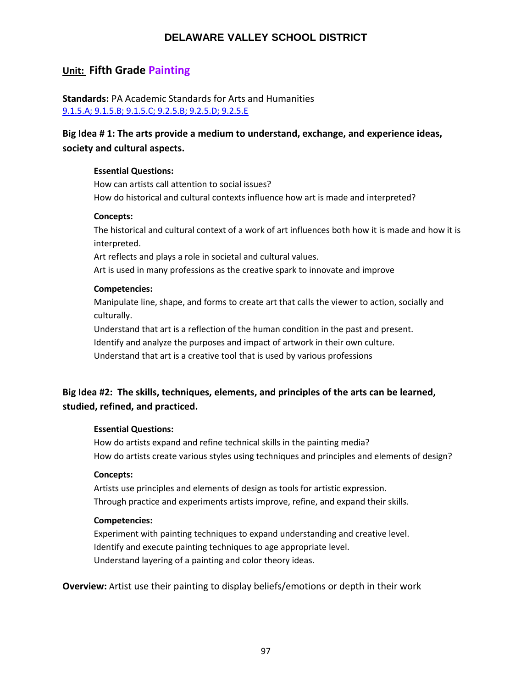# **Unit: Fifth Grade Painting**

**Standards:** PA Academic Standards for Arts and Humanities [9.1.5.A; 9.1.5.B; 9.1.5.C; 9.2.5.B; 9.2.5.D; 9.2.5.E](http://www.stateboard.education.pa.gov/Documents/Regulations%20and%20Statements/State%20Academic%20Standards/pdfarts.pdf)

# **Big Idea # 1: The arts provide a medium to understand, exchange, and experience ideas, society and cultural aspects.**

## **Essential Questions:**

How can artists call attention to social issues? How do historical and cultural contexts influence how art is made and interpreted?

#### **Concepts:**

The historical and cultural context of a work of art influences both how it is made and how it is interpreted.

Art reflects and plays a role in societal and cultural values.

Art is used in many professions as the creative spark to innovate and improve

## **Competencies:**

Manipulate line, shape, and forms to create art that calls the viewer to action, socially and culturally.

Understand that art is a reflection of the human condition in the past and present. Identify and analyze the purposes and impact of artwork in their own culture. Understand that art is a creative tool that is used by various professions

# **Big Idea #2: The skills, techniques, elements, and principles of the arts can be learned, studied, refined, and practiced.**

## **Essential Questions:**

How do artists expand and refine technical skills in the painting media? How do artists create various styles using techniques and principles and elements of design?

#### **Concepts:**

Artists use principles and elements of design as tools for artistic expression. Through practice and experiments artists improve, refine, and expand their skills.

#### **Competencies:**

Experiment with painting techniques to expand understanding and creative level. Identify and execute painting techniques to age appropriate level. Understand layering of a painting and color theory ideas.

**Overview:** Artist use their painting to display beliefs/emotions or depth in their work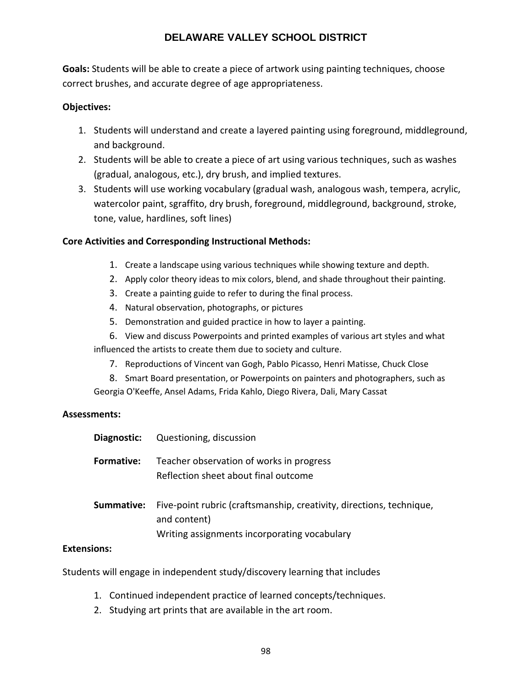**Goals:** Students will be able to create a piece of artwork using painting techniques, choose correct brushes, and accurate degree of age appropriateness.

## **Objectives:**

- 1. Students will understand and create a layered painting using foreground, middleground, and background.
- 2. Students will be able to create a piece of art using various techniques, such as washes (gradual, analogous, etc.), dry brush, and implied textures.
- 3. Students will use working vocabulary (gradual wash, analogous wash, tempera, acrylic, watercolor paint, sgraffito, dry brush, foreground, middleground, background, stroke, tone, value, hardlines, soft lines)

# **Core Activities and Corresponding Instructional Methods:**

- 1. Create a landscape using various techniques while showing texture and depth.
- 2. Apply color theory ideas to mix colors, blend, and shade throughout their painting.
- 3. Create a painting guide to refer to during the final process.
- 4. Natural observation, photographs, or pictures
- 5. Demonstration and guided practice in how to layer a painting.

6. View and discuss Powerpoints and printed examples of various art styles and what influenced the artists to create them due to society and culture.

- 7. Reproductions of Vincent van Gogh, Pablo Picasso, Henri Matisse, Chuck Close
- 8. Smart Board presentation, or Powerpoints on painters and photographers, such as Georgia O'Keeffe, Ansel Adams, Frida Kahlo, Diego Rivera, Dali, Mary Cassat

## **Assessments:**

| Diagnostic:       | Questioning, discussion                                                                                                              |
|-------------------|--------------------------------------------------------------------------------------------------------------------------------------|
| <b>Formative:</b> | Teacher observation of works in progress<br>Reflection sheet about final outcome                                                     |
| Summative:        | Five-point rubric (craftsmanship, creativity, directions, technique,<br>and content)<br>Writing assignments incorporating vocabulary |

## **Extensions:**

Students will engage in independent study/discovery learning that includes

- 1. Continued independent practice of learned concepts/techniques.
- 2. Studying art prints that are available in the art room.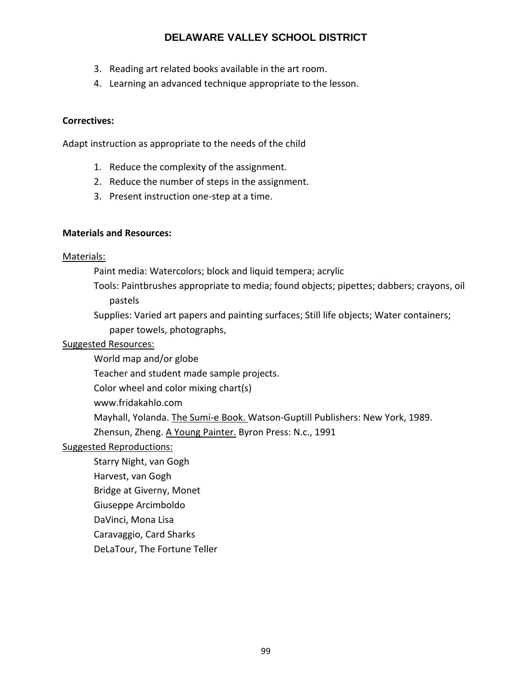- 3. Reading art related books available in the art room.
- 4. Learning an advanced technique appropriate to the lesson.

## **Correctives:**

Adapt instruction as appropriate to the needs of the child

- 1. Reduce the complexity of the assignment.
- 2. Reduce the number of steps in the assignment.
- 3. Present instruction one-step at a time.

## **Materials and Resources:**

## Materials:

Paint media: Watercolors; block and liquid tempera; acrylic

- Tools: Paintbrushes appropriate to media; found objects; pipettes; dabbers; crayons, oil pastels
- Supplies: Varied art papers and painting surfaces; Still life objects; Water containers; paper towels, photographs,

## Suggested Resources:

- World map and/or globe
- Teacher and student made sample projects.
- Color wheel and color mixing chart(s)
- www.fridakahlo.com
- Mayhall, Yolanda. The Sumi-e Book. Watson-Guptill Publishers: New York, 1989.

Zhensun, Zheng. A Young Painter. Byron Press: N.c., 1991

## Suggested Reproductions:

- Starry Night, van Gogh
- Harvest, van Gogh
- Bridge at Giverny, Monet
- Giuseppe Arcimboldo
- DaVinci, Mona Lisa
- Caravaggio, Card Sharks
- DeLaTour, The Fortune Teller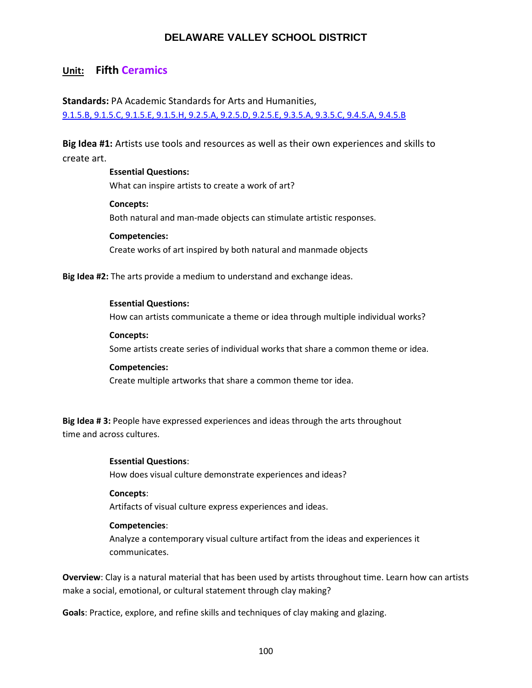# **Unit: Fifth Ceramics**

**Standards:** PA Academic Standards for Arts and Humanities, [9.1.5.B, 9.1.5.C, 9.1.5.E, 9.1.5.H, 9.2.5.A, 9.2.5.D, 9.2.5.E, 9.3.5.A, 9.3.5.C, 9.4.5.A, 9.4.5.B](http://www.stateboard.education.pa.gov/Documents/Regulations%20and%20Statements/State%20Academic%20Standards/pdfarts.pdf)

**Big Idea #1:** Artists use tools and resources as well as their own experiences and skills to create art.

> **Essential Questions:** What can inspire artists to create a work of art? **Concepts:**

Both natural and man‐made objects can stimulate artistic responses. **Competencies:**

Create works of art inspired by both natural and manmade objects

**Big Idea #2:** The arts provide a medium to understand and exchange ideas.

#### **Essential Questions:**

How can artists communicate a theme or idea through multiple individual works?

**Concepts:** Some artists create series of individual works that share a common theme or idea.

#### **Competencies:**

Create multiple artworks that share a common theme tor idea.

**Big Idea # 3:** People have expressed experiences and ideas through the arts throughout time and across cultures.

#### **Essential Questions**:

How does visual culture demonstrate experiences and ideas?

#### **Concepts**:

Artifacts of visual culture express experiences and ideas.

#### **Competencies**:

Analyze a contemporary visual culture artifact from the ideas and experiences it communicates.

**Overview**: Clay is a natural material that has been used by artists throughout time. Learn how can artists make a social, emotional, or cultural statement through clay making?

**Goals**: Practice, explore, and refine skills and techniques of clay making and glazing.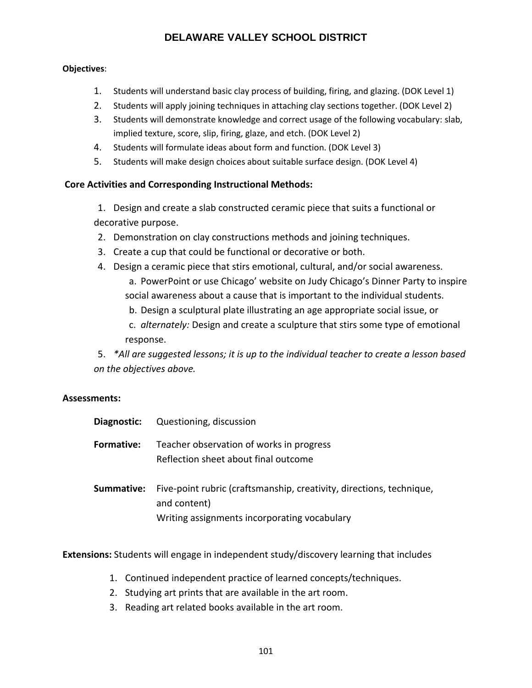## **Objectives**:

- 1. Students will understand basic clay process of building, firing, and glazing. (DOK Level 1)
- 2. Students will apply joining techniques in attaching clay sections together. (DOK Level 2)
- 3. Students will demonstrate knowledge and correct usage of the following vocabulary: slab, implied texture, score, slip, firing, glaze, and etch. (DOK Level 2)
- 4. Students will formulate ideas about form and function. (DOK Level 3)
- 5. Students will make design choices about suitable surface design. (DOK Level 4)

# **Core Activities and Corresponding Instructional Methods:**

- 1. Design and create a slab constructed ceramic piece that suits a functional or decorative purpose.
- 2. Demonstration on clay constructions methods and joining techniques.
- 3. Create a cup that could be functional or decorative or both.
- 4. Design a ceramic piece that stirs emotional, cultural, and/or social awareness. a. PowerPoint or use Chicago' website on Judy Chicago's Dinner Party to inspire social awareness about a cause that is important to the individual students.
	- b. Design a sculptural plate illustrating an age appropriate social issue, or
	- c. *alternately:* Design and create a sculpture that stirs some type of emotional response.

5. *\*All are suggested lessons; it is up to the individual teacher to create a lesson based on the objectives above.*

# **Assessments:**

| Diagnostic:       | Questioning, discussion                                                                                                              |
|-------------------|--------------------------------------------------------------------------------------------------------------------------------------|
| <b>Formative:</b> | Teacher observation of works in progress<br>Reflection sheet about final outcome                                                     |
| Summative:        | Five-point rubric (craftsmanship, creativity, directions, technique,<br>and content)<br>Writing assignments incorporating vocabulary |

**Extensions:** Students will engage in independent study/discovery learning that includes

- 1. Continued independent practice of learned concepts/techniques.
- 2. Studying art prints that are available in the art room.
- 3. Reading art related books available in the art room.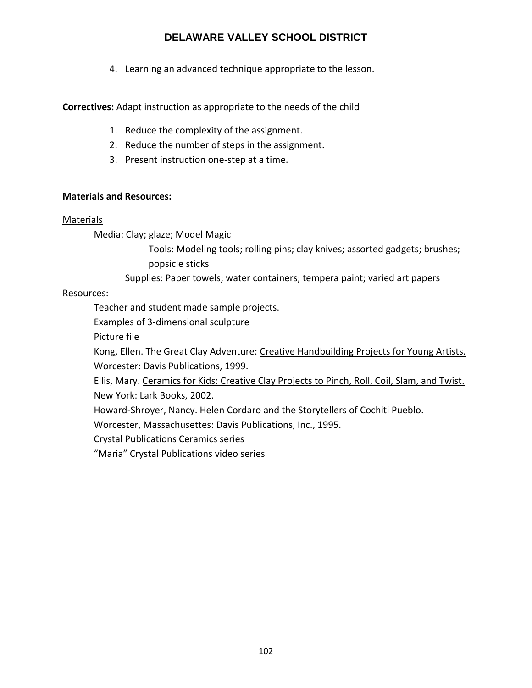4. Learning an advanced technique appropriate to the lesson.

**Correctives:** Adapt instruction as appropriate to the needs of the child

- 1. Reduce the complexity of the assignment.
- 2. Reduce the number of steps in the assignment.
- 3. Present instruction one-step at a time.

# **Materials and Resources:**

## Materials

Media: Clay; glaze; Model Magic

Tools: Modeling tools; rolling pins; clay knives; assorted gadgets; brushes; popsicle sticks

Supplies: Paper towels; water containers; tempera paint; varied art papers

# Resources:

Teacher and student made sample projects.

Examples of 3-dimensional sculpture

Picture file

Kong, Ellen. The Great Clay Adventure: Creative Handbuilding Projects for Young Artists. Worcester: Davis Publications, 1999.

Ellis, Mary. Ceramics for Kids: Creative Clay Projects to Pinch, Roll, Coil, Slam, and Twist. New York: Lark Books, 2002.

Howard-Shroyer, Nancy. Helen Cordaro and the Storytellers of Cochiti Pueblo.

Worcester, Massachusettes: Davis Publications, Inc., 1995.

Crystal Publications Ceramics series

"Maria" Crystal Publications video series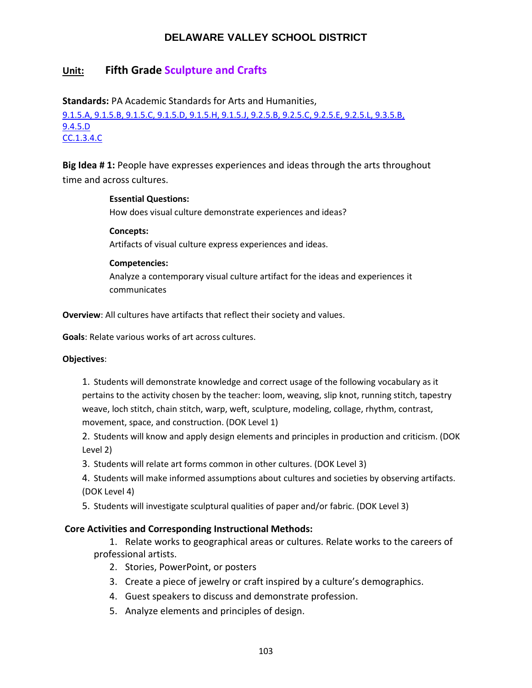# **Unit: Fifth Grade Sculpture and Crafts**

**Standards:** PA Academic Standards for Arts and Humanities,

[9.1.5.A, 9.1.5.B, 9.1.5.C, 9.1.5.D, 9.1.5.H, 9.1.5.J, 9.2.5.B, 9.2.5.C, 9.2.5.E, 9.2.5.L, 9.3.5.B,](http://www.stateboard.education.pa.gov/Documents/Regulations%20and%20Statements/State%20Academic%20Standards/pdfarts.pdf) [9.4.5.D](http://www.stateboard.education.pa.gov/Documents/Regulations%20and%20Statements/State%20Academic%20Standards/pdfarts.pdf) [CC.1.3.4.C](http://www.pdesas.org/Standard/Detail/?linkStandardId=0&standardId=159964)

**Big Idea # 1:** People have expresses experiences and ideas through the arts throughout time and across cultures.

## **Essential Questions:**

How does visual culture demonstrate experiences and ideas?

**Concepts:**

Artifacts of visual culture express experiences and ideas.

## **Competencies:**

Analyze a contemporary visual culture artifact for the ideas and experiences it communicates

**Overview**: All cultures have artifacts that reflect their society and values.

**Goals**: Relate various works of art across cultures.

#### **Objectives**:

1. Students will demonstrate knowledge and correct usage of the following vocabulary as it pertains to the activity chosen by the teacher: loom, weaving, slip knot, running stitch, tapestry weave, loch stitch, chain stitch, warp, weft, sculpture, modeling, collage, rhythm, contrast, movement, space, and construction. (DOK Level 1)

2. Students will know and apply design elements and principles in production and criticism. (DOK Level 2)

3. Students will relate art forms common in other cultures. (DOK Level 3)

4. Students will make informed assumptions about cultures and societies by observing artifacts. (DOK Level 4)

5. Students will investigate sculptural qualities of paper and/or fabric. (DOK Level 3)

## **Core Activities and Corresponding Instructional Methods:**

1. Relate works to geographical areas or cultures. Relate works to the careers of professional artists.

- 2. Stories, PowerPoint, or posters
- 3. Create a piece of jewelry or craft inspired by a culture's demographics.
- 4. Guest speakers to discuss and demonstrate profession.
- 5. Analyze elements and principles of design.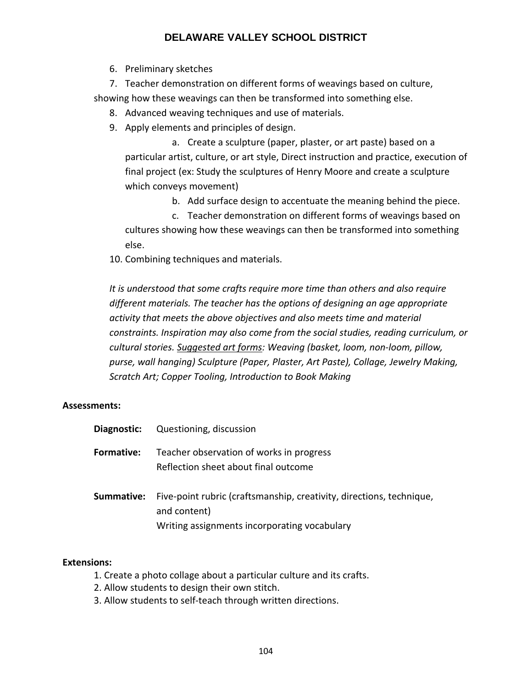6. Preliminary sketches

7. Teacher demonstration on different forms of weavings based on culture, showing how these weavings can then be transformed into something else.

- 8. Advanced weaving techniques and use of materials.
- 9. Apply elements and principles of design.

a. Create a sculpture (paper, plaster, or art paste) based on a particular artist, culture, or art style, Direct instruction and practice, execution of final project (ex: Study the sculptures of Henry Moore and create a sculpture which conveys movement)

b. Add surface design to accentuate the meaning behind the piece.

c. Teacher demonstration on different forms of weavings based on cultures showing how these weavings can then be transformed into something else.

10. Combining techniques and materials.

*It is understood that some crafts require more time than others and also require different materials. The teacher has the options of designing an age appropriate activity that meets the above objectives and also meets time and material constraints. Inspiration may also come from the social studies, reading curriculum, or cultural stories. Suggested art forms: Weaving (basket, loom, non‐loom, pillow, purse, wall hanging) Sculpture (Paper, Plaster, Art Paste), Collage, Jewelry Making, Scratch Art; Copper Tooling, Introduction to Book Making*

## **Assessments:**

| Diagnostic:       | Questioning, discussion                                                              |
|-------------------|--------------------------------------------------------------------------------------|
| <b>Formative:</b> | Teacher observation of works in progress<br>Reflection sheet about final outcome     |
| Summative:        | Five-point rubric (craftsmanship, creativity, directions, technique,<br>and content) |
|                   | Writing assignments incorporating vocabulary                                         |

## **Extensions:**

- 1. Create a photo collage about a particular culture and its crafts.
- 2. Allow students to design their own stitch.
- 3. Allow students to self‐teach through written directions.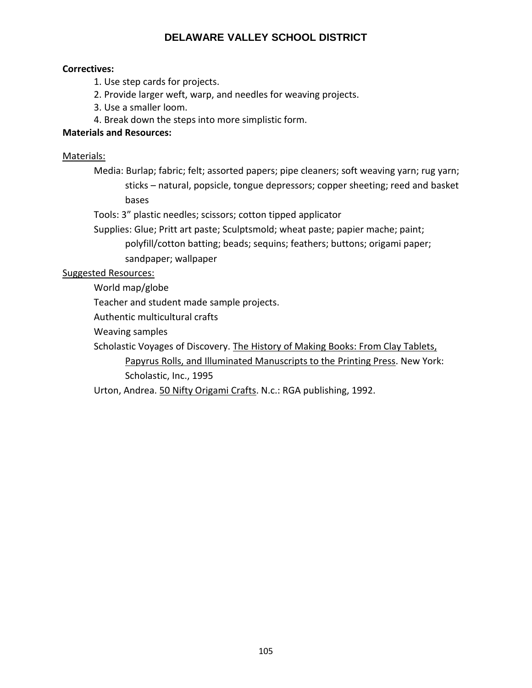## **Correctives:**

- 1. Use step cards for projects.
- 2. Provide larger weft, warp, and needles for weaving projects.
- 3. Use a smaller loom.
- 4. Break down the steps into more simplistic form.

## **Materials and Resources:**

## Materials:

- Media: Burlap; fabric; felt; assorted papers; pipe cleaners; soft weaving yarn; rug yarn; sticks – natural, popsicle, tongue depressors; copper sheeting; reed and basket bases
- Tools: 3" plastic needles; scissors; cotton tipped applicator
- Supplies: Glue; Pritt art paste; Sculptsmold; wheat paste; papier mache; paint;
	- polyfill/cotton batting; beads; sequins; feathers; buttons; origami paper; sandpaper; wallpaper

## Suggested Resources:

World map/globe

Teacher and student made sample projects.

Authentic multicultural crafts

Weaving samples

Scholastic Voyages of Discovery. The History of Making Books: From Clay Tablets, Papyrus Rolls, and Illuminated Manuscripts to the Printing Press. New York: Scholastic, Inc., 1995

Urton, Andrea. 50 Nifty Origami Crafts. N.c.: RGA publishing, 1992.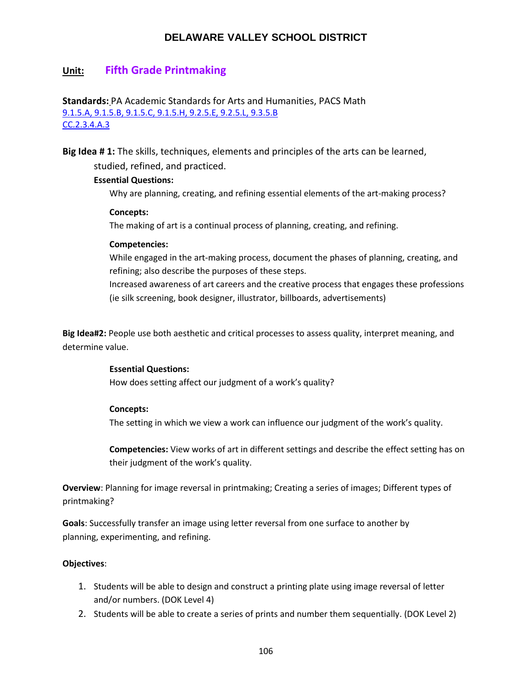# **Unit: Fifth Grade Printmaking**

## **Standards:** PA Academic Standards for Arts and Humanities, PACS Math [9.1.5.A, 9.1.5.B, 9.1.5.C, 9.1.5.H, 9.2.5.E, 9.2.5.L, 9.3.5.B](http://www.stateboard.education.pa.gov/Documents/Regulations%20and%20Statements/State%20Academic%20Standards/pdfarts.pdf) [CC.2.3.4.A.3](https://www.pdesas.org/Standard/Detail?linkStandardId=0&standardId=160521)

**Big Idea # 1:** The skills, techniques, elements and principles of the arts can be learned, studied, refined, and practiced.

#### **Essential Questions:**

Why are planning, creating, and refining essential elements of the art-making process?

#### **Concepts:**

The making of art is a continual process of planning, creating, and refining.

#### **Competencies:**

While engaged in the art-making process, document the phases of planning, creating, and refining; also describe the purposes of these steps.

Increased awareness of art careers and the creative process that engages these professions (ie silk screening, book designer, illustrator, billboards, advertisements)

**Big Idea#2:** People use both aesthetic and critical processes to assess quality, interpret meaning, and determine value.

#### **Essential Questions:**

How does setting affect our judgment of a work's quality?

## **Concepts:**

The setting in which we view a work can influence our judgment of the work's quality.

**Competencies:** View works of art in different settings and describe the effect setting has on their judgment of the work's quality.

**Overview**: Planning for image reversal in printmaking; Creating a series of images; Different types of printmaking?

**Goals**: Successfully transfer an image using letter reversal from one surface to another by planning, experimenting, and refining.

## **Objectives**:

- 1. Students will be able to design and construct a printing plate using image reversal of letter and/or numbers. (DOK Level 4)
- 2. Students will be able to create a series of prints and number them sequentially. (DOK Level 2)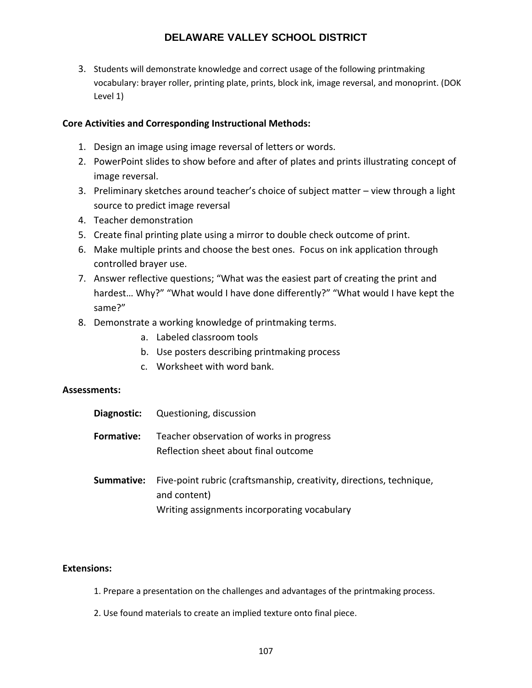3. Students will demonstrate knowledge and correct usage of the following printmaking vocabulary: brayer roller, printing plate, prints, block ink, image reversal, and monoprint. (DOK Level 1)

## **Core Activities and Corresponding Instructional Methods:**

- 1. Design an image using image reversal of letters or words.
- 2. PowerPoint slides to show before and after of plates and prints illustrating concept of image reversal.
- 3. Preliminary sketches around teacher's choice of subject matter view through a light source to predict image reversal
- 4. Teacher demonstration
- 5. Create final printing plate using a mirror to double check outcome of print.
- 6. Make multiple prints and choose the best ones. Focus on ink application through controlled brayer use.
- 7. Answer reflective questions; "What was the easiest part of creating the print and hardest… Why?" "What would I have done differently?" "What would I have kept the same?"
- 8. Demonstrate a working knowledge of printmaking terms.
	- a. Labeled classroom tools
	- b. Use posters describing printmaking process
	- c. Worksheet with word bank.

## **Assessments:**

| Diagnostic:       | Questioning, discussion                                                                                                              |
|-------------------|--------------------------------------------------------------------------------------------------------------------------------------|
| <b>Formative:</b> | Teacher observation of works in progress<br>Reflection sheet about final outcome                                                     |
| Summative:        | Five-point rubric (craftsmanship, creativity, directions, technique,<br>and content)<br>Writing assignments incorporating vocabulary |

## **Extensions:**

- 1. Prepare a presentation on the challenges and advantages of the printmaking process.
- 2. Use found materials to create an implied texture onto final piece.